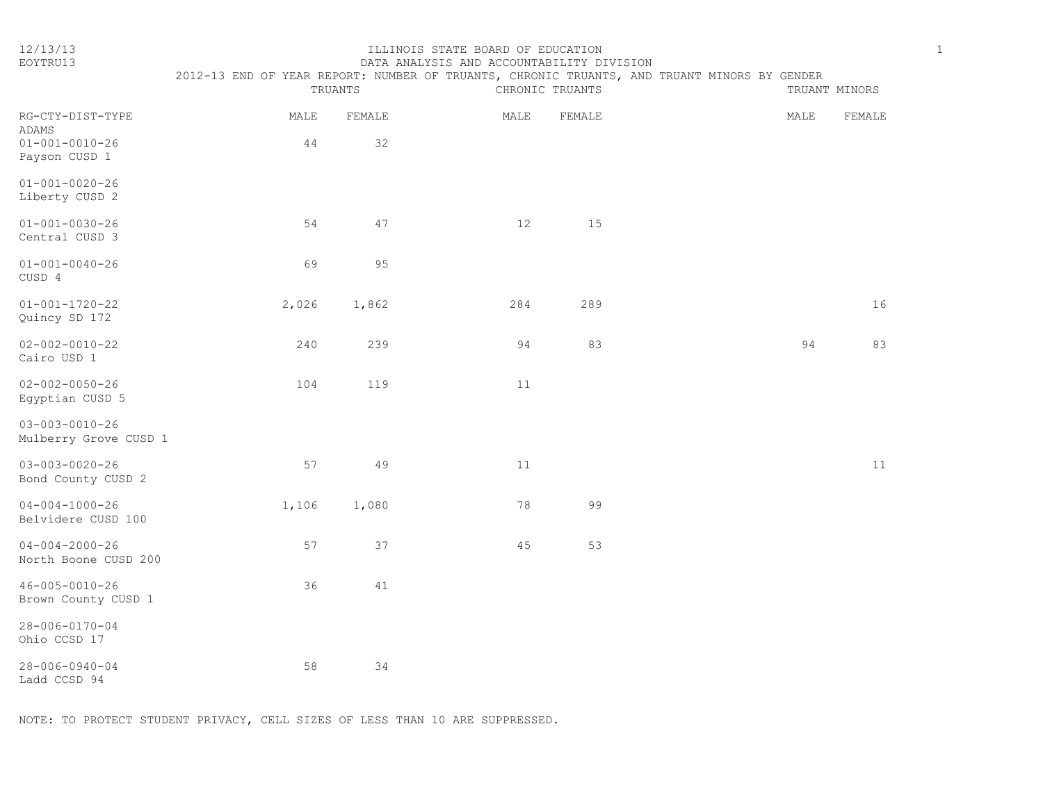#### 12/13/13 ILLINOIS STATE BOARD OF EDUCATION 1 EOYTRU13 DATA ANALYSIS AND ACCOUNTABILITY DIVISION

| ï |
|---|
|   |
| n |
|   |

|                                                 | TRUANTS |        | 2012-13 END OF YEAR REPORT: NUMBER OF TRUANTS, CHRONIC TRUANTS, AND TRUANT MINORS BY GENDER<br>CHRONIC TRUANTS<br>TRUANT MINORS |        |  |  |      |        |
|-------------------------------------------------|---------|--------|---------------------------------------------------------------------------------------------------------------------------------|--------|--|--|------|--------|
| RG-CTY-DIST-TYPE<br>ADAMS                       | MALE    | FEMALE | MALE                                                                                                                            | FEMALE |  |  | MALE | FEMALE |
| $01 - 001 - 0010 - 26$<br>Payson CUSD 1         | 44      | 32     |                                                                                                                                 |        |  |  |      |        |
| $01 - 001 - 0020 - 26$<br>Liberty CUSD 2        |         |        |                                                                                                                                 |        |  |  |      |        |
| $01 - 001 - 0030 - 26$<br>Central CUSD 3        | 54      | 47     | 12                                                                                                                              | 15     |  |  |      |        |
| $01 - 001 - 0040 - 26$<br>CUSD 4                | 69      | 95     |                                                                                                                                 |        |  |  |      |        |
| $01 - 001 - 1720 - 22$<br>Quincy SD 172         | 2,026   | 1,862  | 284                                                                                                                             | 289    |  |  |      | 16     |
| $02 - 002 - 0010 - 22$<br>Cairo USD 1           | 240     | 239    | 94                                                                                                                              | 83     |  |  | 94   | 83     |
| $02 - 002 - 0050 - 26$<br>Egyptian CUSD 5       | 104     | 119    | 11                                                                                                                              |        |  |  |      |        |
| $03 - 003 - 0010 - 26$<br>Mulberry Grove CUSD 1 |         |        |                                                                                                                                 |        |  |  |      |        |
| $03 - 003 - 0020 - 26$<br>Bond County CUSD 2    | 57      | 49     | 11                                                                                                                              |        |  |  |      | 11     |
| $04 - 004 - 1000 - 26$<br>Belvidere CUSD 100    | 1,106   | 1,080  | 78                                                                                                                              | 99     |  |  |      |        |
| $04 - 004 - 2000 - 26$<br>North Boone CUSD 200  | 57      | 37     | 45                                                                                                                              | 53     |  |  |      |        |
| $46 - 005 - 0010 - 26$<br>Brown County CUSD 1   | 36      | $4\,1$ |                                                                                                                                 |        |  |  |      |        |
| $28 - 006 - 0170 - 04$<br>Ohio CCSD 17          |         |        |                                                                                                                                 |        |  |  |      |        |
| $28 - 006 - 0940 - 04$<br>Ladd CCSD 94          | 58      | 34     |                                                                                                                                 |        |  |  |      |        |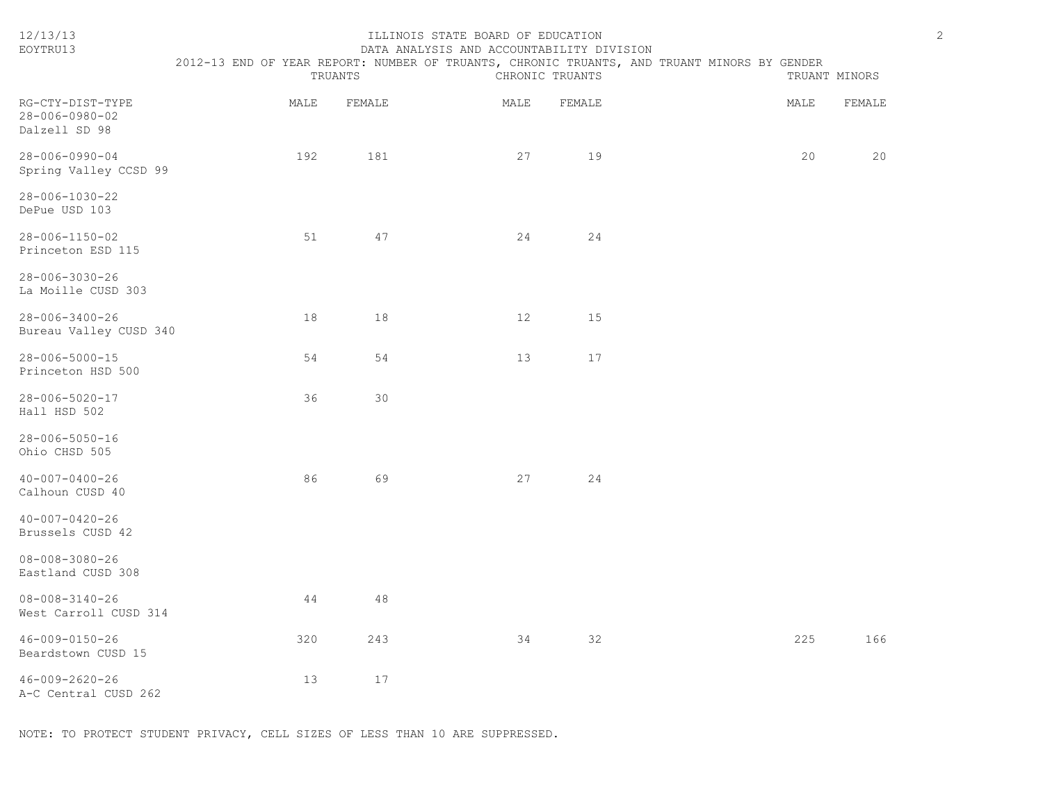| 12/13/13<br>EOYTRU13                                | ILLINOIS STATE BOARD OF EDUCATION<br>DATA ANALYSIS AND ACCOUNTABILITY DIVISION<br>2012-13 END OF YEAR REPORT: NUMBER OF TRUANTS, CHRONIC TRUANTS, AND TRUANT MINORS BY GENDER<br>TRUANTS<br>CHRONIC TRUANTS<br>TRUANT MINORS |        |                   |        |  |      |        |
|-----------------------------------------------------|------------------------------------------------------------------------------------------------------------------------------------------------------------------------------------------------------------------------------|--------|-------------------|--------|--|------|--------|
| RG-CTY-DIST-TYPE<br>28-006-0980-02<br>Dalzell SD 98 | MALE                                                                                                                                                                                                                         | FEMALE | MALE              | FEMALE |  | MALE | FEMALE |
| $28 - 006 - 0990 - 04$<br>Spring Valley CCSD 99     | 192                                                                                                                                                                                                                          | 181    | 27                | 19     |  | 20   | 20     |
| 28-006-1030-22<br>DePue USD 103                     |                                                                                                                                                                                                                              |        |                   |        |  |      |        |
| 28-006-1150-02<br>Princeton ESD 115                 | 51                                                                                                                                                                                                                           | 47     | 24                | 24     |  |      |        |
| 28-006-3030-26<br>La Moille CUSD 303                |                                                                                                                                                                                                                              |        |                   |        |  |      |        |
| $28 - 006 - 3400 - 26$<br>Bureau Valley CUSD 340    | 18                                                                                                                                                                                                                           | 18     | $12 \overline{ }$ | 15     |  |      |        |
| $28 - 006 - 5000 - 15$<br>Princeton HSD 500         | 54                                                                                                                                                                                                                           | 54     | 13                | 17     |  |      |        |
| 28-006-5020-17<br>Hall HSD 502                      | 36                                                                                                                                                                                                                           | 30     |                   |        |  |      |        |
| $28 - 006 - 5050 - 16$<br>Ohio CHSD 505             |                                                                                                                                                                                                                              |        |                   |        |  |      |        |
| $40 - 007 - 0400 - 26$<br>Calhoun CUSD 40           | 86                                                                                                                                                                                                                           | 69     | 27                | 24     |  |      |        |
| $40 - 007 - 0420 - 26$<br>Brussels CUSD 42          |                                                                                                                                                                                                                              |        |                   |        |  |      |        |
| $08 - 008 - 3080 - 26$<br>Eastland CUSD 308         |                                                                                                                                                                                                                              |        |                   |        |  |      |        |
| $08 - 008 - 3140 - 26$<br>West Carroll CUSD 314     | 44                                                                                                                                                                                                                           | 48     |                   |        |  |      |        |
| 46-009-0150-26<br>Beardstown CUSD 15                | 320                                                                                                                                                                                                                          | 243    | 34                | 32     |  | 225  | 166    |
| 46-009-2620-26<br>A-C Central CUSD 262              | 13                                                                                                                                                                                                                           | 17     |                   |        |  |      |        |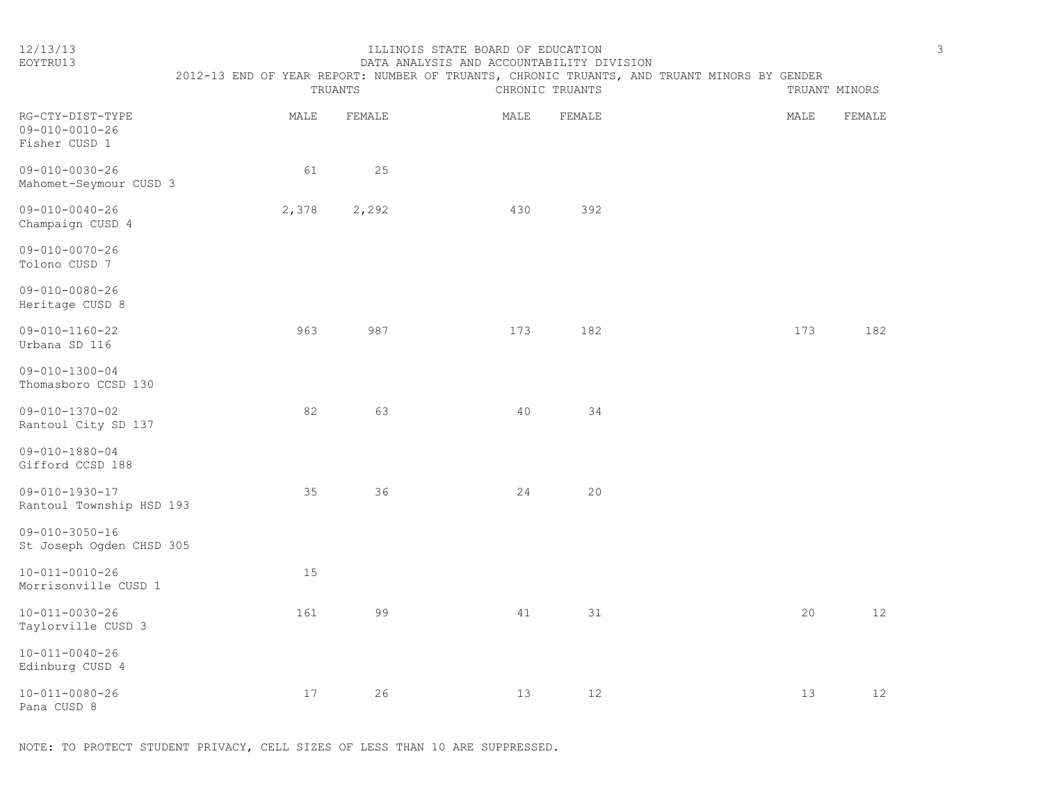#### 12/13/13 ILLINOIS STATE BOARD OF EDUCATION 3 EOYTRU13 DATA ANALYSIS AND ACCOUNTABILITY DIVISION

| v |
|---|
|   |
|   |
| ٦ |

|                                                             | 2012-13 END OF YEAR REPORT: NUMBER OF TRUANTS, CHRONIC TRUANTS, AND TRUANT MINORS BY GENDER | TRUANTS | CHRONIC TRUANTS |        | TRUANT MINORS |                 |
|-------------------------------------------------------------|---------------------------------------------------------------------------------------------|---------|-----------------|--------|---------------|-----------------|
| RG-CTY-DIST-TYPE<br>$09 - 010 - 0010 - 26$<br>Fisher CUSD 1 | MALE                                                                                        | FEMALE  | MALE            | FEMALE | MALE          | FEMALE          |
| $09 - 010 - 0030 - 26$<br>Mahomet-Seymour CUSD 3            | 61                                                                                          | 25      |                 |        |               |                 |
| $09 - 010 - 0040 - 26$<br>Champaign CUSD 4                  | 2,378                                                                                       | 2,292   | 430             | 392    |               |                 |
| 09-010-0070-26<br>Tolono CUSD 7                             |                                                                                             |         |                 |        |               |                 |
| $09 - 010 - 0080 - 26$<br>Heritage CUSD 8                   |                                                                                             |         |                 |        |               |                 |
| $09 - 010 - 1160 - 22$<br>Urbana SD 116                     | 963                                                                                         | 987     | 173             | 182    | 173           | 182             |
| $09 - 010 - 1300 - 04$<br>Thomasboro CCSD 130               |                                                                                             |         |                 |        |               |                 |
| 09-010-1370-02<br>Rantoul City SD 137                       | 82                                                                                          | 63      | 40              | 34     |               |                 |
| $09 - 010 - 1880 - 04$<br>Gifford CCSD 188                  |                                                                                             |         |                 |        |               |                 |
| $09 - 010 - 1930 - 17$<br>Rantoul Township HSD 193          | 35                                                                                          | 36      | 24              | 20     |               |                 |
| $09 - 010 - 3050 - 16$<br>St Joseph Ogden CHSD 305          |                                                                                             |         |                 |        |               |                 |
| $10 - 011 - 0010 - 26$<br>Morrisonville CUSD 1              | 15                                                                                          |         |                 |        |               |                 |
| $10 - 011 - 0030 - 26$<br>Taylorville CUSD 3                | 161                                                                                         | 99      | 41              | 31     | 20            | 12 <sup>°</sup> |
| $10 - 011 - 0040 - 26$<br>Edinburg CUSD 4                   |                                                                                             |         |                 |        |               |                 |
| $10 - 011 - 0080 - 26$<br>Pana CUSD 8                       | 17                                                                                          | 26      | 13              | 12     | 13            | 12 <sup>°</sup> |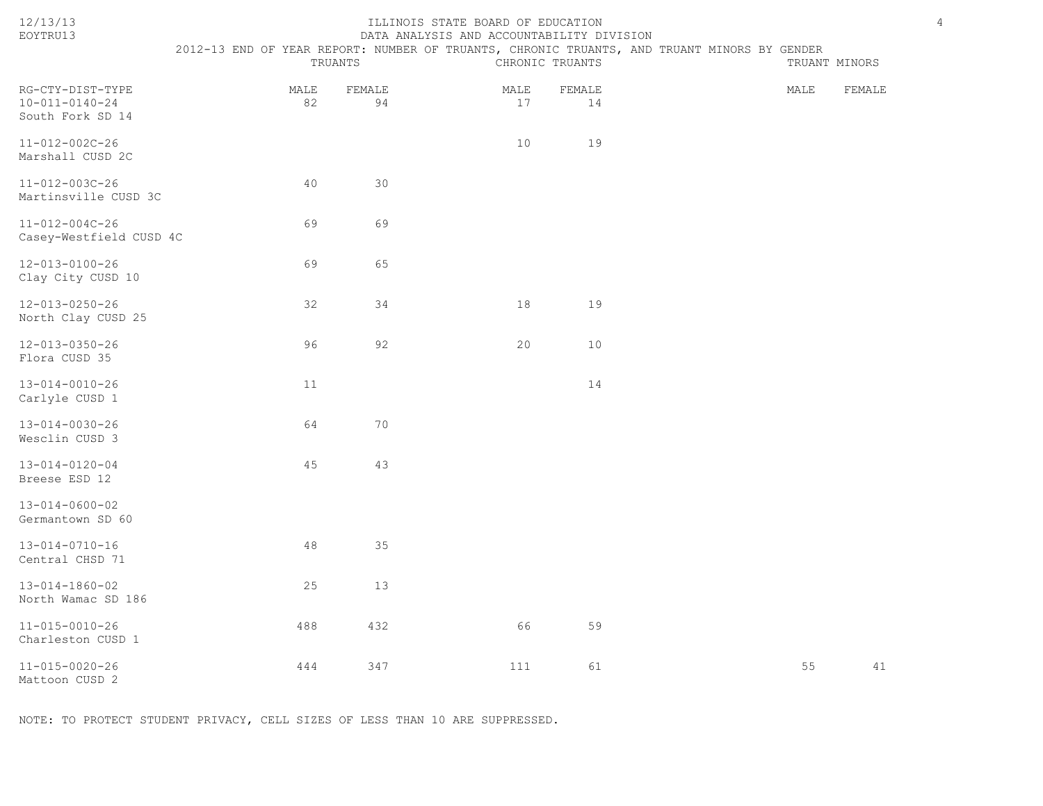# ILLINOIS STATE BOARD OF EDUCATION 4

EOYTRU13 DATA ANALYSIS AND ACCOUNTABILITY DIVISION 2012-13 END OF YEAR REPORT: NUMBER OF TRUANTS, CHRONIC TRUANTS, AND TRUANT MINORS BY GENDER<br>TRUANTS CHRONIC TRUANTS CHRONIC TRUANTS

|                                                                |            | TRUANTS      |            | CHRONIC TRUANTS |      | TRUANT MINORS |  |  |
|----------------------------------------------------------------|------------|--------------|------------|-----------------|------|---------------|--|--|
| RG-CTY-DIST-TYPE<br>$10 - 011 - 0140 - 24$<br>South Fork SD 14 | MALE<br>82 | FEMALE<br>94 | MALE<br>17 | FEMALE<br>14    | MALE | FEMALE        |  |  |
| $11 - 012 - 002C - 26$<br>Marshall CUSD 2C                     |            |              | 10         | 19              |      |               |  |  |
| 11-012-003C-26<br>Martinsville CUSD 3C                         | 40         | 30           |            |                 |      |               |  |  |
| $11 - 012 - 004C - 26$<br>Casey-Westfield CUSD 4C              | 69         | 69           |            |                 |      |               |  |  |
| 12-013-0100-26<br>Clay City CUSD 10                            | 69         | 65           |            |                 |      |               |  |  |
| $12 - 013 - 0250 - 26$<br>North Clay CUSD 25                   | 32         | 34           | 18         | 19              |      |               |  |  |
| $12 - 013 - 0350 - 26$<br>Flora CUSD 35                        | 96         | 92           | 20         | 10              |      |               |  |  |
| $13 - 014 - 0010 - 26$<br>Carlyle CUSD 1                       | 11         |              |            | 14              |      |               |  |  |
| $13 - 014 - 0030 - 26$<br>Wesclin CUSD 3                       | 64         | 70           |            |                 |      |               |  |  |
| $13 - 014 - 0120 - 04$<br>Breese ESD 12                        | 45         | 43           |            |                 |      |               |  |  |
| $13 - 014 - 0600 - 02$<br>Germantown SD 60                     |            |              |            |                 |      |               |  |  |
| $13 - 014 - 0710 - 16$<br>Central CHSD 71                      | 48         | 35           |            |                 |      |               |  |  |
| 13-014-1860-02<br>North Wamac SD 186                           | 25         | 13           |            |                 |      |               |  |  |
| $11 - 015 - 0010 - 26$<br>Charleston CUSD 1                    | 488        | 432          | 66         | 59              |      |               |  |  |
| $11 - 015 - 0020 - 26$                                         | 444        | 347          | 111        | 61              | 55   | 41            |  |  |

Mattoon CUSD 2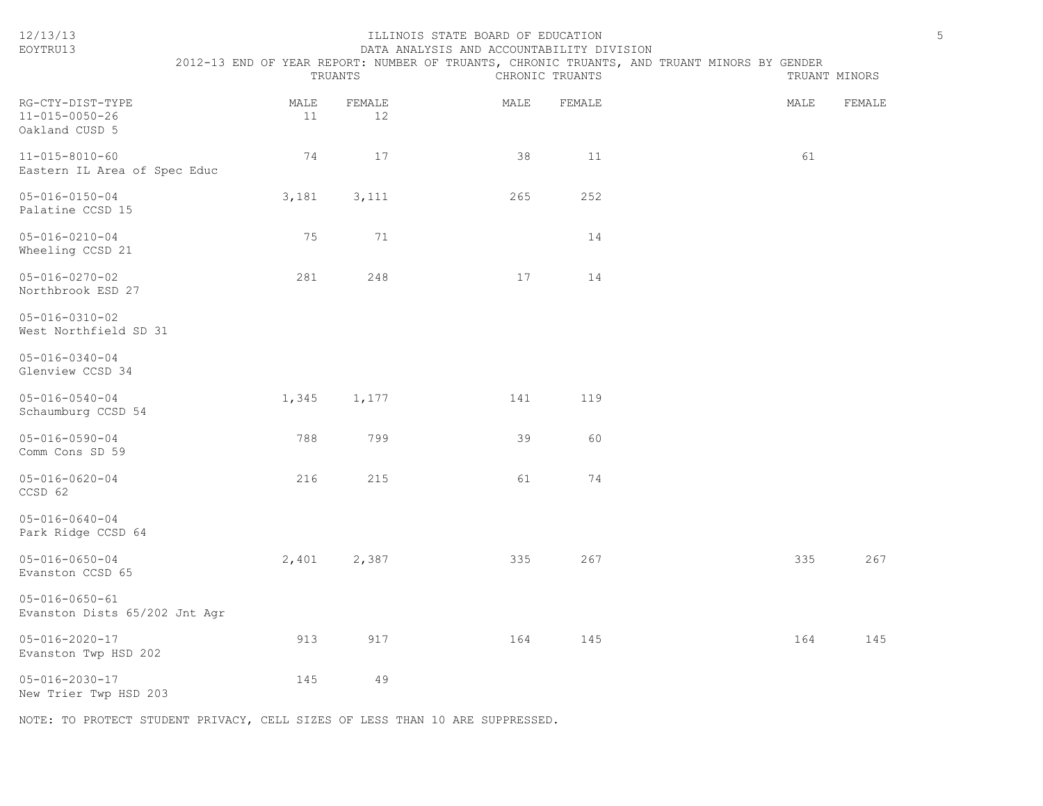| 12/13/13<br>EOYTRU13                                         | 2012-13 END OF YEAR REPORT: NUMBER OF TRUANTS, CHRONIC TRUANTS, AND TRUANT MINORS BY GENDER | TRUANTS | ILLINOIS STATE BOARD OF EDUCATION<br>DATA ANALYSIS AND ACCOUNTABILITY DIVISION | CHRONIC TRUANTS |        |  | TRUANT MINORS | $\overline{5}$ |
|--------------------------------------------------------------|---------------------------------------------------------------------------------------------|---------|--------------------------------------------------------------------------------|-----------------|--------|--|---------------|----------------|
| RG-CTY-DIST-TYPE<br>$11 - 015 - 0050 - 26$<br>Oakland CUSD 5 | MALE                                                                                        | 11      | FEMALE<br>12                                                                   | MALE            | FEMALE |  | MALE          | FEMALE         |
| $11 - 015 - 8010 - 60$<br>Eastern IL Area of Spec Educ       |                                                                                             | 74      | 17                                                                             | 38              | 11     |  | 61            |                |
| $05 - 016 - 0150 - 04$<br>Palatine CCSD 15                   | 3,181                                                                                       |         | 3,111                                                                          | 265             | 252    |  |               |                |
| $05 - 016 - 0210 - 04$<br>Wheeling CCSD 21                   |                                                                                             | 75      | 71                                                                             |                 | 14     |  |               |                |
| $05 - 016 - 0270 - 02$<br>Northbrook ESD 27                  |                                                                                             | 281     | 248                                                                            | 17              | 14     |  |               |                |
| $05 - 016 - 0310 - 02$<br>West Northfield SD 31              |                                                                                             |         |                                                                                |                 |        |  |               |                |
| $05 - 016 - 0340 - 04$<br>Glenview CCSD 34                   |                                                                                             |         |                                                                                |                 |        |  |               |                |
| $05 - 016 - 0540 - 04$<br>Schaumburg CCSD 54                 | 1,345                                                                                       |         | 1,177                                                                          | 141             | 119    |  |               |                |
| $05 - 016 - 0590 - 04$<br>Comm Cons SD 59                    |                                                                                             | 788     | 799                                                                            | 39              | 60     |  |               |                |
| $05 - 016 - 0620 - 04$<br>CCSD 62                            |                                                                                             | 216     | 215                                                                            | 61              | 74     |  |               |                |
| $05 - 016 - 0640 - 04$<br>Park Ridge CCSD 64                 |                                                                                             |         |                                                                                |                 |        |  |               |                |
| $05 - 016 - 0650 - 04$<br>Evanston CCSD 65                   | 2,401                                                                                       |         | 2,387                                                                          | 335             | 267    |  | 335           | 267            |
| $05 - 016 - 0650 - 61$<br>Evanston Dists 65/202 Jnt Agr      |                                                                                             |         |                                                                                |                 |        |  |               |                |
| $05 - 016 - 2020 - 17$<br>Evanston Twp HSD 202               |                                                                                             | 913     | 917                                                                            | 164             | 145    |  | 164           | 145            |
| $05 - 016 - 2030 - 17$<br>New Trier Twp HSD 203              |                                                                                             | 145     | 49                                                                             |                 |        |  |               |                |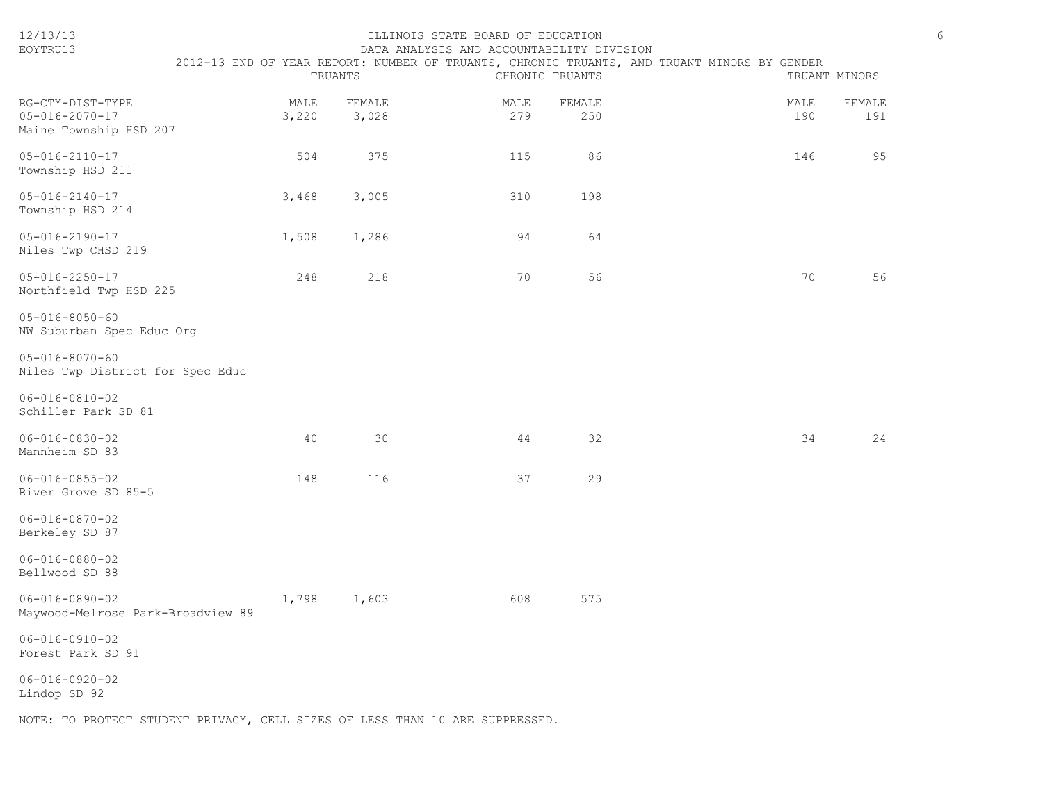| 12/13/13<br>EOYTRU13                                                 | 6<br>ILLINOIS STATE BOARD OF EDUCATION<br>DATA ANALYSIS AND ACCOUNTABILITY DIVISION<br>2012-13 END OF YEAR REPORT: NUMBER OF TRUANTS, CHRONIC TRUANTS, AND TRUANT MINORS BY GENDER<br>TRUANTS<br>CHRONIC TRUANTS<br>TRUANT MINORS |                 |             |               |  |             |               |  |  |
|----------------------------------------------------------------------|-----------------------------------------------------------------------------------------------------------------------------------------------------------------------------------------------------------------------------------|-----------------|-------------|---------------|--|-------------|---------------|--|--|
| RG-CTY-DIST-TYPE<br>$05 - 016 - 2070 - 17$<br>Maine Township HSD 207 | MALE<br>3,220                                                                                                                                                                                                                     | FEMALE<br>3,028 | MALE<br>279 | FEMALE<br>250 |  | MALE<br>190 | FEMALE<br>191 |  |  |
| $05 - 016 - 2110 - 17$<br>Township HSD 211                           | 504                                                                                                                                                                                                                               | 375             | 115         | 86            |  | 146         | 95            |  |  |
| $05 - 016 - 2140 - 17$<br>Township HSD 214                           | 3,468                                                                                                                                                                                                                             | 3,005           | 310         | 198           |  |             |               |  |  |
| $05 - 016 - 2190 - 17$<br>Niles Twp CHSD 219                         | 1,508                                                                                                                                                                                                                             | 1,286           | 94          | 64            |  |             |               |  |  |
| $05 - 016 - 2250 - 17$<br>Northfield Twp HSD 225                     | 248                                                                                                                                                                                                                               | 218             | 70          | 56            |  | 70          | 56            |  |  |
| $05 - 016 - 8050 - 60$<br>NW Suburban Spec Educ Org                  |                                                                                                                                                                                                                                   |                 |             |               |  |             |               |  |  |
| $05 - 016 - 8070 - 60$<br>Niles Twp District for Spec Educ           |                                                                                                                                                                                                                                   |                 |             |               |  |             |               |  |  |
| $06 - 016 - 0810 - 02$<br>Schiller Park SD 81                        |                                                                                                                                                                                                                                   |                 |             |               |  |             |               |  |  |
| $06 - 016 - 0830 - 02$<br>Mannheim SD 83                             | 40                                                                                                                                                                                                                                | 30              | 44          | 32            |  | 34          | 24            |  |  |
| $06 - 016 - 0855 - 02$<br>River Grove SD 85-5                        | 148                                                                                                                                                                                                                               | 116             | 37          | 29            |  |             |               |  |  |
| $06 - 016 - 0870 - 02$<br>Berkeley SD 87                             |                                                                                                                                                                                                                                   |                 |             |               |  |             |               |  |  |
| $06 - 016 - 0880 - 02$<br>Bellwood SD 88                             |                                                                                                                                                                                                                                   |                 |             |               |  |             |               |  |  |
| $06 - 016 - 0890 - 02$<br>Maywood-Melrose Park-Broadview 89          | 1,798                                                                                                                                                                                                                             | 1,603           | 608         | 575           |  |             |               |  |  |
| $06 - 016 - 0910 - 02$<br>Forest Park SD 91                          |                                                                                                                                                                                                                                   |                 |             |               |  |             |               |  |  |
| $06 - 016 - 0920 - 02$<br>Lindop SD 92                               |                                                                                                                                                                                                                                   |                 |             |               |  |             |               |  |  |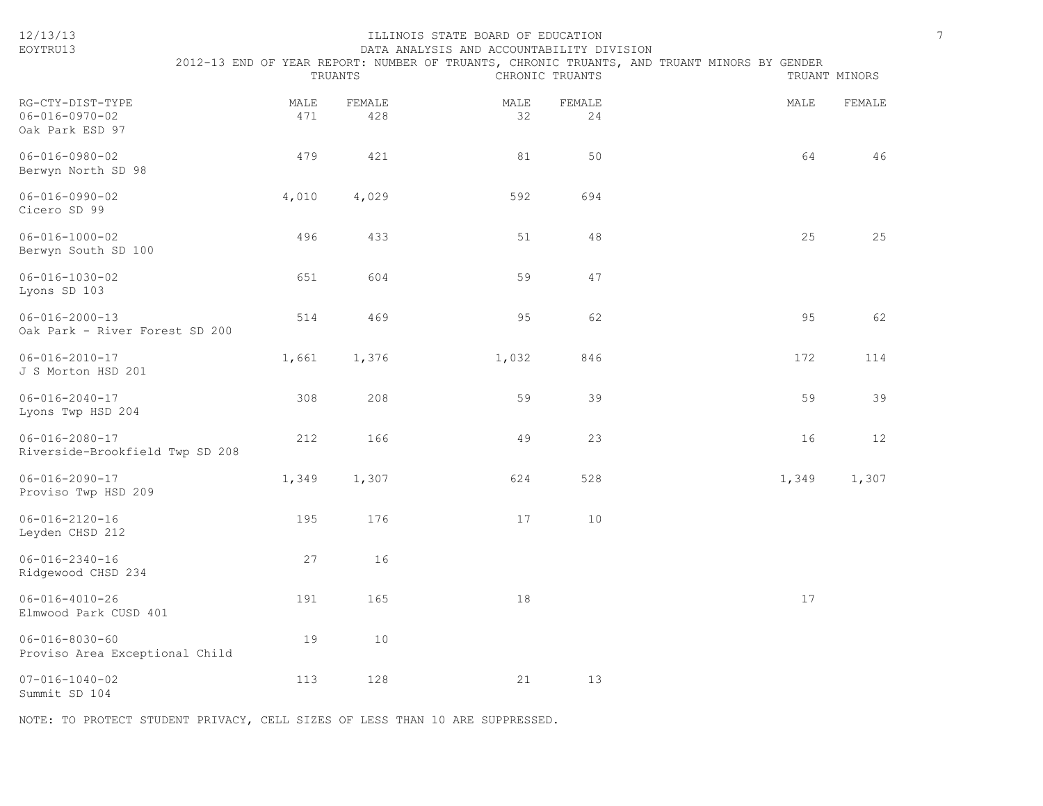| EOYTRU13                                                      | DATA ANALYSIS AND ACCOUNTABILITY DIVISION |               |            |                 |                                                                                             |               |  |  |  |  |
|---------------------------------------------------------------|-------------------------------------------|---------------|------------|-----------------|---------------------------------------------------------------------------------------------|---------------|--|--|--|--|
|                                                               |                                           | TRUANTS       |            | CHRONIC TRUANTS | 2012-13 END OF YEAR REPORT: NUMBER OF TRUANTS, CHRONIC TRUANTS, AND TRUANT MINORS BY GENDER | TRUANT MINORS |  |  |  |  |
| RG-CTY-DIST-TYPE<br>$06 - 016 - 0970 - 02$<br>Oak Park ESD 97 | MALE<br>471                               | FEMALE<br>428 | MALE<br>32 | FEMALE<br>24    | MALE                                                                                        | FEMALE        |  |  |  |  |
| $06 - 016 - 0980 - 02$<br>Berwyn North SD 98                  | 479                                       | 421           | 81         | 50              | 64                                                                                          | 46            |  |  |  |  |
| $06 - 016 - 0990 - 02$<br>Cicero SD 99                        | 4,010                                     | 4,029         | 592        | 694             |                                                                                             |               |  |  |  |  |
| $06 - 016 - 1000 - 02$<br>Berwyn South SD 100                 | 496                                       | 433           | 51         | 48              | 25                                                                                          | 25            |  |  |  |  |
| $06 - 016 - 1030 - 02$<br>Lyons SD 103                        | 651                                       | 604           | 59         | 47              |                                                                                             |               |  |  |  |  |
| $06 - 016 - 2000 - 13$<br>Oak Park - River Forest SD 200      | 514                                       | 469           | 95         | 62              | 95                                                                                          | 62            |  |  |  |  |
| $06 - 016 - 2010 - 17$<br>J S Morton HSD 201                  | 1,661                                     | 1,376         | 1,032      | 846             | 172                                                                                         | 114           |  |  |  |  |
| $06 - 016 - 2040 - 17$<br>Lyons Twp HSD 204                   | 308                                       | 208           | 59         | 39              | 59                                                                                          | 39            |  |  |  |  |
| $06 - 016 - 2080 - 17$<br>Riverside-Brookfield Twp SD 208     | 212                                       | 166           | 49         | 23              | 16                                                                                          | 12            |  |  |  |  |
| $06 - 016 - 2090 - 17$<br>Proviso Twp HSD 209                 | 1,349                                     | 1,307         | 624        | 528             | 1,349                                                                                       | 1,307         |  |  |  |  |
| $06 - 016 - 2120 - 16$<br>Leyden CHSD 212                     | 195                                       | 176           | 17         | 10              |                                                                                             |               |  |  |  |  |
| $06 - 016 - 2340 - 16$<br>Ridgewood CHSD 234                  | 27                                        | 16            |            |                 |                                                                                             |               |  |  |  |  |
| $06 - 016 - 4010 - 26$<br>Elmwood Park CUSD 401               | 191                                       | 165           | 18         |                 | 17                                                                                          |               |  |  |  |  |
| $06 - 016 - 8030 - 60$<br>Proviso Area Exceptional Child      | 19                                        | 10            |            |                 |                                                                                             |               |  |  |  |  |
| $07 - 016 - 1040 - 02$<br>Summit SD 104                       | 113                                       | 128           | 21         | 13              |                                                                                             |               |  |  |  |  |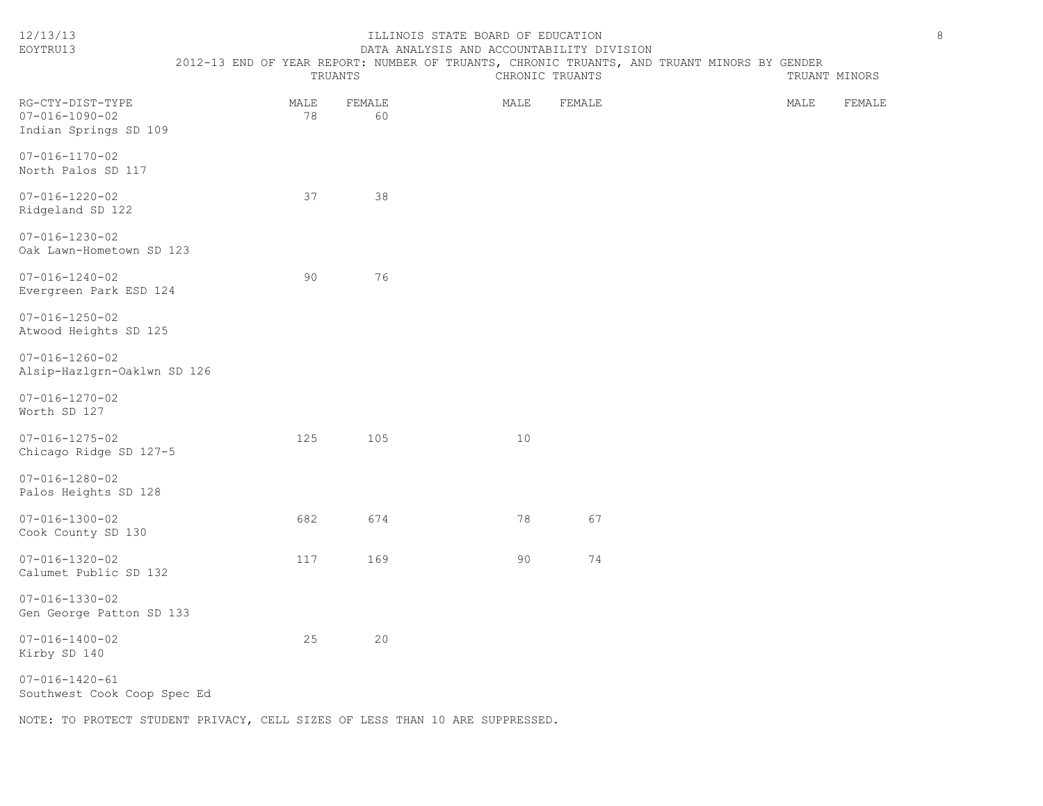| 12/13/13<br>EOYTRU13                                                | ILLINOIS STATE BOARD OF EDUCATION<br>DATA ANALYSIS AND ACCOUNTABILITY DIVISION |  |            |              |  |  |                 |                                                                                             |  |  | $\,8\,$ |               |  |
|---------------------------------------------------------------------|--------------------------------------------------------------------------------|--|------------|--------------|--|--|-----------------|---------------------------------------------------------------------------------------------|--|--|---------|---------------|--|
|                                                                     |                                                                                |  | TRUANTS    |              |  |  | CHRONIC TRUANTS | 2012-13 END OF YEAR REPORT: NUMBER OF TRUANTS, CHRONIC TRUANTS, AND TRUANT MINORS BY GENDER |  |  |         | TRUANT MINORS |  |
| RG-CTY-DIST-TYPE<br>$07 - 016 - 1090 - 02$<br>Indian Springs SD 109 |                                                                                |  | MALE<br>78 | FEMALE<br>60 |  |  | MALE            | FEMALE                                                                                      |  |  | MALE    | FEMALE        |  |
| $07 - 016 - 1170 - 02$<br>North Palos SD 117                        |                                                                                |  |            |              |  |  |                 |                                                                                             |  |  |         |               |  |
| $07 - 016 - 1220 - 02$<br>Ridgeland SD 122                          |                                                                                |  | 37         | 38           |  |  |                 |                                                                                             |  |  |         |               |  |
| $07 - 016 - 1230 - 02$<br>Oak Lawn-Hometown SD 123                  |                                                                                |  |            |              |  |  |                 |                                                                                             |  |  |         |               |  |
| $07 - 016 - 1240 - 02$<br>Evergreen Park ESD 124                    |                                                                                |  | 90         | 76           |  |  |                 |                                                                                             |  |  |         |               |  |
| $07 - 016 - 1250 - 02$<br>Atwood Heights SD 125                     |                                                                                |  |            |              |  |  |                 |                                                                                             |  |  |         |               |  |
| $07 - 016 - 1260 - 02$<br>Alsip-Hazlgrn-Oaklwn SD 126               |                                                                                |  |            |              |  |  |                 |                                                                                             |  |  |         |               |  |
| $07 - 016 - 1270 - 02$<br>Worth SD 127                              |                                                                                |  |            |              |  |  |                 |                                                                                             |  |  |         |               |  |
| $07 - 016 - 1275 - 02$<br>Chicago Ridge SD 127-5                    |                                                                                |  | 125        | 105          |  |  | 10              |                                                                                             |  |  |         |               |  |
| $07 - 016 - 1280 - 02$<br>Palos Heights SD 128                      |                                                                                |  |            |              |  |  |                 |                                                                                             |  |  |         |               |  |
| $07 - 016 - 1300 - 02$<br>Cook County SD 130                        |                                                                                |  | 682        | 674          |  |  | 78              | 67                                                                                          |  |  |         |               |  |
| $07 - 016 - 1320 - 02$<br>Calumet Public SD 132                     |                                                                                |  | 117        | 169          |  |  | 90              | 74                                                                                          |  |  |         |               |  |
| $07 - 016 - 1330 - 02$<br>Gen George Patton SD 133                  |                                                                                |  |            |              |  |  |                 |                                                                                             |  |  |         |               |  |
| $07 - 016 - 1400 - 02$<br>Kirby SD 140                              |                                                                                |  | 25         | 20           |  |  |                 |                                                                                             |  |  |         |               |  |
| $07 - 016 - 1420 - 61$<br>Southwest Cook Coop Spec Ed               |                                                                                |  |            |              |  |  |                 |                                                                                             |  |  |         |               |  |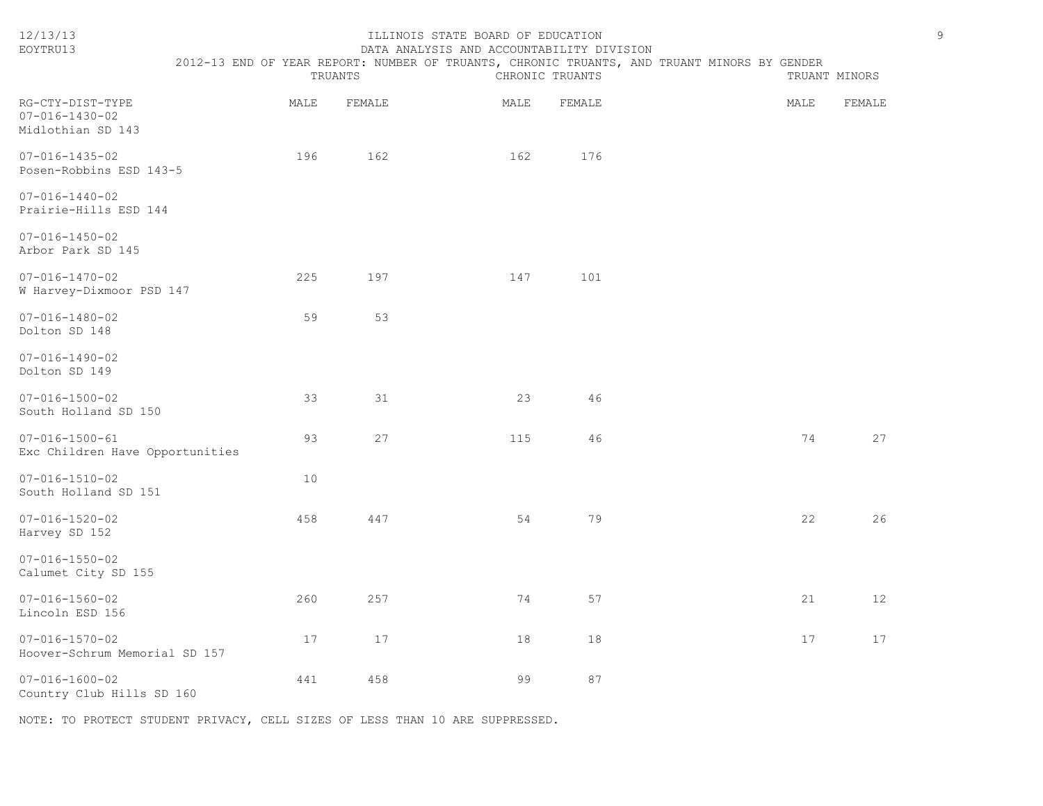| 12/13/13<br>EOYTRU13                                            |      | TRUANTS | ILLINOIS STATE BOARD OF EDUCATION<br>DATA ANALYSIS AND ACCOUNTABILITY DIVISION<br>2012-13 END OF YEAR REPORT: NUMBER OF TRUANTS, CHRONIC TRUANTS, AND TRUANT MINORS BY GENDER | CHRONIC TRUANTS |      | 9<br>TRUANT MINORS |
|-----------------------------------------------------------------|------|---------|-------------------------------------------------------------------------------------------------------------------------------------------------------------------------------|-----------------|------|--------------------|
| RG-CTY-DIST-TYPE<br>$07 - 016 - 1430 - 02$<br>Midlothian SD 143 | MALE | FEMALE  | MALE                                                                                                                                                                          | FEMALE          | MALE | FEMALE             |
| $07 - 016 - 1435 - 02$<br>Posen-Robbins ESD 143-5               | 196  | 162     | 162                                                                                                                                                                           | 176             |      |                    |
| $07 - 016 - 1440 - 02$<br>Prairie-Hills ESD 144                 |      |         |                                                                                                                                                                               |                 |      |                    |
| $07 - 016 - 1450 - 02$<br>Arbor Park SD 145                     |      |         |                                                                                                                                                                               |                 |      |                    |
| $07 - 016 - 1470 - 02$<br>W Harvey-Dixmoor PSD 147              | 225  | 197     | 147                                                                                                                                                                           | 101             |      |                    |
| $07 - 016 - 1480 - 02$<br>Dolton SD 148                         | 59   | 53      |                                                                                                                                                                               |                 |      |                    |
| $07 - 016 - 1490 - 02$<br>Dolton SD 149                         |      |         |                                                                                                                                                                               |                 |      |                    |
| $07 - 016 - 1500 - 02$<br>South Holland SD 150                  | 33   | 31      | 23                                                                                                                                                                            | 46              |      |                    |
| $07 - 016 - 1500 - 61$<br>Exc Children Have Opportunities       | 93   | 27      | 115                                                                                                                                                                           | 46              | 74   | 27                 |
| $07 - 016 - 1510 - 02$<br>South Holland SD 151                  | 10   |         |                                                                                                                                                                               |                 |      |                    |
| $07 - 016 - 1520 - 02$<br>Harvey SD 152                         | 458  | 447     | 54                                                                                                                                                                            | 79              | 22   | 26                 |
| $07 - 016 - 1550 - 02$<br>Calumet City SD 155                   |      |         |                                                                                                                                                                               |                 |      |                    |
| $07 - 016 - 1560 - 02$<br>Lincoln ESD 156                       | 260  | 257     | 74                                                                                                                                                                            | 57              | 21   | 12                 |
| $07 - 016 - 1570 - 02$<br>Hoover-Schrum Memorial SD 157         | 17   | 17      | 18                                                                                                                                                                            | 18              | 17   | 17                 |
| $07 - 016 - 1600 - 02$<br>Country Club Hills SD 160             | 441  | 458     | 99                                                                                                                                                                            | 87              |      |                    |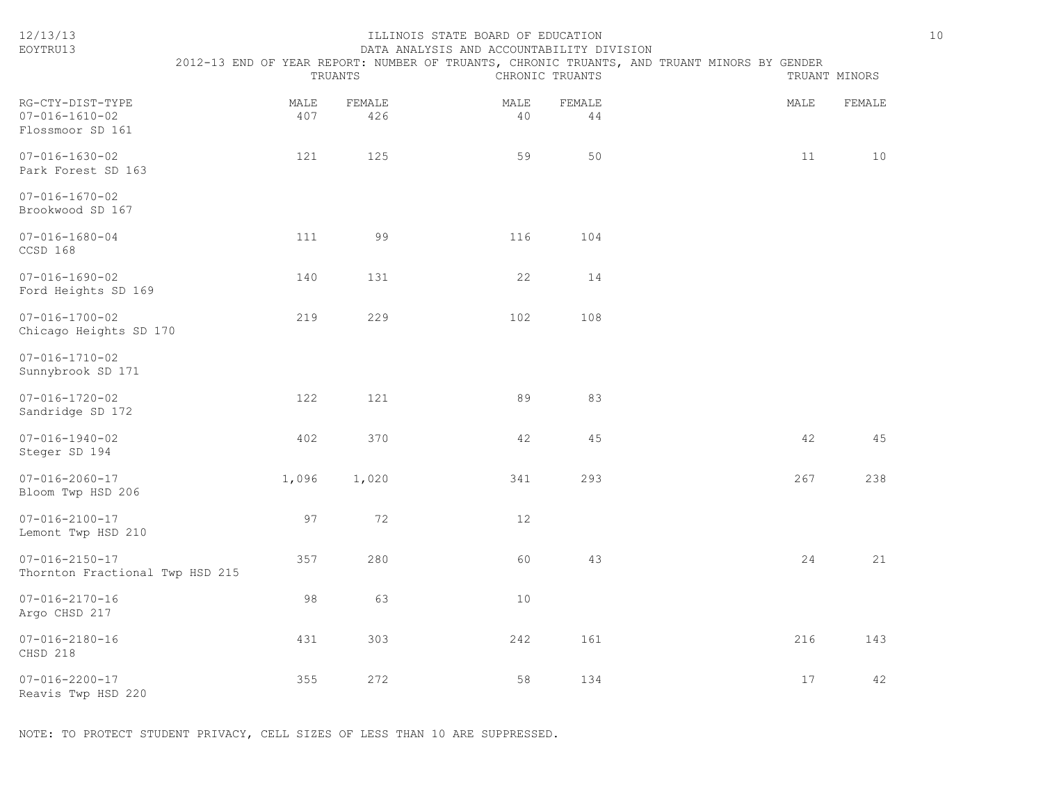| 12/13/13<br>EOYTRU13                                           |             | TRUANTS       | ILLINOIS STATE BOARD OF EDUCATION<br>DATA ANALYSIS AND ACCOUNTABILITY DIVISION | CHRONIC TRUANTS | 2012-13 END OF YEAR REPORT: NUMBER OF TRUANTS, CHRONIC TRUANTS, AND TRUANT MINORS BY GENDER | $10$<br>TRUANT MINORS |  |
|----------------------------------------------------------------|-------------|---------------|--------------------------------------------------------------------------------|-----------------|---------------------------------------------------------------------------------------------|-----------------------|--|
| RG-CTY-DIST-TYPE<br>$07 - 016 - 1610 - 02$<br>Flossmoor SD 161 | MALE<br>407 | FEMALE<br>426 | MALE<br>40                                                                     | FEMALE<br>44    | MALE                                                                                        | FEMALE                |  |
| $07 - 016 - 1630 - 02$<br>Park Forest SD 163                   | 121         | 125           | 59                                                                             | 50              | 11                                                                                          | 10                    |  |
| $07 - 016 - 1670 - 02$<br>Brookwood SD 167                     |             |               |                                                                                |                 |                                                                                             |                       |  |
| $07 - 016 - 1680 - 04$<br>CCSD 168                             | 111         | 99            | 116                                                                            | 104             |                                                                                             |                       |  |
| $07 - 016 - 1690 - 02$<br>Ford Heights SD 169                  | 140         | 131           | 22                                                                             | 14              |                                                                                             |                       |  |
| $07 - 016 - 1700 - 02$<br>Chicago Heights SD 170               | 219         | 229           | 102                                                                            | 108             |                                                                                             |                       |  |
| $07 - 016 - 1710 - 02$<br>Sunnybrook SD 171                    |             |               |                                                                                |                 |                                                                                             |                       |  |
| $07 - 016 - 1720 - 02$<br>Sandridge SD 172                     | 122         | 121           | 89                                                                             | 83              |                                                                                             |                       |  |
| $07 - 016 - 1940 - 02$<br>Steger SD 194                        | 402         | 370           | 42                                                                             | 45              | 42                                                                                          | 45                    |  |
| $07 - 016 - 2060 - 17$<br>Bloom Twp HSD 206                    | 1,096       | 1,020         | 341                                                                            | 293             | 267                                                                                         | 238                   |  |
| $07 - 016 - 2100 - 17$<br>Lemont Twp HSD 210                   | 97          | 72            | 12                                                                             |                 |                                                                                             |                       |  |
| $07 - 016 - 2150 - 17$<br>Thornton Fractional Twp HSD 215      | 357         | 280           | 60                                                                             | 43              | 24                                                                                          | 21                    |  |
| $07 - 016 - 2170 - 16$<br>Argo CHSD 217                        | 98          | 63            | $10$                                                                           |                 |                                                                                             |                       |  |
| $07 - 016 - 2180 - 16$<br>CHSD 218                             | 431         | 303           | 242                                                                            | 161             | 216                                                                                         | 143                   |  |
| $07 - 016 - 2200 - 17$<br>Reavis Twp HSD 220                   | 355         | 272           | 58                                                                             | 134             | 17                                                                                          | 42                    |  |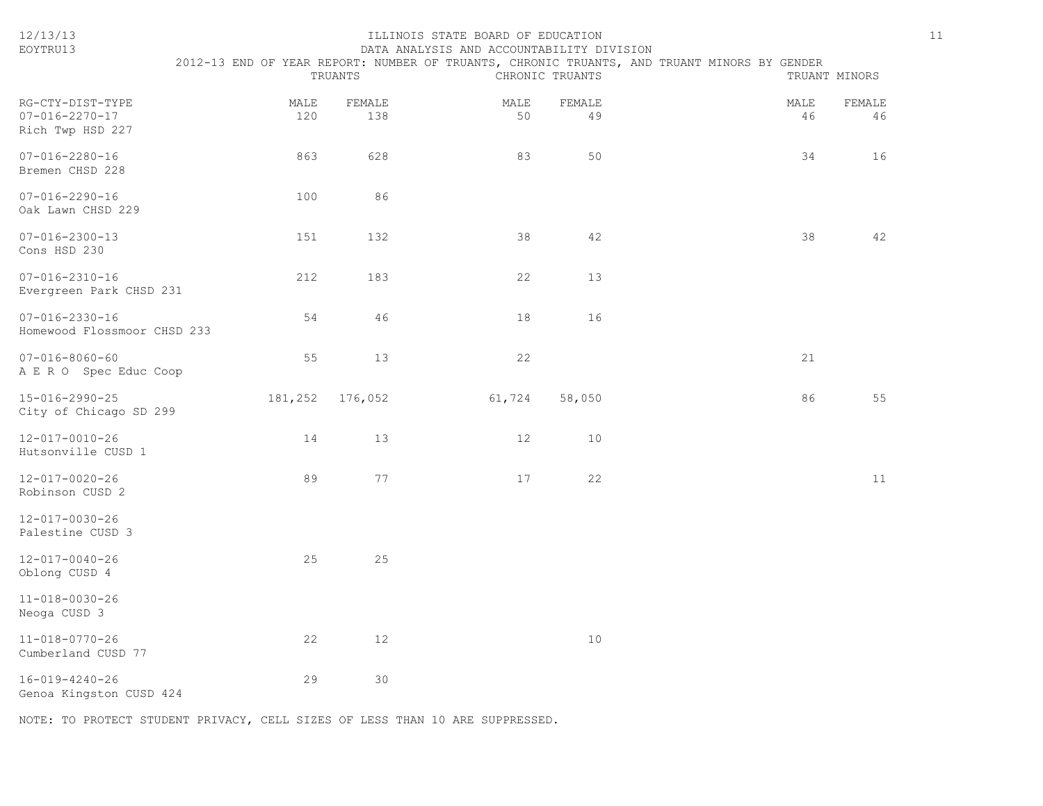| 12/13/13<br>EOYTRU13                                           |             |               | ILLINOIS STATE BOARD OF EDUCATION<br>DATA ANALYSIS AND ACCOUNTABILITY DIVISION |                 |                                                                                             |            | 11            |
|----------------------------------------------------------------|-------------|---------------|--------------------------------------------------------------------------------|-----------------|---------------------------------------------------------------------------------------------|------------|---------------|
|                                                                |             | TRUANTS       |                                                                                | CHRONIC TRUANTS | 2012-13 END OF YEAR REPORT: NUMBER OF TRUANTS, CHRONIC TRUANTS, AND TRUANT MINORS BY GENDER |            | TRUANT MINORS |
| RG-CTY-DIST-TYPE<br>$07 - 016 - 2270 - 17$<br>Rich Twp HSD 227 | MALE<br>120 | FEMALE<br>138 | MALE<br>50                                                                     | FEMALE<br>49    |                                                                                             | MALE<br>46 | FEMALE<br>46  |
| $07 - 016 - 2280 - 16$<br>Bremen CHSD 228                      | 863         | 628           | 83                                                                             | 50              |                                                                                             | 34         | 16            |
| $07 - 016 - 2290 - 16$<br>Oak Lawn CHSD 229                    | 100         | 86            |                                                                                |                 |                                                                                             |            |               |
| $07 - 016 - 2300 - 13$<br>Cons HSD 230                         | 151         | 132           | 38                                                                             | 42              |                                                                                             | 38         | 42            |
| $07 - 016 - 2310 - 16$<br>Evergreen Park CHSD 231              | 212         | 183           | 22                                                                             | 13              |                                                                                             |            |               |
| $07 - 016 - 2330 - 16$<br>Homewood Flossmoor CHSD 233          | 54          | 46            | 18                                                                             | 16              |                                                                                             |            |               |
| $07 - 016 - 8060 - 60$<br>A E R O Spec Educ Coop               | 55          | 13            | 22                                                                             |                 |                                                                                             | 21         |               |
| 15-016-2990-25<br>City of Chicago SD 299                       | 181,252     | 176,052       | 61,724                                                                         | 58,050          |                                                                                             | 86         | 55            |
| 12-017-0010-26<br>Hutsonville CUSD 1                           | 14          | 13            | 12                                                                             | 10              |                                                                                             |            |               |
| 12-017-0020-26<br>Robinson CUSD 2                              | 89          | 77            | 17                                                                             | 22              |                                                                                             |            | 11            |
| 12-017-0030-26<br>Palestine CUSD 3                             |             |               |                                                                                |                 |                                                                                             |            |               |
| 12-017-0040-26<br>Oblong CUSD 4                                | 25          | 25            |                                                                                |                 |                                                                                             |            |               |
| $11 - 018 - 0030 - 26$<br>Neoga CUSD 3                         |             |               |                                                                                |                 |                                                                                             |            |               |
| $11 - 018 - 0770 - 26$<br>Cumberland CUSD 77                   | 22          | 12            |                                                                                | $10$            |                                                                                             |            |               |
| 16-019-4240-26<br>Genoa Kingston CUSD 424                      | 29          | 30            |                                                                                |                 |                                                                                             |            |               |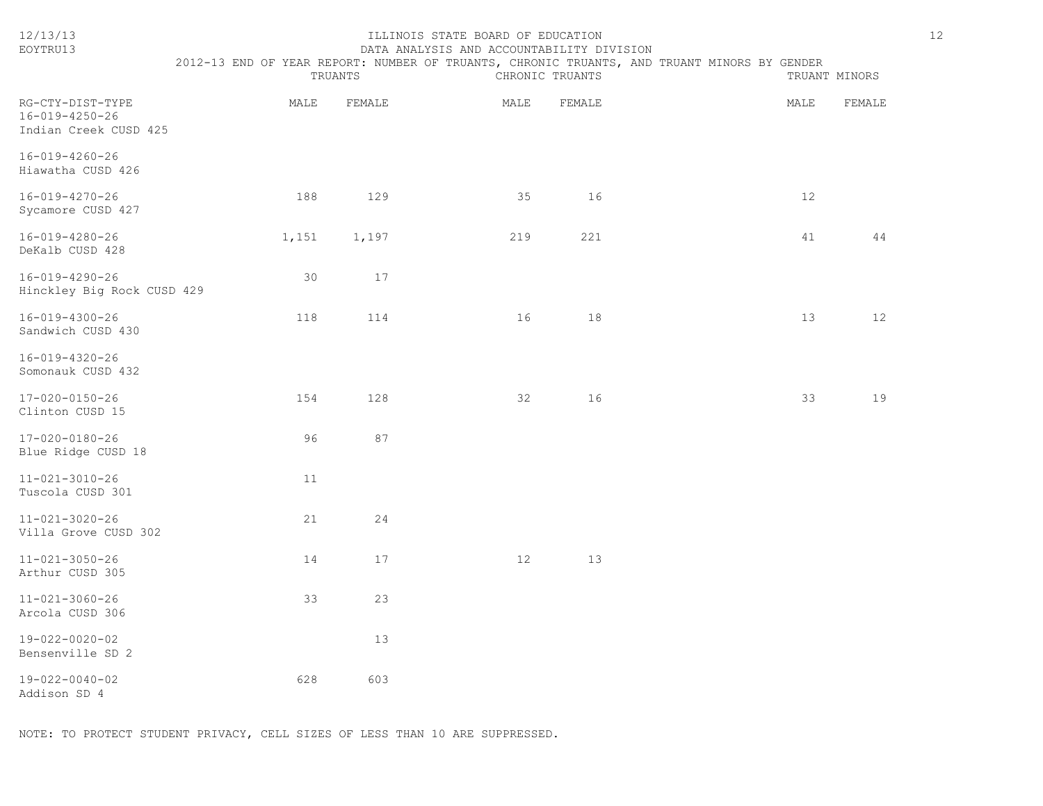| EOYTRU13                                                    |                                                                                             |         | DATA ANALYSIS AND ACCOUNTABILITY DIVISION |                 |      |               |
|-------------------------------------------------------------|---------------------------------------------------------------------------------------------|---------|-------------------------------------------|-----------------|------|---------------|
|                                                             | 2012-13 END OF YEAR REPORT: NUMBER OF TRUANTS, CHRONIC TRUANTS, AND TRUANT MINORS BY GENDER | TRUANTS |                                           | CHRONIC TRUANTS |      | TRUANT MINORS |
| RG-CTY-DIST-TYPE<br>16-019-4250-26<br>Indian Creek CUSD 425 | MALE                                                                                        | FEMALE  | MALE                                      | FEMALE          | MALE | FEMALE        |
| 16-019-4260-26<br>Hiawatha CUSD 426                         |                                                                                             |         |                                           |                 |      |               |
| 16-019-4270-26<br>Sycamore CUSD 427                         | 188                                                                                         | 129     | 35                                        | 16              | 12   |               |
| 16-019-4280-26<br>DeKalb CUSD 428                           | 1,151                                                                                       | 1,197   | 219                                       | 221             | 41   | 44            |
| 16-019-4290-26<br>Hinckley Big Rock CUSD 429                | 30                                                                                          | 17      |                                           |                 |      |               |
| 16-019-4300-26<br>Sandwich CUSD 430                         | 118                                                                                         | 114     | 16                                        | 18              | 13   | 12            |
| $16 - 019 - 4320 - 26$<br>Somonauk CUSD 432                 |                                                                                             |         |                                           |                 |      |               |
| 17-020-0150-26<br>Clinton CUSD 15                           | 154                                                                                         | 128     | 32                                        | 16              | 33   | 19            |
| 17-020-0180-26<br>Blue Ridge CUSD 18                        | 96                                                                                          | 87      |                                           |                 |      |               |
| $11 - 021 - 3010 - 26$<br>Tuscola CUSD 301                  | 11                                                                                          |         |                                           |                 |      |               |
| $11 - 021 - 3020 - 26$<br>Villa Grove CUSD 302              | 21                                                                                          | 24      |                                           |                 |      |               |
| $11 - 021 - 3050 - 26$<br>Arthur CUSD 305                   | 14                                                                                          | 17      | 12                                        | 13              |      |               |
| $11 - 021 - 3060 - 26$<br>Arcola CUSD 306                   | 33                                                                                          | 23      |                                           |                 |      |               |
| 19-022-0020-02<br>Bensenville SD 2                          |                                                                                             | 13      |                                           |                 |      |               |
| 19-022-0040-02<br>Addison SD 4                              | 628                                                                                         | 603     |                                           |                 |      |               |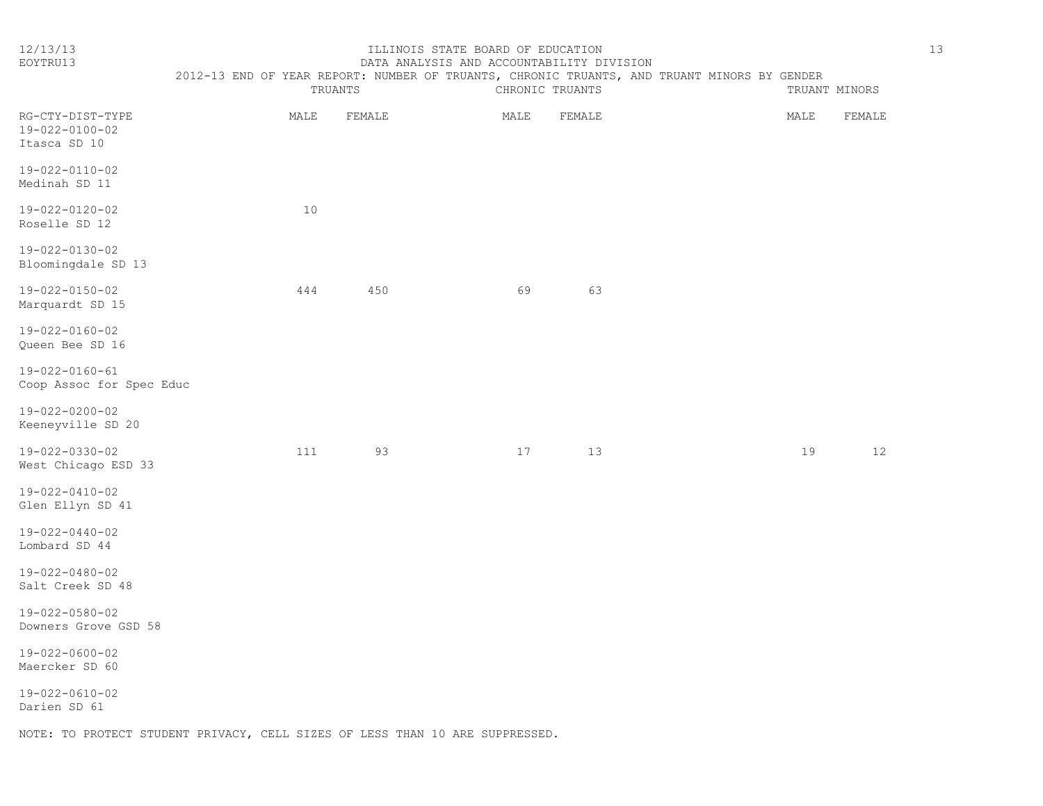| ۰, |
|----|

| 12/13/13<br>EOYTRU13                               |         |        | ILLINOIS STATE BOARD OF EDUCATION<br>DATA ANALYSIS AND ACCOUNTABILITY DIVISION |        |                                                                                             |      |               | 13 |
|----------------------------------------------------|---------|--------|--------------------------------------------------------------------------------|--------|---------------------------------------------------------------------------------------------|------|---------------|----|
|                                                    | TRUANTS |        | CHRONIC TRUANTS                                                                |        | 2012-13 END OF YEAR REPORT: NUMBER OF TRUANTS, CHRONIC TRUANTS, AND TRUANT MINORS BY GENDER |      | TRUANT MINORS |    |
| RG-CTY-DIST-TYPE<br>19-022-0100-02<br>Itasca SD 10 | MALE    | FEMALE | MALE                                                                           | FEMALE |                                                                                             | MALE | FEMALE        |    |
| 19-022-0110-02<br>Medinah SD 11                    |         |        |                                                                                |        |                                                                                             |      |               |    |
| 19-022-0120-02<br>Roselle SD 12                    | 10      |        |                                                                                |        |                                                                                             |      |               |    |
| 19-022-0130-02<br>Bloomingdale SD 13               |         |        |                                                                                |        |                                                                                             |      |               |    |
| 19-022-0150-02<br>Marquardt SD 15                  | 444     | 450    | 69                                                                             | 63     |                                                                                             |      |               |    |
| 19-022-0160-02<br>Queen Bee SD 16                  |         |        |                                                                                |        |                                                                                             |      |               |    |
| 19-022-0160-61<br>Coop Assoc for Spec Educ         |         |        |                                                                                |        |                                                                                             |      |               |    |
| 19-022-0200-02<br>Keeneyville SD 20                |         |        |                                                                                |        |                                                                                             |      |               |    |
| 19-022-0330-02<br>West Chicago ESD 33              | 111     | 93     | 17                                                                             | 13     |                                                                                             | 19   | 12            |    |
| 19-022-0410-02<br>Glen Ellyn SD 41                 |         |        |                                                                                |        |                                                                                             |      |               |    |
| 19-022-0440-02<br>Lombard SD 44                    |         |        |                                                                                |        |                                                                                             |      |               |    |
| 19-022-0480-02<br>Salt Creek SD 48                 |         |        |                                                                                |        |                                                                                             |      |               |    |
| 19-022-0580-02<br>Downers Grove GSD 58             |         |        |                                                                                |        |                                                                                             |      |               |    |
| 19-022-0600-02<br>Maercker SD 60                   |         |        |                                                                                |        |                                                                                             |      |               |    |
| $19 - 022 - 0610 - 02$                             |         |        |                                                                                |        |                                                                                             |      |               |    |

Darien SD 61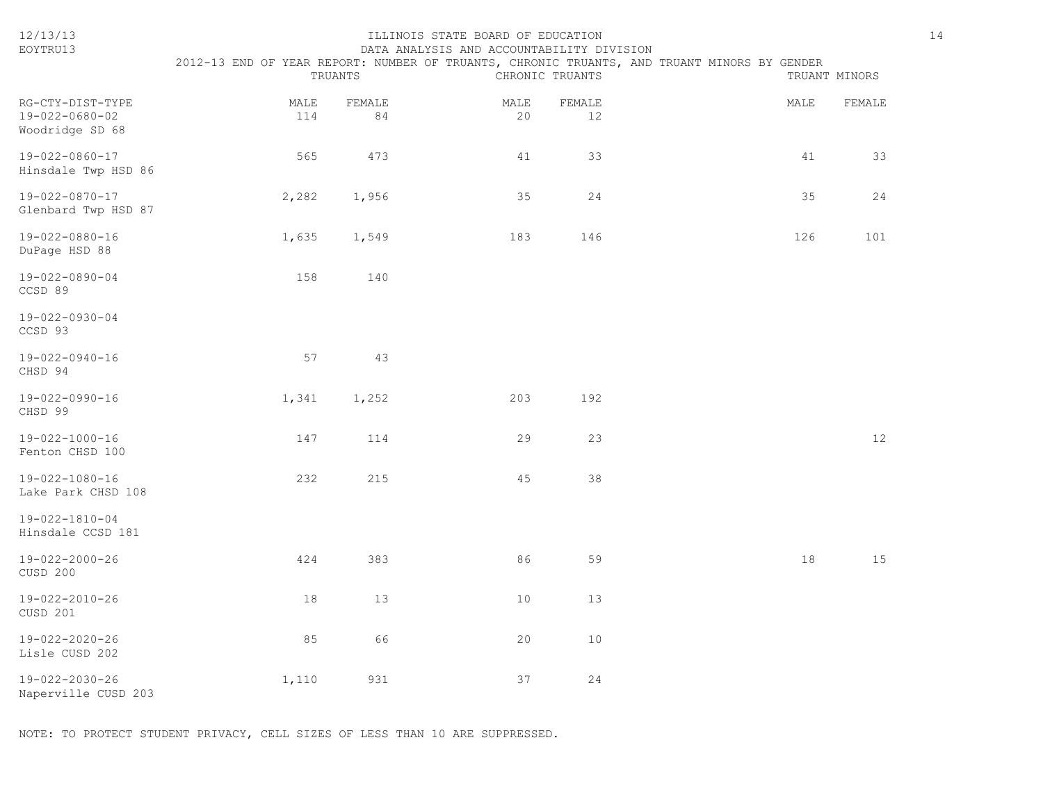| 12/13/13<br>EOYTRU13                                  |             | TRUANTS      | ILLINOIS STATE BOARD OF EDUCATION<br>DATA ANALYSIS AND ACCOUNTABILITY DIVISION | CHRONIC TRUANTS | 2012-13 END OF YEAR REPORT: NUMBER OF TRUANTS, CHRONIC TRUANTS, AND TRUANT MINORS BY GENDER | 14<br>TRUANT MINORS |
|-------------------------------------------------------|-------------|--------------|--------------------------------------------------------------------------------|-----------------|---------------------------------------------------------------------------------------------|---------------------|
|                                                       |             |              |                                                                                |                 |                                                                                             |                     |
| RG-CTY-DIST-TYPE<br>19-022-0680-02<br>Woodridge SD 68 | MALE<br>114 | FEMALE<br>84 | MALE<br>20                                                                     | FEMALE<br>12    | MALE                                                                                        | FEMALE              |
| 19-022-0860-17<br>Hinsdale Twp HSD 86                 | 565         | 473          | 41                                                                             | 33              | 41                                                                                          | 33                  |
| 19-022-0870-17<br>Glenbard Twp HSD 87                 | 2,282       | 1,956        | 35                                                                             | 24              | 35                                                                                          | 24                  |
| 19-022-0880-16<br>DuPage HSD 88                       | 1,635       | 1,549        | 183                                                                            | 146             | 126                                                                                         | 101                 |
| 19-022-0890-04<br>CCSD 89                             | 158         | 140          |                                                                                |                 |                                                                                             |                     |
| 19-022-0930-04<br>CCSD 93                             |             |              |                                                                                |                 |                                                                                             |                     |
| 19-022-0940-16<br>CHSD 94                             | 57          | 43           |                                                                                |                 |                                                                                             |                     |
| 19-022-0990-16<br>CHSD 99                             | 1,341       | 1,252        | 203                                                                            | 192             |                                                                                             |                     |
| 19-022-1000-16<br>Fenton CHSD 100                     | 147         | 114          | 29                                                                             | 23              |                                                                                             | 12                  |
| 19-022-1080-16<br>Lake Park CHSD 108                  | 232         | 215          | 45                                                                             | 38              |                                                                                             |                     |
| 19-022-1810-04<br>Hinsdale CCSD 181                   |             |              |                                                                                |                 |                                                                                             |                     |
| 19-022-2000-26<br>CUSD 200                            | 424         | 383          | 86                                                                             | 59              | 18                                                                                          | 15                  |
| 19-022-2010-26<br>CUSD 201                            | 18          | 13           | 10                                                                             | 13              |                                                                                             |                     |
| 19-022-2020-26<br>Lisle CUSD 202                      | 85          | 66           | 20                                                                             | 10              |                                                                                             |                     |
| 19-022-2030-26<br>Naperville CUSD 203                 | 1,110       | 931          | 37                                                                             | 24              |                                                                                             |                     |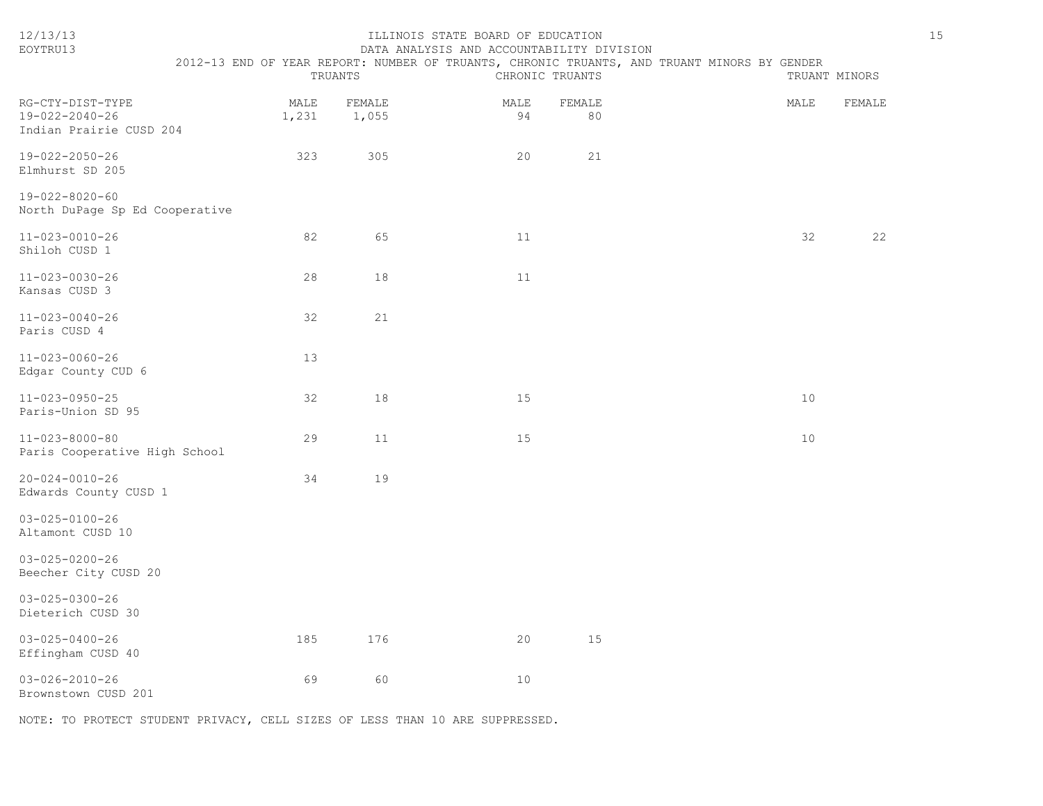| 12/13/13<br>EOYTRU13                                          | 2012-13 END OF YEAR REPORT: NUMBER OF TRUANTS, CHRONIC TRUANTS, AND TRUANT MINORS BY GENDER | TRUANTS       |                 | ILLINOIS STATE BOARD OF EDUCATION<br>DATA ANALYSIS AND ACCOUNTABILITY DIVISION | CHRONIC TRUANTS |              |  |      | TRUANT MINORS | 15 |
|---------------------------------------------------------------|---------------------------------------------------------------------------------------------|---------------|-----------------|--------------------------------------------------------------------------------|-----------------|--------------|--|------|---------------|----|
| RG-CTY-DIST-TYPE<br>19-022-2040-26<br>Indian Prairie CUSD 204 |                                                                                             | MALE<br>1,231 | FEMALE<br>1,055 |                                                                                | MALE<br>94      | FEMALE<br>80 |  | MALE | FEMALE        |    |
| 19-022-2050-26<br>Elmhurst SD 205                             |                                                                                             | 323           | 305             |                                                                                | 20              | 21           |  |      |               |    |
| 19-022-8020-60<br>North DuPage Sp Ed Cooperative              |                                                                                             |               |                 |                                                                                |                 |              |  |      |               |    |
| 11-023-0010-26<br>Shiloh CUSD 1                               |                                                                                             | 82            | 65              |                                                                                | 11              |              |  | 32   | 22            |    |
| 11-023-0030-26<br>Kansas CUSD 3                               |                                                                                             | 28            | 18              |                                                                                | 11              |              |  |      |               |    |
| $11 - 023 - 0040 - 26$<br>Paris CUSD 4                        |                                                                                             | 32            | 21              |                                                                                |                 |              |  |      |               |    |
| $11 - 023 - 0060 - 26$<br>Edgar County CUD 6                  |                                                                                             | 13            |                 |                                                                                |                 |              |  |      |               |    |
| $11 - 023 - 0950 - 25$<br>Paris-Union SD 95                   |                                                                                             | 32            | 18              |                                                                                | 15              |              |  | 10   |               |    |
| $11 - 023 - 8000 - 80$<br>Paris Cooperative High School       |                                                                                             | 29            | 11              |                                                                                | 15              |              |  | 10   |               |    |
| $20 - 024 - 0010 - 26$<br>Edwards County CUSD 1               |                                                                                             | 34            | 19              |                                                                                |                 |              |  |      |               |    |
| $03 - 025 - 0100 - 26$<br>Altamont CUSD 10                    |                                                                                             |               |                 |                                                                                |                 |              |  |      |               |    |
| $03 - 025 - 0200 - 26$<br>Beecher City CUSD 20                |                                                                                             |               |                 |                                                                                |                 |              |  |      |               |    |
| $03 - 025 - 0300 - 26$<br>Dieterich CUSD 30                   |                                                                                             |               |                 |                                                                                |                 |              |  |      |               |    |
| $03 - 025 - 0400 - 26$<br>Effingham CUSD 40                   |                                                                                             | 185           | 176             |                                                                                | 20              | 15           |  |      |               |    |
| $03 - 026 - 2010 - 26$<br>Brownstown CUSD 201                 |                                                                                             | 69            | 60              |                                                                                | 10              |              |  |      |               |    |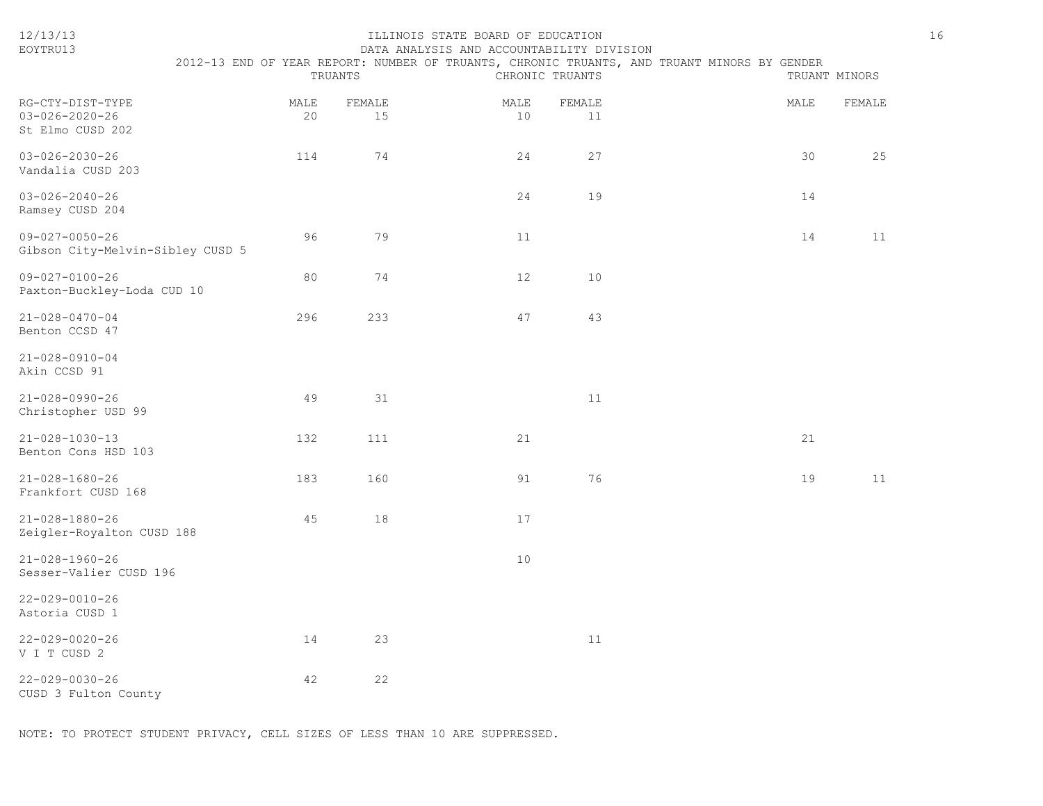| EOYTRU13                                                       |                                                                                                                           |            |              | DATA ANALYSIS AND ACCOUNTABILITY DIVISION |            |               |  |      |        |  |
|----------------------------------------------------------------|---------------------------------------------------------------------------------------------------------------------------|------------|--------------|-------------------------------------------|------------|---------------|--|------|--------|--|
|                                                                | 2012-13 END OF YEAR REPORT: NUMBER OF TRUANTS, CHRONIC TRUANTS, AND TRUANT MINORS BY GENDER<br>TRUANTS<br>CHRONIC TRUANTS |            |              |                                           |            | TRUANT MINORS |  |      |        |  |
| RG-CTY-DIST-TYPE<br>$03 - 026 - 2020 - 26$<br>St Elmo CUSD 202 |                                                                                                                           | MALE<br>20 | FEMALE<br>15 |                                           | MALE<br>10 | FEMALE<br>11  |  | MALE | FEMALE |  |
| $03 - 026 - 2030 - 26$<br>Vandalia CUSD 203                    |                                                                                                                           | 114        | 74           |                                           | 24         | 27            |  | 30   | 25     |  |
| $03 - 026 - 2040 - 26$<br>Ramsey CUSD 204                      |                                                                                                                           |            |              |                                           | 24         | 19            |  | 14   |        |  |
| $09 - 027 - 0050 - 26$<br>Gibson City-Melvin-Sibley CUSD 5     |                                                                                                                           | 96         | 79           |                                           | 11         |               |  | 14   | 11     |  |
| $09 - 027 - 0100 - 26$<br>Paxton-Buckley-Loda CUD 10           |                                                                                                                           | 80         | 74           |                                           | 12         | 10            |  |      |        |  |
| $21 - 028 - 0470 - 04$<br>Benton CCSD 47                       |                                                                                                                           | 296        | 233          |                                           | 47         | 43            |  |      |        |  |
| $21 - 028 - 0910 - 04$<br>Akin CCSD 91                         |                                                                                                                           |            |              |                                           |            |               |  |      |        |  |
| $21 - 028 - 0990 - 26$<br>Christopher USD 99                   |                                                                                                                           | 49         | 31           |                                           |            | 11            |  |      |        |  |
| $21 - 028 - 1030 - 13$<br>Benton Cons HSD 103                  |                                                                                                                           | 132        | 111          |                                           | 21         |               |  | 21   |        |  |
| $21 - 028 - 1680 - 26$<br>Frankfort CUSD 168                   |                                                                                                                           | 183        | 160          |                                           | 91         | 76            |  | 19   | 11     |  |
| $21 - 028 - 1880 - 26$<br>Zeigler-Royalton CUSD 188            |                                                                                                                           | 45         | 18           |                                           | 17         |               |  |      |        |  |
| $21 - 028 - 1960 - 26$<br>Sesser-Valier CUSD 196               |                                                                                                                           |            |              |                                           | 10         |               |  |      |        |  |
| $22 - 029 - 0010 - 26$<br>Astoria CUSD 1                       |                                                                                                                           |            |              |                                           |            |               |  |      |        |  |
| $22 - 029 - 0020 - 26$<br>V I T CUSD 2                         |                                                                                                                           | 14         | 23           |                                           |            | 11            |  |      |        |  |
| $22 - 029 - 0030 - 26$<br>CUSD 3 Fulton County                 |                                                                                                                           | 42         | 22           |                                           |            |               |  |      |        |  |

12/13/13 ILLINOIS STATE BOARD OF EDUCATION 16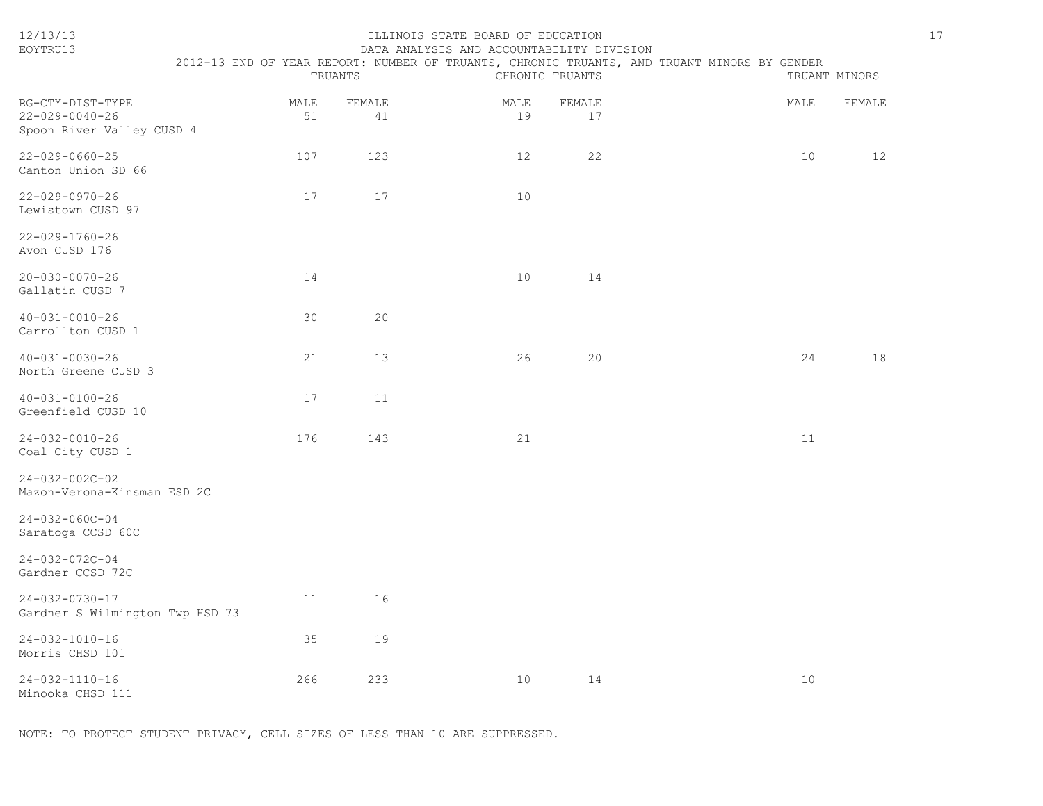| 12/13/13<br>EOYTRU13                                                    | 2012-13 END OF YEAR REPORT: NUMBER OF TRUANTS, CHRONIC TRUANTS, AND TRUANT MINORS BY GENDER | TRUANTS      | ILLINOIS STATE BOARD OF EDUCATION<br>DATA ANALYSIS AND ACCOUNTABILITY DIVISION | CHRONIC TRUANTS |      | $17$<br>TRUANT MINORS |
|-------------------------------------------------------------------------|---------------------------------------------------------------------------------------------|--------------|--------------------------------------------------------------------------------|-----------------|------|-----------------------|
| RG-CTY-DIST-TYPE<br>$22 - 029 - 0040 - 26$<br>Spoon River Valley CUSD 4 | MALE<br>51                                                                                  | FEMALE<br>41 | MALE<br>19                                                                     | FEMALE<br>17    | MALE | FEMALE                |
| $22 - 029 - 0660 - 25$<br>Canton Union SD 66                            | 107                                                                                         | 123          | 12                                                                             | 22              | 10   | 12                    |
| $22 - 029 - 0970 - 26$<br>Lewistown CUSD 97                             | 17                                                                                          | 17           | 10                                                                             |                 |      |                       |
| $22 - 029 - 1760 - 26$<br>Avon CUSD 176                                 |                                                                                             |              |                                                                                |                 |      |                       |
| $20 - 030 - 0070 - 26$<br>Gallatin CUSD 7                               | 14                                                                                          |              | 10 <sup>°</sup>                                                                | 14              |      |                       |
| $40 - 031 - 0010 - 26$<br>Carrollton CUSD 1                             | 30                                                                                          | 20           |                                                                                |                 |      |                       |
| $40 - 031 - 0030 - 26$<br>North Greene CUSD 3                           | 21                                                                                          | 13           | 26                                                                             | 20              | 24   | 18                    |
| $40 - 031 - 0100 - 26$<br>Greenfield CUSD 10                            | 17                                                                                          | 11           |                                                                                |                 |      |                       |
| $24 - 032 - 0010 - 26$<br>Coal City CUSD 1                              | 176                                                                                         | 143          | 21                                                                             |                 | 11   |                       |
| $24 - 032 - 002C - 02$<br>Mazon-Verona-Kinsman ESD 2C                   |                                                                                             |              |                                                                                |                 |      |                       |
| $24 - 032 - 060C - 04$<br>Saratoga CCSD 60C                             |                                                                                             |              |                                                                                |                 |      |                       |
| 24-032-072C-04<br>Gardner CCSD 72C                                      |                                                                                             |              |                                                                                |                 |      |                       |
| $24 - 032 - 0730 - 17$<br>Gardner S Wilmington Twp HSD 73               | 11                                                                                          | 16           |                                                                                |                 |      |                       |
| $24 - 032 - 1010 - 16$<br>Morris CHSD 101                               | 35                                                                                          | 19           |                                                                                |                 |      |                       |
| $24 - 032 - 1110 - 16$<br>Minooka CHSD 111                              | 266                                                                                         | 233          | 10                                                                             | 14              | 10   |                       |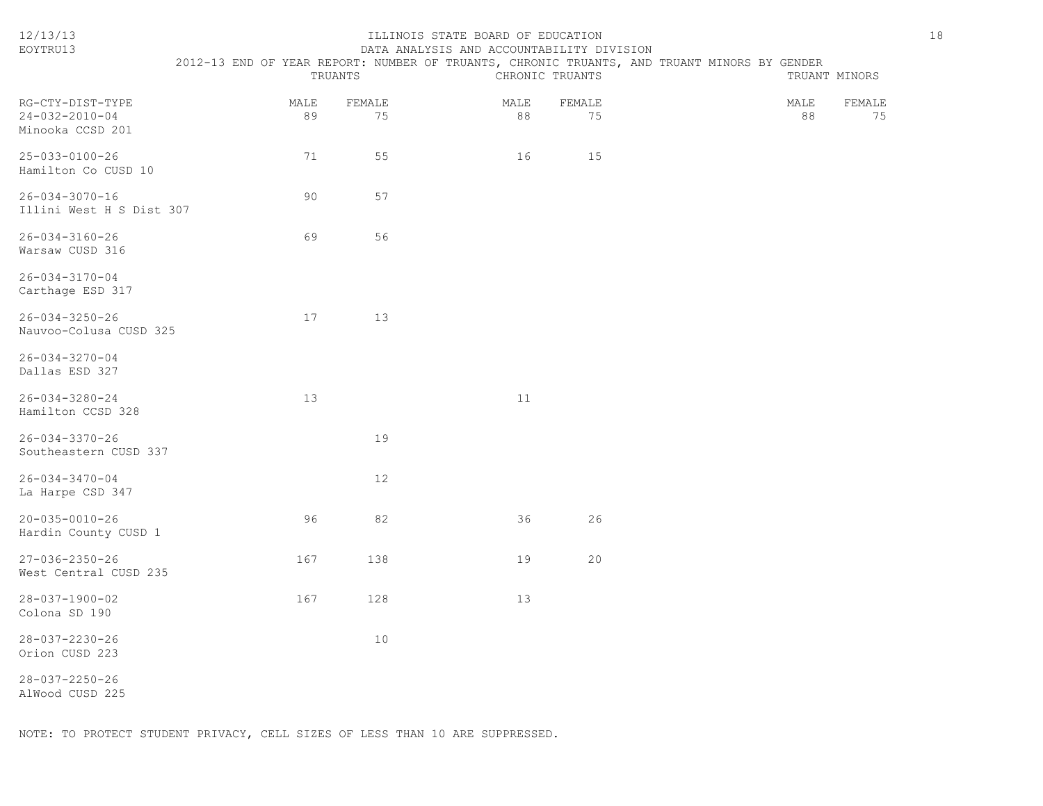| EOYTRU13                                                       |            |              | DATA ANALYSIS AND ACCOUNTABILITY DIVISION                                                   |                 |                            |
|----------------------------------------------------------------|------------|--------------|---------------------------------------------------------------------------------------------|-----------------|----------------------------|
|                                                                |            | TRUANTS      | 2012-13 END OF YEAR REPORT: NUMBER OF TRUANTS, CHRONIC TRUANTS, AND TRUANT MINORS BY GENDER | CHRONIC TRUANTS | TRUANT MINORS              |
| RG-CTY-DIST-TYPE<br>$24 - 032 - 2010 - 04$<br>Minooka CCSD 201 | MALE<br>89 | FEMALE<br>75 | MALE<br>88                                                                                  | FEMALE<br>75    | MALE<br>FEMALE<br>88<br>75 |
| 25-033-0100-26<br>Hamilton Co CUSD 10                          | 71         | 55           | 16                                                                                          | 15              |                            |
| 26-034-3070-16<br>Illini West H S Dist 307                     | 90         | 57           |                                                                                             |                 |                            |
| $26 - 034 - 3160 - 26$<br>Warsaw CUSD 316                      | 69         | 56           |                                                                                             |                 |                            |
| 26-034-3170-04<br>Carthage ESD 317                             |            |              |                                                                                             |                 |                            |
| 26-034-3250-26<br>Nauvoo-Colusa CUSD 325                       | 17         | 13           |                                                                                             |                 |                            |
| 26-034-3270-04<br>Dallas ESD 327                               |            |              |                                                                                             |                 |                            |
| 26-034-3280-24<br>Hamilton CCSD 328                            | 13         |              | 11                                                                                          |                 |                            |
| 26-034-3370-26<br>Southeastern CUSD 337                        |            | 19           |                                                                                             |                 |                            |
| $26 - 034 - 3470 - 04$<br>La Harpe CSD 347                     |            | 12           |                                                                                             |                 |                            |
| 20-035-0010-26<br>Hardin County CUSD 1                         | 96         | 82           | 36                                                                                          | 26              |                            |
| 27-036-2350-26<br>West Central CUSD 235                        | 167        | 138          | 19                                                                                          | 20              |                            |
| 28-037-1900-02<br>Colona SD 190                                | 167        | 128          | 13                                                                                          |                 |                            |
| 28-037-2230-26<br>Orion CUSD 223                               |            | 10           |                                                                                             |                 |                            |
| 28-037-2250-26<br>AlWood CUSD 225                              |            |              |                                                                                             |                 |                            |
|                                                                |            |              |                                                                                             |                 |                            |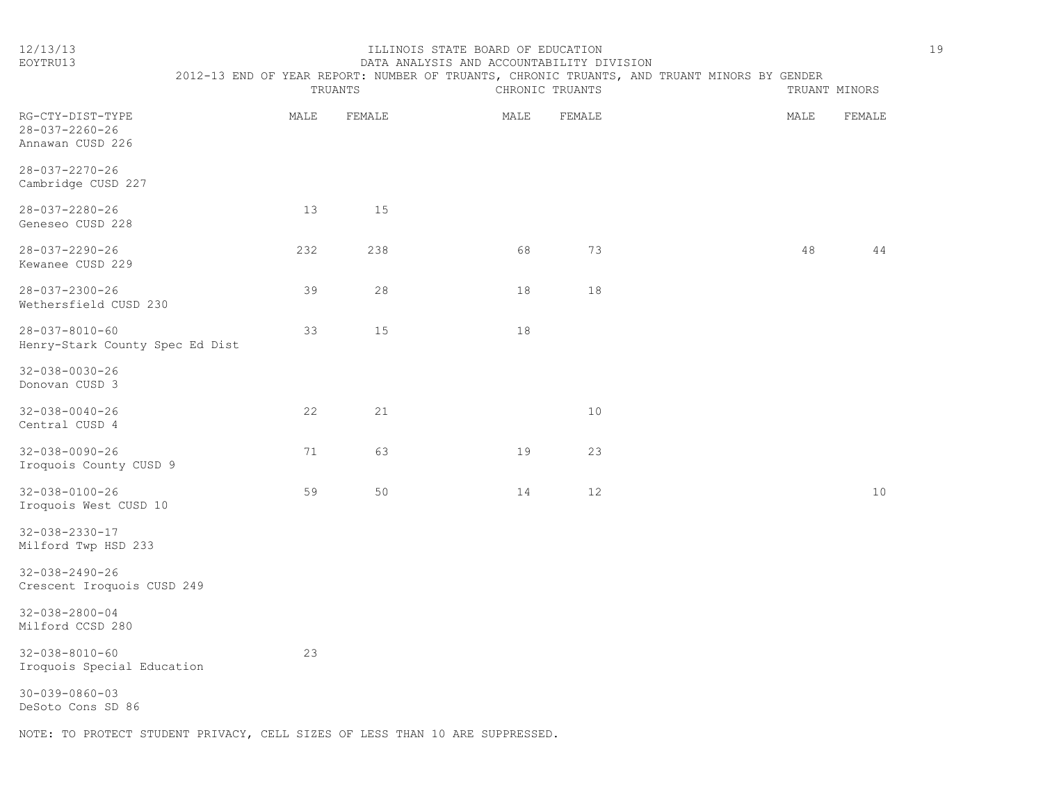#### 12/13/13 ILLINOIS STATE BOARD OF EDUCATION 19 EOYTRU13 DATA ANALYSIS AND ACCOUNTABILITY DIVISION

|                                                                | 2012-13 END OF YEAR REPORT: NUMBER OF TRUANTS, CHRONIC TRUANTS, AND TRUANT MINORS BY GENDER |      | TRUANTS |      | CHRONIC TRUANTS |  | TRUANT MINORS |        |
|----------------------------------------------------------------|---------------------------------------------------------------------------------------------|------|---------|------|-----------------|--|---------------|--------|
| RG-CTY-DIST-TYPE<br>$28 - 037 - 2260 - 26$<br>Annawan CUSD 226 |                                                                                             | MALE | FEMALE  | MALE | FEMALE          |  | MALE          | FEMALE |
| 28-037-2270-26<br>Cambridge CUSD 227                           |                                                                                             |      |         |      |                 |  |               |        |
| $28 - 037 - 2280 - 26$<br>Geneseo CUSD 228                     |                                                                                             | 13   | 15      |      |                 |  |               |        |
| 28-037-2290-26<br>Kewanee CUSD 229                             |                                                                                             | 232  | 238     | 68   | 73              |  | 48            | 44     |
| $28 - 037 - 2300 - 26$<br>Wethersfield CUSD 230                |                                                                                             | 39   | 28      | 18   | 18              |  |               |        |
| $28 - 037 - 8010 - 60$<br>Henry-Stark County Spec Ed Dist      |                                                                                             | 33   | 15      | 18   |                 |  |               |        |
| $32 - 038 - 0030 - 26$<br>Donovan CUSD 3                       |                                                                                             |      |         |      |                 |  |               |        |
| $32 - 038 - 0040 - 26$<br>Central CUSD 4                       |                                                                                             | 22   | 21      |      | 10              |  |               |        |
| $32 - 038 - 0090 - 26$<br>Iroquois County CUSD 9               |                                                                                             | 71   | 63      | 19   | 23              |  |               |        |
| $32 - 038 - 0100 - 26$<br>Iroquois West CUSD 10                |                                                                                             | 59   | 50      | 14   | 12              |  |               | 10     |
| 32-038-2330-17<br>Milford Twp HSD 233                          |                                                                                             |      |         |      |                 |  |               |        |
| $32 - 038 - 2490 - 26$<br>Crescent Iroquois CUSD 249           |                                                                                             |      |         |      |                 |  |               |        |
| $32 - 038 - 2800 - 04$<br>Milford CCSD 280                     |                                                                                             |      |         |      |                 |  |               |        |
| $32 - 038 - 8010 - 60$<br>Iroquois Special Education           |                                                                                             | 23   |         |      |                 |  |               |        |
| $30 - 039 - 0860 - 03$                                         |                                                                                             |      |         |      |                 |  |               |        |

DeSoto Cons SD 86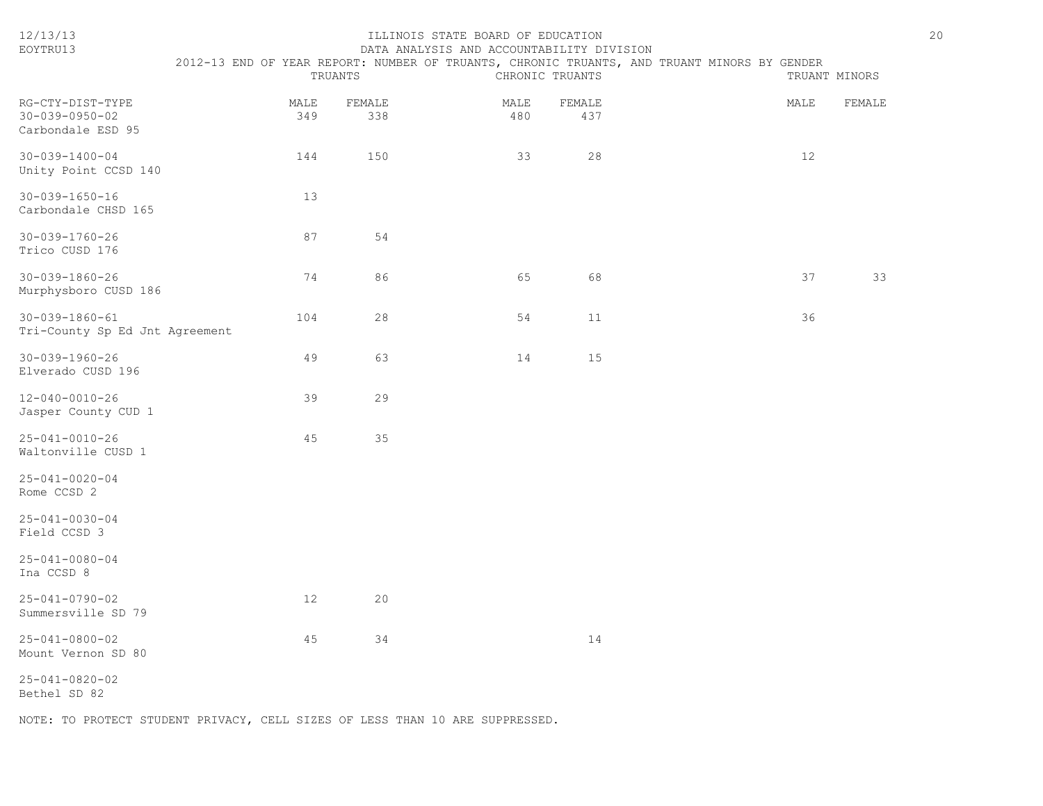| 12/13/13<br>EOYTRU13                                            |             | TRUANTS       | ILLINOIS STATE BOARD OF EDUCATION<br>DATA ANALYSIS AND ACCOUNTABILITY DIVISION | CHRONIC TRUANTS | 2012-13 END OF YEAR REPORT: NUMBER OF TRUANTS, CHRONIC TRUANTS, AND TRUANT MINORS BY GENDER | 20<br>TRUANT MINORS |
|-----------------------------------------------------------------|-------------|---------------|--------------------------------------------------------------------------------|-----------------|---------------------------------------------------------------------------------------------|---------------------|
| RG-CTY-DIST-TYPE<br>$30 - 039 - 0950 - 02$<br>Carbondale ESD 95 | MALE<br>349 | FEMALE<br>338 | MALE<br>480                                                                    | FEMALE<br>437   | MALE                                                                                        | FEMALE              |
| $30 - 039 - 1400 - 04$<br>Unity Point CCSD 140                  | 144         | 150           | 33                                                                             | 28              | 12                                                                                          |                     |
| $30 - 039 - 1650 - 16$<br>Carbondale CHSD 165                   | 13          |               |                                                                                |                 |                                                                                             |                     |
| $30 - 039 - 1760 - 26$<br>Trico CUSD 176                        | 87          | 54            |                                                                                |                 |                                                                                             |                     |
| $30 - 039 - 1860 - 26$<br>Murphysboro CUSD 186                  | 74          | 86            | 65                                                                             | 68              | 37                                                                                          | 33                  |
| $30 - 039 - 1860 - 61$<br>Tri-County Sp Ed Jnt Agreement        | 104         | 28            | 54                                                                             | 11              | 36                                                                                          |                     |
| $30 - 039 - 1960 - 26$<br>Elverado CUSD 196                     | 49          | 63            | 14                                                                             | 15              |                                                                                             |                     |
| $12 - 040 - 0010 - 26$<br>Jasper County CUD 1                   | 39          | 29            |                                                                                |                 |                                                                                             |                     |
| $25 - 041 - 0010 - 26$<br>Waltonville CUSD 1                    | 45          | 35            |                                                                                |                 |                                                                                             |                     |
| $25 - 041 - 0020 - 04$<br>Rome CCSD 2                           |             |               |                                                                                |                 |                                                                                             |                     |
| $25 - 041 - 0030 - 04$<br>Field CCSD 3                          |             |               |                                                                                |                 |                                                                                             |                     |
| $25 - 041 - 0080 - 04$<br>Ina CCSD 8                            |             |               |                                                                                |                 |                                                                                             |                     |
| $25 - 041 - 0790 - 02$<br>Summersville SD 79                    | 12          | 20            |                                                                                |                 |                                                                                             |                     |
| $25 - 041 - 0800 - 02$<br>Mount Vernon SD 80                    | 45          | 34            |                                                                                | 14              |                                                                                             |                     |
| $25 - 041 - 0820 - 02$<br>Bethel SD 82                          |             |               |                                                                                |                 |                                                                                             |                     |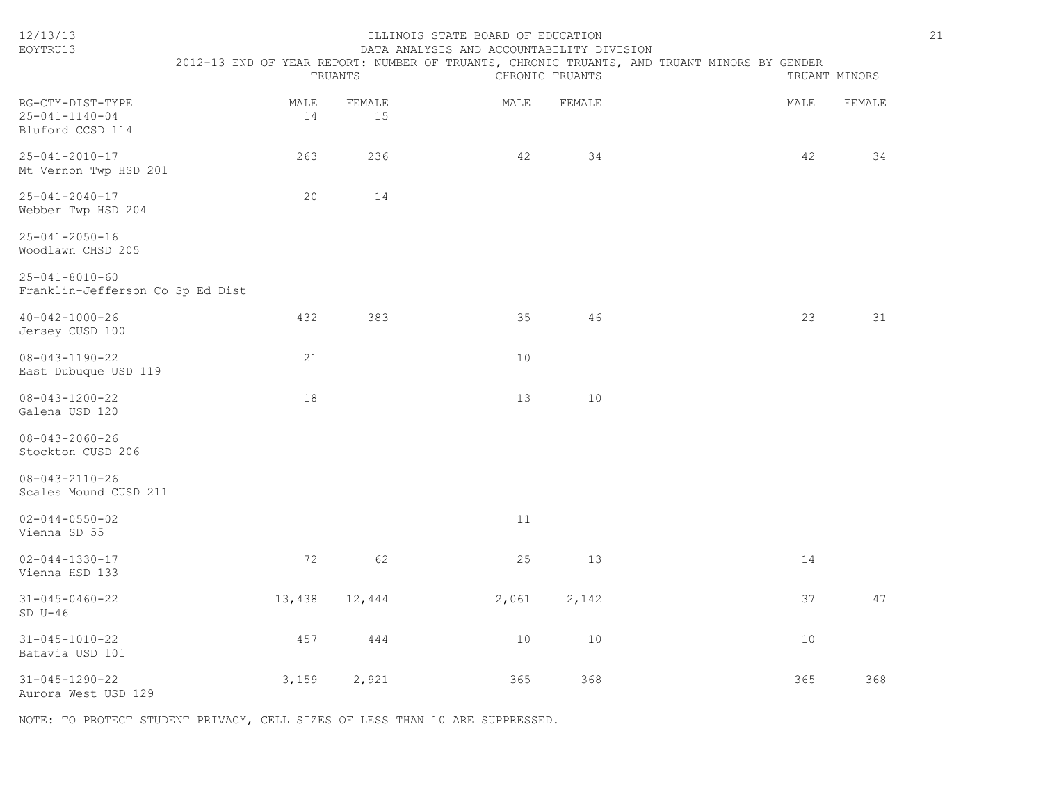| 12/13/13<br>EOYTRU13                                           |            | TRUANTS      | ILLINOIS STATE BOARD OF EDUCATION<br>DATA ANALYSIS AND ACCOUNTABILITY DIVISION | CHRONIC TRUANTS | 2012-13 END OF YEAR REPORT: NUMBER OF TRUANTS, CHRONIC TRUANTS, AND TRUANT MINORS BY GENDER | 21<br>TRUANT MINORS |
|----------------------------------------------------------------|------------|--------------|--------------------------------------------------------------------------------|-----------------|---------------------------------------------------------------------------------------------|---------------------|
|                                                                |            |              |                                                                                |                 |                                                                                             |                     |
| RG-CTY-DIST-TYPE<br>$25 - 041 - 1140 - 04$<br>Bluford CCSD 114 | MALE<br>14 | FEMALE<br>15 | MALE                                                                           | FEMALE          | MALE                                                                                        | FEMALE              |
| $25 - 041 - 2010 - 17$<br>Mt Vernon Twp HSD 201                | 263        | 236          | 42                                                                             | 34              | 42                                                                                          | 34                  |
| $25 - 041 - 2040 - 17$<br>Webber Twp HSD 204                   | 20         | 14           |                                                                                |                 |                                                                                             |                     |
| $25 - 041 - 2050 - 16$<br>Woodlawn CHSD 205                    |            |              |                                                                                |                 |                                                                                             |                     |
| $25 - 041 - 8010 - 60$<br>Franklin-Jefferson Co Sp Ed Dist     |            |              |                                                                                |                 |                                                                                             |                     |
| $40 - 042 - 1000 - 26$<br>Jersey CUSD 100                      | 432        | 383          | 35                                                                             | 46              | 23                                                                                          | 31                  |
| $08 - 043 - 1190 - 22$<br>East Dubuque USD 119                 | 21         |              | 10                                                                             |                 |                                                                                             |                     |
| $08 - 043 - 1200 - 22$<br>Galena USD 120                       | 18         |              | 13                                                                             | 10              |                                                                                             |                     |
| $08 - 043 - 2060 - 26$<br>Stockton CUSD 206                    |            |              |                                                                                |                 |                                                                                             |                     |
| $08 - 043 - 2110 - 26$<br>Scales Mound CUSD 211                |            |              |                                                                                |                 |                                                                                             |                     |
| $02 - 044 - 0550 - 02$<br>Vienna SD 55                         |            |              | 11                                                                             |                 |                                                                                             |                     |
| $02 - 044 - 1330 - 17$<br>Vienna HSD 133                       | 72         | 62           | 25                                                                             | 13              | 14                                                                                          |                     |
| $31 - 045 - 0460 - 22$<br>$SD U-46$                            | 13,438     | 12,444       | 2,061                                                                          | 2,142           | 37                                                                                          | 47                  |
| $31 - 045 - 1010 - 22$<br>Batavia USD 101                      | 457        | 444          | 10                                                                             | 10              | 10                                                                                          |                     |
| $31 - 045 - 1290 - 22$<br>Aurora West USD 129                  | 3,159      | 2,921        | 365                                                                            | 368             | 365                                                                                         | 368                 |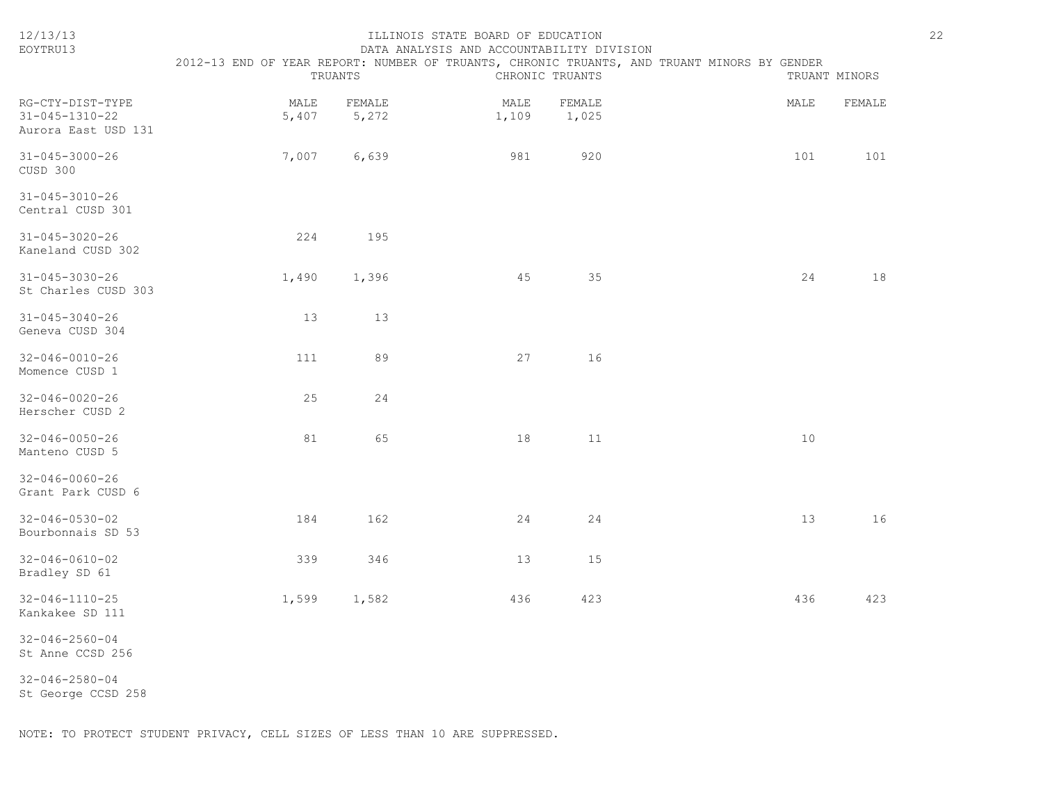| 12/13/13<br>EOYTRU13                                      | 2012-13 END OF YEAR REPORT: NUMBER OF TRUANTS, CHRONIC TRUANTS, AND TRUANT MINORS BY GENDER | TRUANTS         | ILLINOIS STATE BOARD OF EDUCATION<br>DATA ANALYSIS AND ACCOUNTABILITY DIVISION | CHRONIC TRUANTS |      | TRUANT MINORS | 22 |
|-----------------------------------------------------------|---------------------------------------------------------------------------------------------|-----------------|--------------------------------------------------------------------------------|-----------------|------|---------------|----|
| RG-CTY-DIST-TYPE<br>31-045-1310-22<br>Aurora East USD 131 | MALE<br>5,407                                                                               | FEMALE<br>5,272 | MALE<br>1,109                                                                  | FEMALE<br>1,025 | MALE | FEMALE        |    |
| $31 - 045 - 3000 - 26$<br>CUSD 300                        | 7,007                                                                                       | 6,639           | 981                                                                            | 920             | 101  | 101           |    |
| $31 - 045 - 3010 - 26$<br>Central CUSD 301                |                                                                                             |                 |                                                                                |                 |      |               |    |
| $31 - 045 - 3020 - 26$<br>Kaneland CUSD 302               | 224                                                                                         | 195             |                                                                                |                 |      |               |    |
| $31 - 045 - 3030 - 26$<br>St Charles CUSD 303             | 1,490                                                                                       | 1,396           | 45                                                                             | 35              | 24   | 18            |    |
| $31 - 045 - 3040 - 26$<br>Geneva CUSD 304                 | 13                                                                                          | 13              |                                                                                |                 |      |               |    |
| $32 - 046 - 0010 - 26$<br>Momence CUSD 1                  | 111                                                                                         | 89              | 27                                                                             | 16              |      |               |    |
| $32 - 046 - 0020 - 26$<br>Herscher CUSD 2                 | 25                                                                                          | 24              |                                                                                |                 |      |               |    |
| $32 - 046 - 0050 - 26$<br>Manteno CUSD 5                  | 81                                                                                          | 65              | 18                                                                             | 11              | 10   |               |    |
| $32 - 046 - 0060 - 26$<br>Grant Park CUSD 6               |                                                                                             |                 |                                                                                |                 |      |               |    |
| $32 - 046 - 0530 - 02$<br>Bourbonnais SD 53               | 184                                                                                         | 162             | 24                                                                             | 24              | 13   | 16            |    |
| $32 - 046 - 0610 - 02$<br>Bradley SD 61                   | 339                                                                                         | 346             | 13                                                                             | 15              |      |               |    |
| $32 - 046 - 1110 - 25$<br>Kankakee SD 111                 | 1,599                                                                                       | 1,582           | 436                                                                            | 423             | 436  | 423           |    |
| $32 - 046 - 2560 - 04$<br>St Anne CCSD 256                |                                                                                             |                 |                                                                                |                 |      |               |    |
| $32 - 046 - 2580 - 04$<br>St George CCSD 258              |                                                                                             |                 |                                                                                |                 |      |               |    |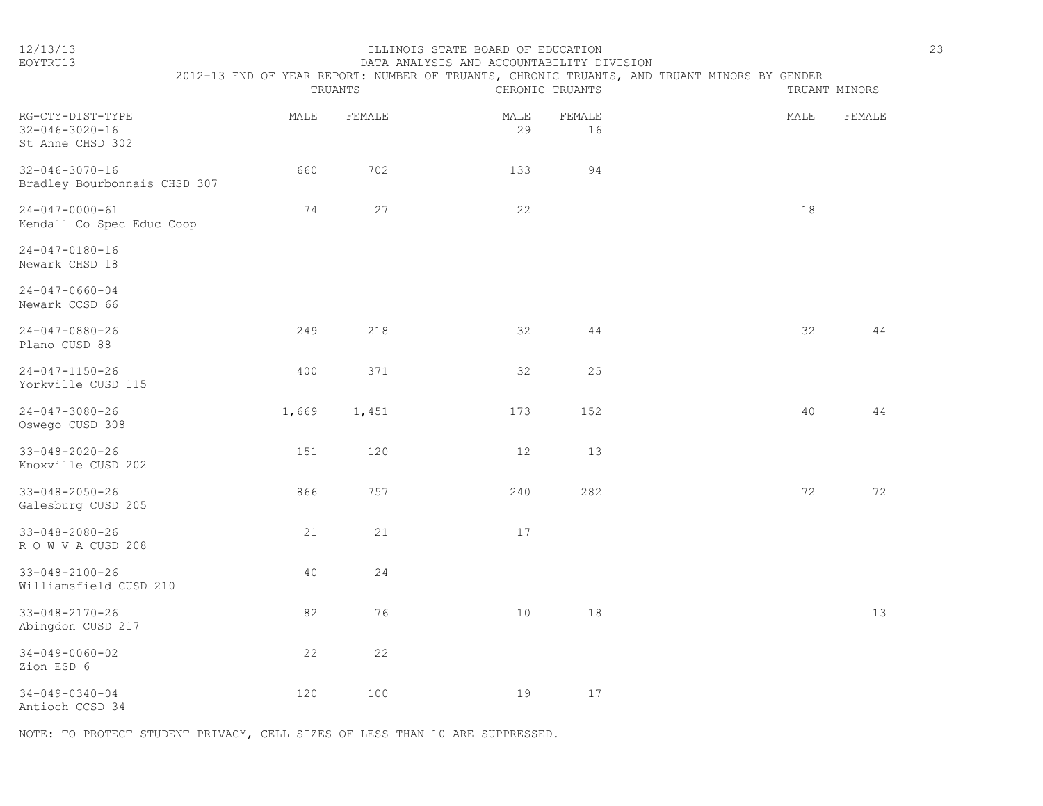#### 12/13/13 ILLINOIS STATE BOARD OF EDUCATION 23 EOYTRU13 DATA ANALYSIS AND ACCOUNTABILITY DIVISION

|                                                                | 2012-13 END OF YEAR REPORT: NUMBER OF TRUANTS, CHRONIC TRUANTS, AND TRUANT MINORS BY GENDER | TRUANTS |            | CHRONIC TRUANTS |        | TRUANT MINORS |
|----------------------------------------------------------------|---------------------------------------------------------------------------------------------|---------|------------|-----------------|--------|---------------|
| RG-CTY-DIST-TYPE<br>$32 - 046 - 3020 - 16$<br>St Anne CHSD 302 | MALE                                                                                        | FEMALE  | MALE<br>29 | FEMALE<br>16    | MALE   | FEMALE        |
| $32 - 046 - 3070 - 16$<br>Bradley Bourbonnais CHSD 307         | 660                                                                                         | 702     | 133        | 94              |        |               |
| $24 - 047 - 0000 - 61$<br>Kendall Co Spec Educ Coop            | 74                                                                                          | 27      | 22         |                 | $18\,$ |               |
| 24-047-0180-16<br>Newark CHSD 18                               |                                                                                             |         |            |                 |        |               |
| $24 - 047 - 0660 - 04$<br>Newark CCSD 66                       |                                                                                             |         |            |                 |        |               |
| $24 - 047 - 0880 - 26$<br>Plano CUSD 88                        | 249                                                                                         | 218     | 32         | $4\,4$          | 32     | 44            |
| $24 - 047 - 1150 - 26$<br>Yorkville CUSD 115                   | 400                                                                                         | 371     | 32         | 25              |        |               |
| $24 - 047 - 3080 - 26$<br>Oswego CUSD 308                      | 1,669                                                                                       | 1,451   | 173        | 152             | 40     | 44            |
| $33 - 048 - 2020 - 26$<br>Knoxville CUSD 202                   | 151                                                                                         | 120     | $12$       | 13              |        |               |
| $33 - 048 - 2050 - 26$<br>Galesburg CUSD 205                   | 866                                                                                         | 757     | 240        | 282             | 72     | 72            |
| $33 - 048 - 2080 - 26$<br>ROWVACUSD 208                        | 21                                                                                          | 21      | 17         |                 |        |               |
| 33-048-2100-26<br>Williamsfield CUSD 210                       | 40                                                                                          | 24      |            |                 |        |               |
| $33 - 048 - 2170 - 26$<br>Abingdon CUSD 217                    | 82                                                                                          | 76      | $10$       | 18              |        | 13            |
| $34 - 049 - 0060 - 02$<br>Zion ESD 6                           | 22                                                                                          | 22      |            |                 |        |               |
| $34 - 049 - 0340 - 04$<br>Antioch CCSD 34                      | 120                                                                                         | 100     | 19         | $17$            |        |               |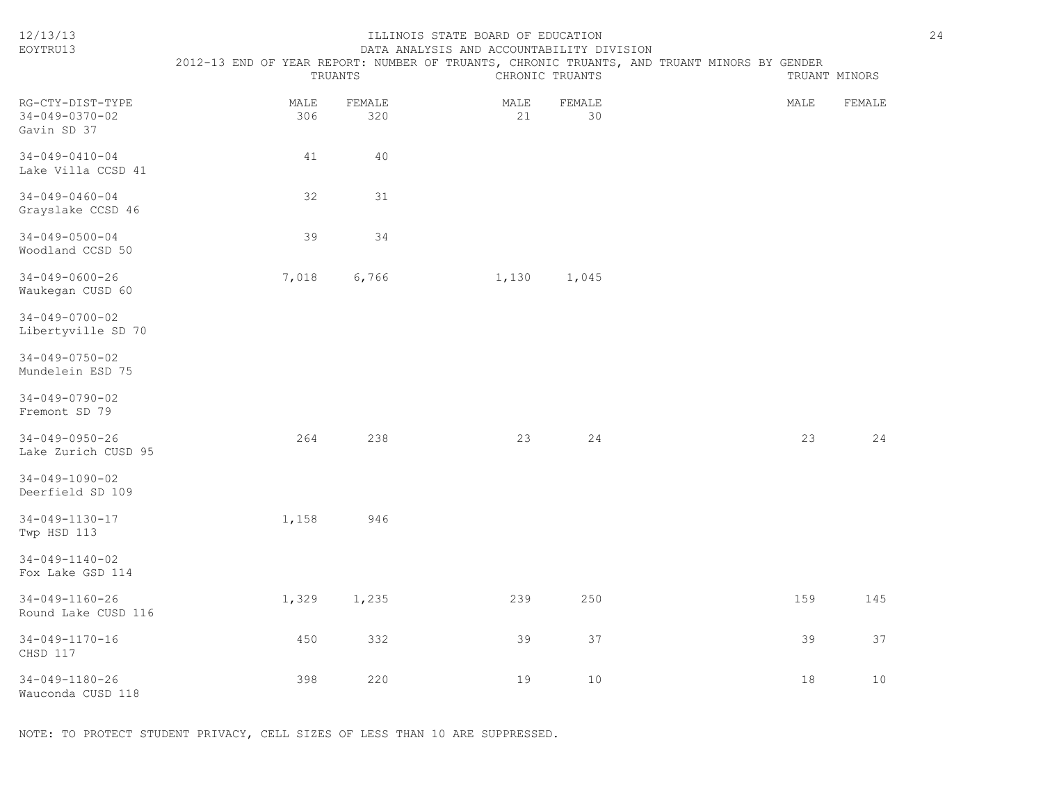| EOYTRU13                                          | DATA ANALYSIS AND ACCOUNTABILITY DIVISION                                                   |               |             |                 |  |      |               |  |
|---------------------------------------------------|---------------------------------------------------------------------------------------------|---------------|-------------|-----------------|--|------|---------------|--|
|                                                   | 2012-13 END OF YEAR REPORT: NUMBER OF TRUANTS, CHRONIC TRUANTS, AND TRUANT MINORS BY GENDER | TRUANTS       |             | CHRONIC TRUANTS |  |      | TRUANT MINORS |  |
| RG-CTY-DIST-TYPE<br>34-049-0370-02<br>Gavin SD 37 | MALE<br>306                                                                                 | FEMALE<br>320 | MALE<br>21  | FEMALE<br>30    |  | MALE | FEMALE        |  |
| $34 - 049 - 0410 - 04$<br>Lake Villa CCSD 41      | 41                                                                                          | 40            |             |                 |  |      |               |  |
| $34 - 049 - 0460 - 04$<br>Grayslake CCSD 46       | 32                                                                                          | 31            |             |                 |  |      |               |  |
| $34 - 049 - 0500 - 04$<br>Woodland CCSD 50        | 39                                                                                          | 34            |             |                 |  |      |               |  |
| $34 - 049 - 0600 - 26$<br>Waukegan CUSD 60        | 7,018                                                                                       | 6,766         | 1,130 1,045 |                 |  |      |               |  |
| $34 - 049 - 0700 - 02$<br>Libertyville SD 70      |                                                                                             |               |             |                 |  |      |               |  |
| $34 - 049 - 0750 - 02$<br>Mundelein ESD 75        |                                                                                             |               |             |                 |  |      |               |  |
| $34 - 049 - 0790 - 02$<br>Fremont SD 79           |                                                                                             |               |             |                 |  |      |               |  |
| $34 - 049 - 0950 - 26$<br>Lake Zurich CUSD 95     | 264                                                                                         | 238           | 23          | 24              |  | 23   | 24            |  |
| $34 - 049 - 1090 - 02$<br>Deerfield SD 109        |                                                                                             |               |             |                 |  |      |               |  |
| 34-049-1130-17<br>Twp HSD 113                     | 1,158                                                                                       | 946           |             |                 |  |      |               |  |
| $34 - 049 - 1140 - 02$<br>Fox Lake GSD 114        |                                                                                             |               |             |                 |  |      |               |  |
| 34-049-1160-26<br>Round Lake CUSD 116             | 1,329                                                                                       | 1,235         | 239         | 250             |  | 159  | 145           |  |
| 34-049-1170-16<br>CHSD 117                        | 450                                                                                         | 332           | 39          | 37              |  | 39   | 37            |  |
| 34-049-1180-26<br>Wauconda CUSD 118               | 398                                                                                         | 220           | 19          | 10              |  | 18   | 10            |  |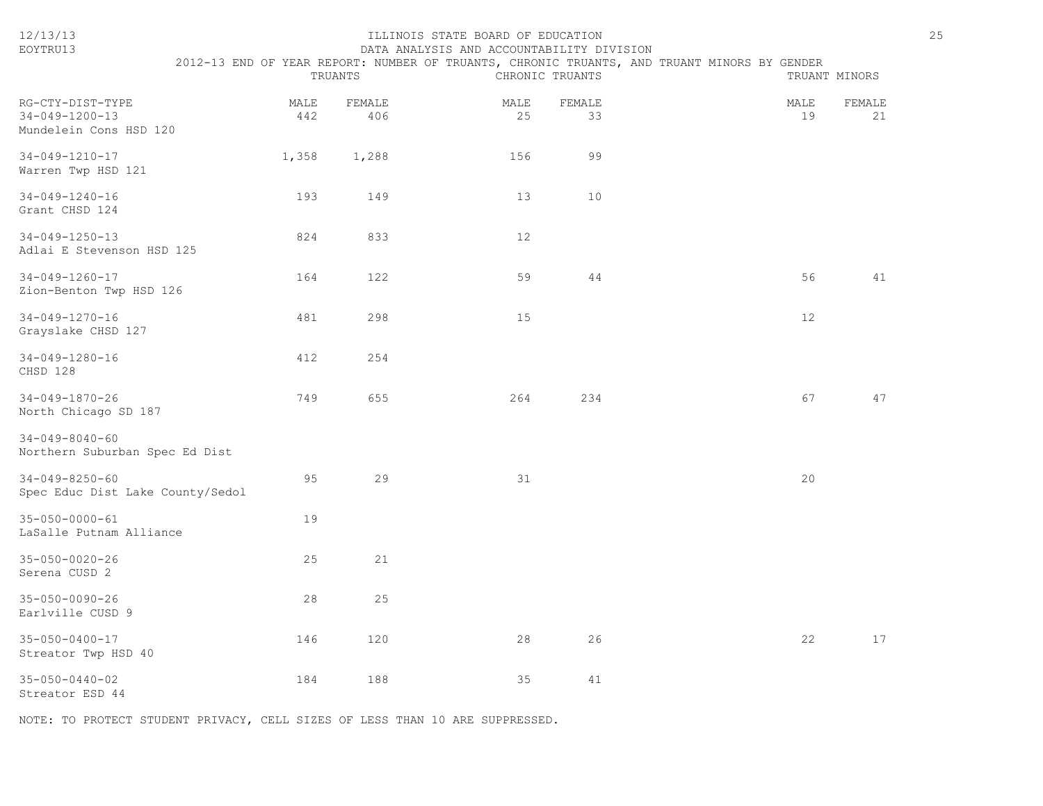| 12/13/13<br>EOYTRU13                                                 |             | TRUANTS       | ILLINOIS STATE BOARD OF EDUCATION<br>DATA ANALYSIS AND ACCOUNTABILITY DIVISION | CHRONIC TRUANTS | 2012-13 END OF YEAR REPORT: NUMBER OF TRUANTS, CHRONIC TRUANTS, AND TRUANT MINORS BY GENDER |            | 25<br>TRUANT MINORS |
|----------------------------------------------------------------------|-------------|---------------|--------------------------------------------------------------------------------|-----------------|---------------------------------------------------------------------------------------------|------------|---------------------|
| RG-CTY-DIST-TYPE<br>$34 - 049 - 1200 - 13$<br>Mundelein Cons HSD 120 | MALE<br>442 | FEMALE<br>406 | MALE<br>25                                                                     | FEMALE<br>33    |                                                                                             | MALE<br>19 | FEMALE<br>21        |
| $34 - 049 - 1210 - 17$<br>Warren Twp HSD 121                         | 1,358       | 1,288         | 156                                                                            | 99              |                                                                                             |            |                     |
| 34-049-1240-16<br>Grant CHSD 124                                     | 193         | 149           | 13                                                                             | 10              |                                                                                             |            |                     |
| 34-049-1250-13<br>Adlai E Stevenson HSD 125                          | 824         | 833           | 12                                                                             |                 |                                                                                             |            |                     |
| $34 - 049 - 1260 - 17$<br>Zion-Benton Twp HSD 126                    | 164         | 122           | 59                                                                             | 44              |                                                                                             | 56         | 41                  |
| 34-049-1270-16<br>Grayslake CHSD 127                                 | 481         | 298           | 15                                                                             |                 |                                                                                             | 12         |                     |
| 34-049-1280-16<br>CHSD 128                                           | 412         | 254           |                                                                                |                 |                                                                                             |            |                     |
| 34-049-1870-26<br>North Chicago SD 187                               | 749         | 655           | 264                                                                            | 234             |                                                                                             | 67         | 47                  |
| $34 - 049 - 8040 - 60$<br>Northern Suburban Spec Ed Dist             |             |               |                                                                                |                 |                                                                                             |            |                     |
| $34 - 049 - 8250 - 60$<br>Spec Educ Dist Lake County/Sedol           | 95          | 29            | 31                                                                             |                 |                                                                                             | 20         |                     |
| $35 - 050 - 0000 - 61$<br>LaSalle Putnam Alliance                    | 19          |               |                                                                                |                 |                                                                                             |            |                     |
| $35 - 050 - 0020 - 26$<br>Serena CUSD 2                              | 25          | 21            |                                                                                |                 |                                                                                             |            |                     |
| $35 - 050 - 0090 - 26$<br>Earlville CUSD 9                           | 28          | 25            |                                                                                |                 |                                                                                             |            |                     |
| 35-050-0400-17<br>Streator Twp HSD 40                                | 146         | 120           | 28                                                                             | 26              |                                                                                             | 22         | 17                  |
| $35 - 050 - 0440 - 02$<br>Streator ESD 44                            | 184         | 188           | 35                                                                             | 41              |                                                                                             |            |                     |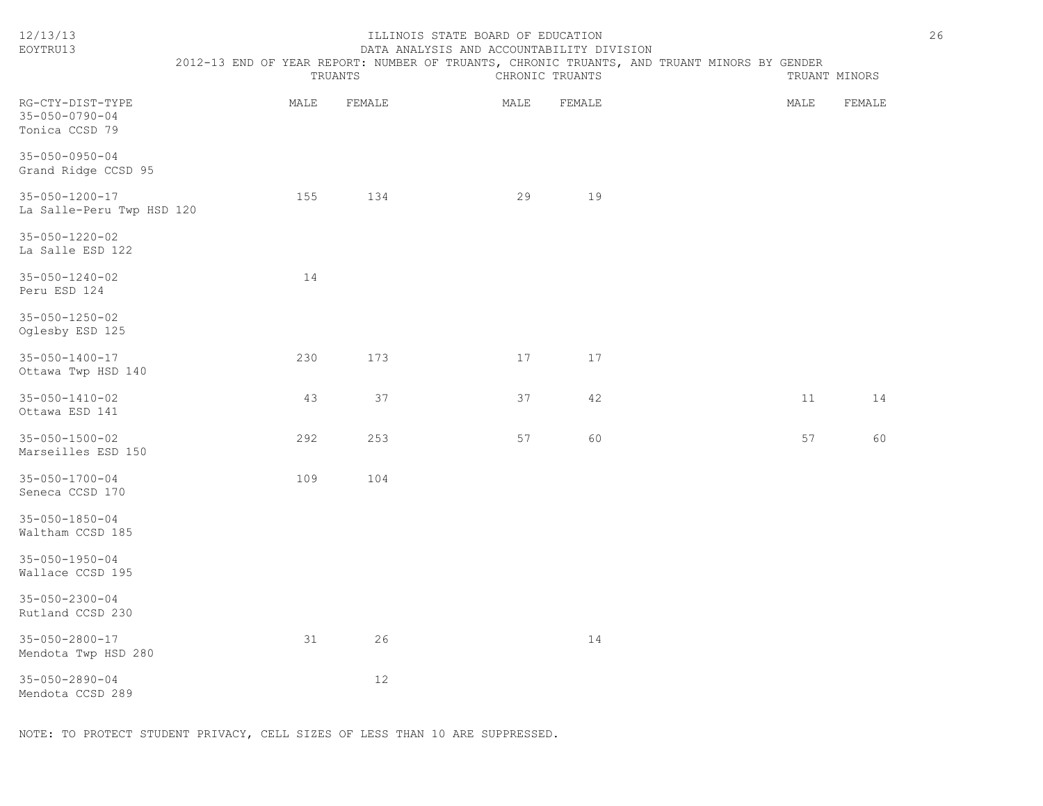| 12/13/13<br>EOYTRU13                                         | TRUANTS |        | ILLINOIS STATE BOARD OF EDUCATION<br>DATA ANALYSIS AND ACCOUNTABILITY DIVISION<br>CHRONIC TRUANTS |        | 2012-13 END OF YEAR REPORT: NUMBER OF TRUANTS, CHRONIC TRUANTS, AND TRUANT MINORS BY GENDER |      | TRUANT MINORS | 26 |
|--------------------------------------------------------------|---------|--------|---------------------------------------------------------------------------------------------------|--------|---------------------------------------------------------------------------------------------|------|---------------|----|
| RG-CTY-DIST-TYPE<br>$35 - 050 - 0790 - 04$<br>Tonica CCSD 79 | MALE    | FEMALE | $\texttt{MALE}$                                                                                   | FEMALE |                                                                                             | MALE | FEMALE        |    |
| $35 - 050 - 0950 - 04$<br>Grand Ridge CCSD 95                |         |        |                                                                                                   |        |                                                                                             |      |               |    |
| $35 - 050 - 1200 - 17$<br>La Salle-Peru Twp HSD 120          | 155     | 134    | 29                                                                                                | 19     |                                                                                             |      |               |    |
| 35-050-1220-02<br>La Salle ESD 122                           |         |        |                                                                                                   |        |                                                                                             |      |               |    |
| $35 - 050 - 1240 - 02$<br>Peru ESD 124                       | 14      |        |                                                                                                   |        |                                                                                             |      |               |    |
| $35 - 050 - 1250 - 02$<br>Oglesby ESD 125                    |         |        |                                                                                                   |        |                                                                                             |      |               |    |
| 35-050-1400-17<br>Ottawa Twp HSD 140                         | 230     | 173    | 17                                                                                                | 17     |                                                                                             |      |               |    |
| $35 - 050 - 1410 - 02$<br>Ottawa ESD 141                     | 43      | 37     | 37                                                                                                | 42     |                                                                                             | 11   | 14            |    |
| $35 - 050 - 1500 - 02$<br>Marseilles ESD 150                 | 292     | 253    | 57                                                                                                | 60     |                                                                                             | 57   | 60            |    |
| $35 - 050 - 1700 - 04$<br>Seneca CCSD 170                    | 109     | 104    |                                                                                                   |        |                                                                                             |      |               |    |
| $35 - 050 - 1850 - 04$<br>Waltham CCSD 185                   |         |        |                                                                                                   |        |                                                                                             |      |               |    |
| $35 - 050 - 1950 - 04$<br>Wallace CCSD 195                   |         |        |                                                                                                   |        |                                                                                             |      |               |    |
| $35 - 050 - 2300 - 04$<br>Rutland CCSD 230                   |         |        |                                                                                                   |        |                                                                                             |      |               |    |
| $35 - 050 - 2800 - 17$<br>Mendota Twp HSD 280                | 31      | 26     |                                                                                                   | 14     |                                                                                             |      |               |    |
| $35 - 050 - 2890 - 04$<br>Mendota CCSD 289                   |         | 12     |                                                                                                   |        |                                                                                             |      |               |    |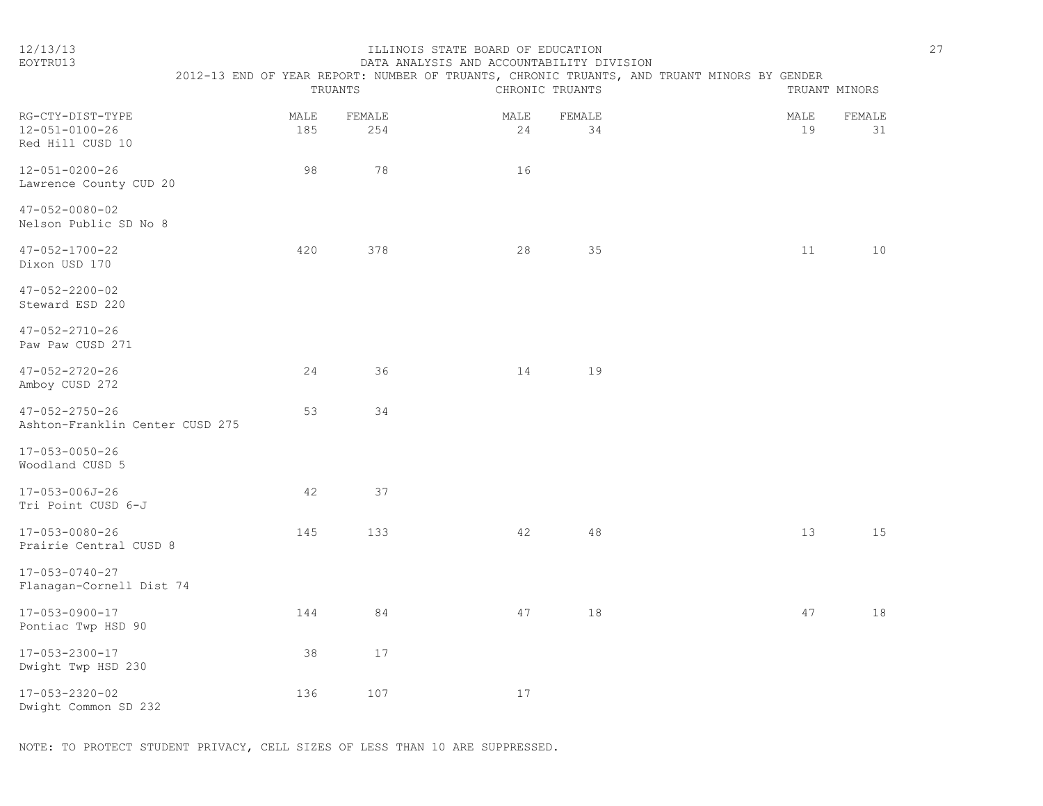|  | $\sim$ | $\sim$ |  |
|--|--------|--------|--|
|  |        |        |  |

#### ILLINOIS STATE BOARD OF EDUCATION EOYTRU13 DATA ANALYSIS AND ACCOUNTABILITY DIVISION

|                                                           | 2012-13 END OF YEAR REPORT: NUMBER OF TRUANTS, CHRONIC TRUANTS, AND TRUANT MINORS BY GENDER | TRUANTS       |            | CHRONIC TRUANTS |            | TRUANT MINORS       |
|-----------------------------------------------------------|---------------------------------------------------------------------------------------------|---------------|------------|-----------------|------------|---------------------|
| RG-CTY-DIST-TYPE<br>12-051-0100-26<br>Red Hill CUSD 10    | MALE<br>185                                                                                 | FEMALE<br>254 | MALE<br>24 | FEMALE<br>34    | MALE<br>19 | <b>FEMALE</b><br>31 |
| 12-051-0200-26<br>Lawrence County CUD 20                  | 98                                                                                          | 78            | 16         |                 |            |                     |
| $47 - 052 - 0080 - 02$<br>Nelson Public SD No 8           |                                                                                             |               |            |                 |            |                     |
| 47-052-1700-22<br>Dixon USD 170                           | 420                                                                                         | 378           | 28         | 35              | 11         | 10                  |
| $47 - 052 - 2200 - 02$<br>Steward ESD 220                 |                                                                                             |               |            |                 |            |                     |
| $47 - 052 - 2710 - 26$<br>Paw Paw CUSD 271                |                                                                                             |               |            |                 |            |                     |
| $47 - 052 - 2720 - 26$<br>Amboy CUSD 272                  | 24                                                                                          | 36            | 14         | 19              |            |                     |
| $47 - 052 - 2750 - 26$<br>Ashton-Franklin Center CUSD 275 | 53                                                                                          | 34            |            |                 |            |                     |
| 17-053-0050-26<br>Woodland CUSD 5                         |                                                                                             |               |            |                 |            |                     |
| 17-053-006J-26<br>Tri Point CUSD 6-J                      | 42                                                                                          | 37            |            |                 |            |                     |
| 17-053-0080-26<br>Prairie Central CUSD 8                  | 145                                                                                         | 133           | 42         | 48              | 13         | 15                  |
| 17-053-0740-27<br>Flanagan-Cornell Dist 74                |                                                                                             |               |            |                 |            |                     |
| 17-053-0900-17<br>Pontiac Twp HSD 90                      | 144                                                                                         | 84            | 47         | 18              | 47         | 18                  |
| 17-053-2300-17<br>Dwight Twp HSD 230                      | 38                                                                                          | 17            |            |                 |            |                     |
| $17 - 053 - 2320 - 02$<br>Dwight Common SD 232            | 136                                                                                         | 107           | $17$       |                 |            |                     |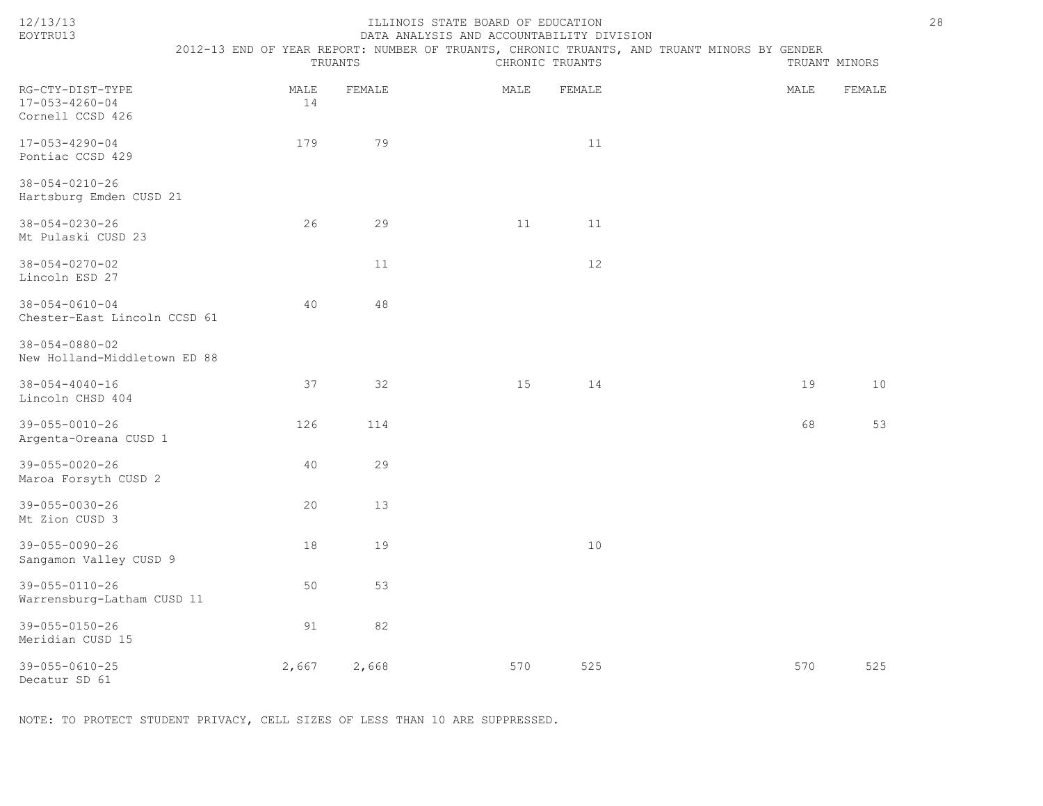|--|--|

### 12/13/13 ILLINOIS STATE BOARD OF EDUCATION 28 EOYTRU13 DATA ANALYSIS AND ACCOUNTABILITY DIVISION

2012-13 END OF YEAR REPORT: NUMBER OF TRUANTS, CHRONIC TRUANTS, AND TRUANT MINORS BY GENDER

|                                                                |            | TRUANTS |      | CHRONIC TRUANTS |      | TRUANT MINORS |
|----------------------------------------------------------------|------------|---------|------|-----------------|------|---------------|
| RG-CTY-DIST-TYPE<br>$17 - 053 - 4260 - 04$<br>Cornell CCSD 426 | MALE<br>14 | FEMALE  | MALE | FEMALE          | MALE | FEMALE        |
| $17 - 053 - 4290 - 04$<br>Pontiac CCSD 429                     | 179        | 79      |      | 11              |      |               |
| $38 - 054 - 0210 - 26$<br>Hartsburg Emden CUSD 21              |            |         |      |                 |      |               |
| $38 - 054 - 0230 - 26$<br>Mt Pulaski CUSD 23                   | 26         | 29      | 11   | 11              |      |               |
| $38 - 054 - 0270 - 02$<br>Lincoln ESD 27                       |            | 11      |      | 12              |      |               |
| $38 - 054 - 0610 - 04$<br>Chester-East Lincoln CCSD 61         | 40         | 48      |      |                 |      |               |
| $38 - 054 - 0880 - 02$<br>New Holland-Middletown ED 88         |            |         |      |                 |      |               |
| $38 - 054 - 4040 - 16$<br>Lincoln CHSD 404                     | 37         | 32      | 15   | 14              | 19   | 10            |
| $39 - 055 - 0010 - 26$<br>Argenta-Oreana CUSD 1                | 126        | 114     |      |                 | 68   | 53            |
| $39 - 055 - 0020 - 26$<br>Maroa Forsyth CUSD 2                 | 40         | 29      |      |                 |      |               |
| $39 - 055 - 0030 - 26$<br>Mt Zion CUSD 3                       | 20         | 13      |      |                 |      |               |
| $39 - 055 - 0090 - 26$<br>Sangamon Valley CUSD 9               | 18         | 19      |      | 10              |      |               |
| 39-055-0110-26<br>Warrensburg-Latham CUSD 11                   | 50         | 53      |      |                 |      |               |
| $39 - 055 - 0150 - 26$<br>Meridian CUSD 15                     | 91         | 82      |      |                 |      |               |
| 39-055-0610-25<br>Decatur SD 61                                | 2,667      | 2,668   | 570  | 525             | 570  | 525           |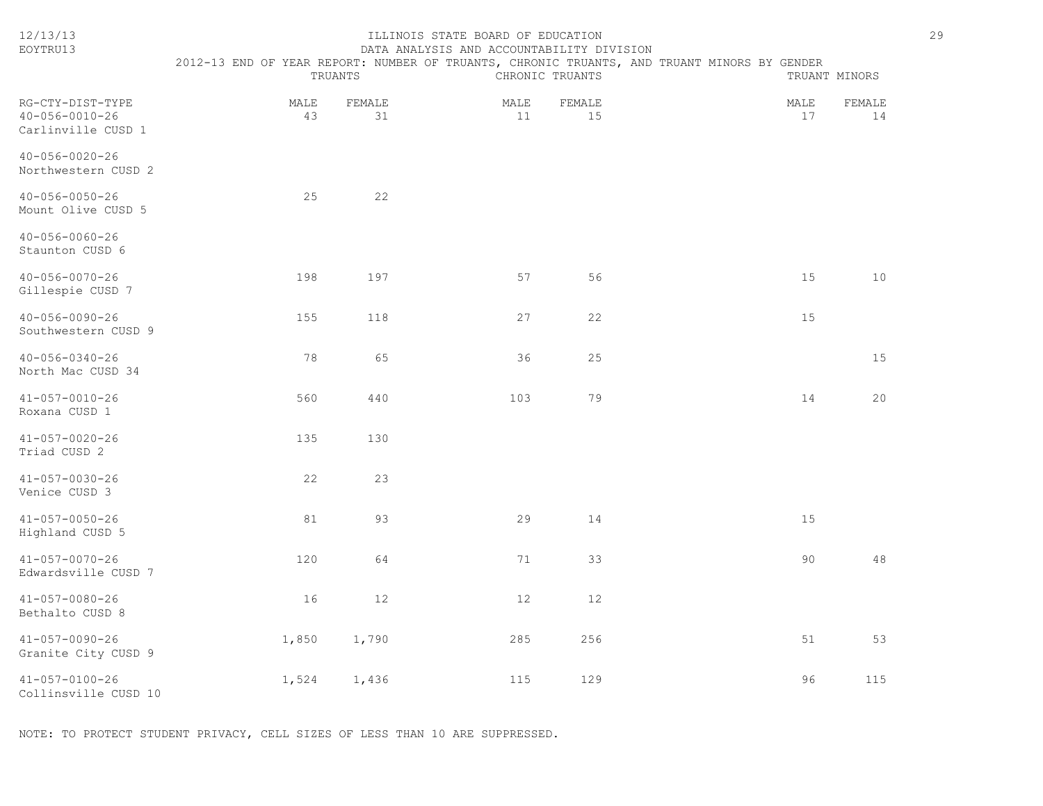| EOYTRU13                                                         | DATA ANALYSIS AND ACCOUNTABILITY DIVISION<br>2012-13 END OF YEAR REPORT: NUMBER OF TRUANTS, CHRONIC TRUANTS, AND TRUANT MINORS BY GENDER |              |            |                 |  |            |               |  |  |
|------------------------------------------------------------------|------------------------------------------------------------------------------------------------------------------------------------------|--------------|------------|-----------------|--|------------|---------------|--|--|
|                                                                  |                                                                                                                                          | TRUANTS      |            | CHRONIC TRUANTS |  |            | TRUANT MINORS |  |  |
| RG-CTY-DIST-TYPE<br>$40 - 056 - 0010 - 26$<br>Carlinville CUSD 1 | MALE<br>43                                                                                                                               | FEMALE<br>31 | MALE<br>11 | FEMALE<br>15    |  | MALE<br>17 | FEMALE<br>14  |  |  |
| $40 - 056 - 0020 - 26$<br>Northwestern CUSD 2                    |                                                                                                                                          |              |            |                 |  |            |               |  |  |
| $40 - 056 - 0050 - 26$<br>Mount Olive CUSD 5                     | 25                                                                                                                                       | 22           |            |                 |  |            |               |  |  |
| $40 - 056 - 0060 - 26$<br>Staunton CUSD 6                        |                                                                                                                                          |              |            |                 |  |            |               |  |  |
| $40 - 056 - 0070 - 26$<br>Gillespie CUSD 7                       | 198                                                                                                                                      | 197          | 57         | 56              |  | 15         | 10            |  |  |
| $40 - 056 - 0090 - 26$<br>Southwestern CUSD 9                    | 155                                                                                                                                      | 118          | 27         | 22              |  | 15         |               |  |  |
| $40 - 056 - 0340 - 26$<br>North Mac CUSD 34                      | 78                                                                                                                                       | 65           | 36         | 25              |  |            | 15            |  |  |
| $41 - 057 - 0010 - 26$<br>Roxana CUSD 1                          | 560                                                                                                                                      | 440          | 103        | 79              |  | 14         | 20            |  |  |
| $41 - 057 - 0020 - 26$<br>Triad CUSD 2                           | 135                                                                                                                                      | 130          |            |                 |  |            |               |  |  |
| $41 - 057 - 0030 - 26$<br>Venice CUSD 3                          | 22                                                                                                                                       | 23           |            |                 |  |            |               |  |  |
| $41 - 057 - 0050 - 26$<br>Highland CUSD 5                        | 81                                                                                                                                       | 93           | 29         | 14              |  | 15         |               |  |  |
| $41 - 057 - 0070 - 26$<br>Edwardsville CUSD 7                    | 120                                                                                                                                      | 64           | 71         | 33              |  | 90         | 48            |  |  |
| $41 - 057 - 0080 - 26$<br>Bethalto CUSD 8                        | 16                                                                                                                                       | 12           | 12         | 12              |  |            |               |  |  |
| $41 - 057 - 0090 - 26$<br>Granite City CUSD 9                    | 1,850                                                                                                                                    | 1,790        | 285        | 256             |  | 51         | 53            |  |  |
| $41 - 057 - 0100 - 26$<br>Collinsville CUSD 10                   | 1,524                                                                                                                                    | 1,436        | 115        | 129             |  | 96         | 115           |  |  |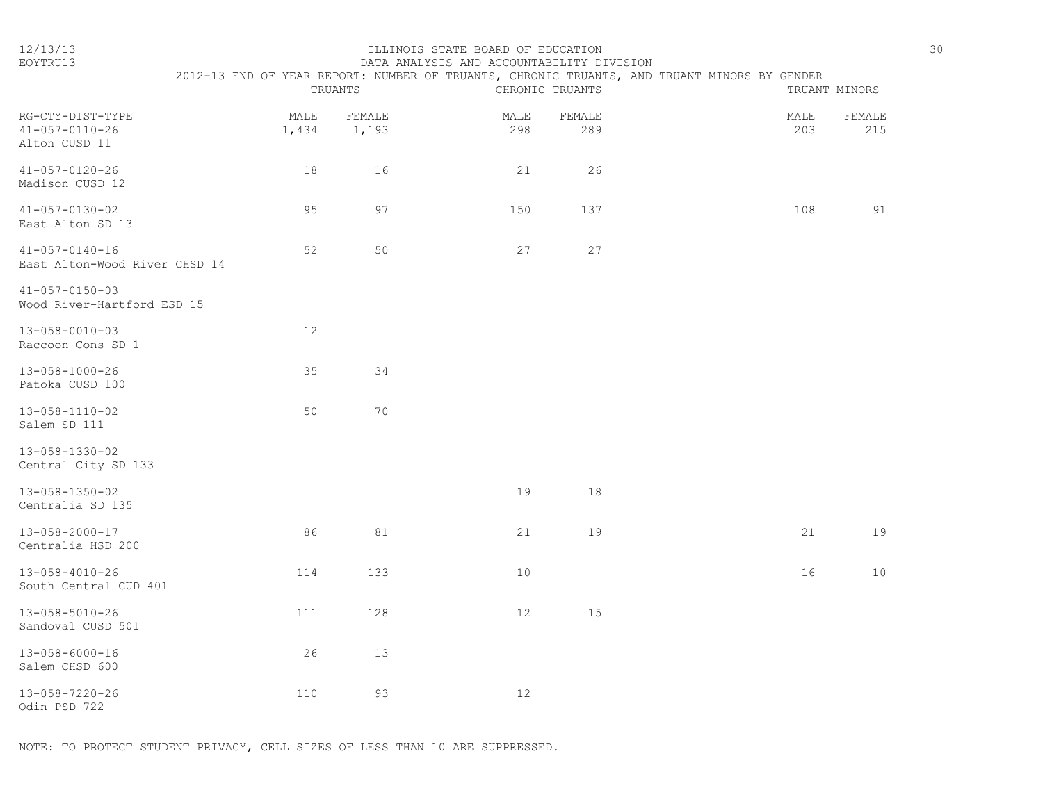| $\sim$ | ×  |
|--------|----|
|        | ۰. |
|        |    |
|        |    |

#### 12/13/13 ILLINOIS STATE BOARD OF EDUCATION 30 EOYTRU13 DATA ANALYSIS AND ACCOUNTABILITY DIVISION

|                                                             |               | TRUANTS         |             | CHRONIC TRUANTS | 2012-13 END OF YEAR REPORT: NUMBER OF TRUANTS, CHRONIC TRUANTS, AND TRUANT MINORS BY GENDER |             | TRUANT MINORS |
|-------------------------------------------------------------|---------------|-----------------|-------------|-----------------|---------------------------------------------------------------------------------------------|-------------|---------------|
| RG-CTY-DIST-TYPE<br>$41 - 057 - 0110 - 26$<br>Alton CUSD 11 | MALE<br>1,434 | FEMALE<br>1,193 | MALE<br>298 | FEMALE<br>289   |                                                                                             | MALE<br>203 | FEMALE<br>215 |
| $41 - 057 - 0120 - 26$<br>Madison CUSD 12                   | 18            | 16              | 21          | 26              |                                                                                             |             |               |
| $41 - 057 - 0130 - 02$<br>East Alton SD 13                  | 95            | 97              | 150         | 137             |                                                                                             | 108         | 91            |
| $41 - 057 - 0140 - 16$<br>East Alton-Wood River CHSD 14     | 52            | 50              | 27          | 27              |                                                                                             |             |               |
| $41 - 057 - 0150 - 03$<br>Wood River-Hartford ESD 15        |               |                 |             |                 |                                                                                             |             |               |
| $13 - 058 - 0010 - 03$<br>Raccoon Cons SD 1                 | 12            |                 |             |                 |                                                                                             |             |               |
| 13-058-1000-26<br>Patoka CUSD 100                           | 35            | 34              |             |                 |                                                                                             |             |               |
| 13-058-1110-02<br>Salem SD 111                              | 50            | 70              |             |                 |                                                                                             |             |               |
| 13-058-1330-02<br>Central City SD 133                       |               |                 |             |                 |                                                                                             |             |               |
| 13-058-1350-02<br>Centralia SD 135                          |               |                 | 19          | 18              |                                                                                             |             |               |
| $13 - 058 - 2000 - 17$<br>Centralia HSD 200                 | 86            | 81              | 21          | 19              |                                                                                             | 21          | 19            |
| $13 - 058 - 4010 - 26$<br>South Central CUD 401             | 114           | 133             | 10          |                 |                                                                                             | 16          | 10            |
| 13-058-5010-26<br>Sandoval CUSD 501                         | 111           | 128             | 12          | 15              |                                                                                             |             |               |
| $13 - 058 - 6000 - 16$<br>Salem CHSD 600                    | 26            | 13              |             |                 |                                                                                             |             |               |
| $13 - 058 - 7220 - 26$<br>Odin PSD 722                      | 110           | 93              | 12          |                 |                                                                                             |             |               |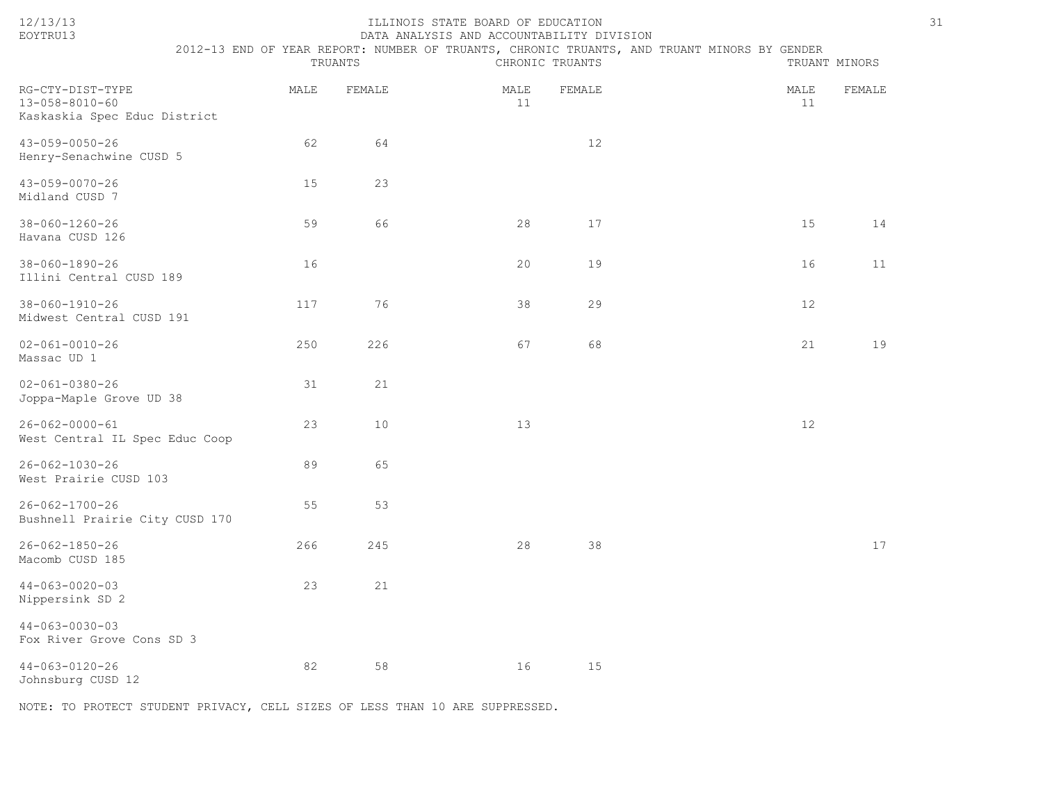|--|

### 12/13/13 ILLINOIS STATE BOARD OF EDUCATION 31 EOYTRU13 DATA ANALYSIS AND ACCOUNTABILITY DIVISION

 2012-13 END OF YEAR REPORT: NUMBER OF TRUANTS, CHRONIC TRUANTS, AND TRUANT MINORS BY GENDER TRUANTS CHRONIC TRUANTS TRUANT MINORS

| RG-CTY-DIST-TYPE<br>$13 - 058 - 8010 - 60$<br>Kaskaskia Spec Educ District | MALE | FEMALE | MALE<br>11 | FEMALE | MALE<br>11 | FEMALE |
|----------------------------------------------------------------------------|------|--------|------------|--------|------------|--------|
| $43 - 059 - 0050 - 26$<br>Henry-Senachwine CUSD 5                          | 62   | 64     |            | $12$   |            |        |
| $43 - 059 - 0070 - 26$<br>Midland CUSD 7                                   | 15   | 23     |            |        |            |        |
| $38 - 060 - 1260 - 26$<br>Havana CUSD 126                                  | 59   | 66     | 28         | 17     | 15         | 14     |
| $38 - 060 - 1890 - 26$<br>Illini Central CUSD 189                          | 16   |        | 20         | 19     | 16         | 11     |
| $38 - 060 - 1910 - 26$<br>Midwest Central CUSD 191                         | 117  | 76     | 38         | 29     | 12         |        |
| $02 - 061 - 0010 - 26$<br>Massac UD 1                                      | 250  | 226    | 67         | 68     | 21         | 19     |
| $02 - 061 - 0380 - 26$<br>Joppa-Maple Grove UD 38                          | 31   | 21     |            |        |            |        |
| $26 - 062 - 0000 - 61$<br>West Central IL Spec Educ Coop                   | 23   | $10$   | 13         |        | 12         |        |
| $26 - 062 - 1030 - 26$<br>West Prairie CUSD 103                            | 89   | 65     |            |        |            |        |
| $26 - 062 - 1700 - 26$<br>Bushnell Prairie City CUSD 170                   | 55   | 53     |            |        |            |        |
| $26 - 062 - 1850 - 26$<br>Macomb CUSD 185                                  | 266  | 245    | 28         | 38     |            | 17     |
| $44 - 063 - 0020 - 03$<br>Nippersink SD 2                                  | 23   | 21     |            |        |            |        |
| $44 - 063 - 0030 - 03$<br>Fox River Grove Cons SD 3                        |      |        |            |        |            |        |
| $44 - 063 - 0120 - 26$<br>Johnsburg CUSD 12                                | 82   | 58     | 16         | 15     |            |        |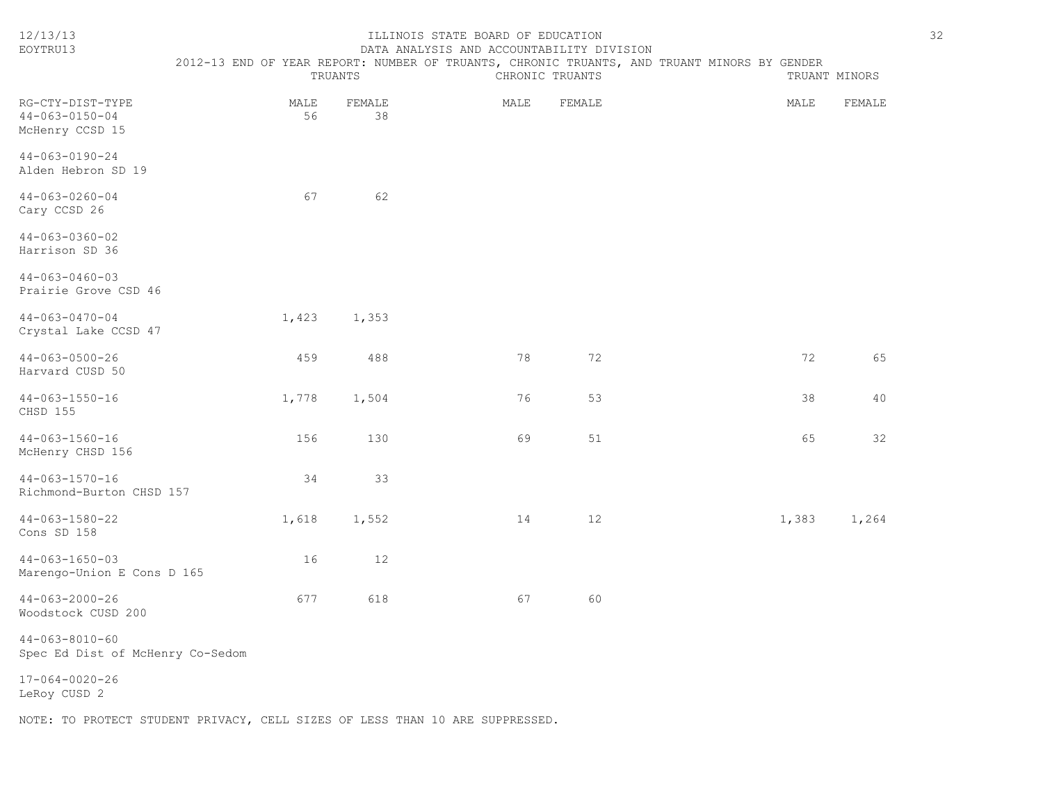| 12/13/13<br>EOYTRU13                                          | ILLINOIS STATE BOARD OF EDUCATION<br>DATA ANALYSIS AND ACCOUNTABILITY DIVISION<br>2012-13 END OF YEAR REPORT: NUMBER OF TRUANTS, CHRONIC TRUANTS, AND TRUANT MINORS BY GENDER<br>TRUANTS<br>CHRONIC TRUANTS<br>TRUANT MINORS |              |      |        |       |        |  |
|---------------------------------------------------------------|------------------------------------------------------------------------------------------------------------------------------------------------------------------------------------------------------------------------------|--------------|------|--------|-------|--------|--|
| RG-CTY-DIST-TYPE<br>$44 - 063 - 0150 - 04$<br>McHenry CCSD 15 | MALE<br>56                                                                                                                                                                                                                   | FEMALE<br>38 | MALE | FEMALE | MALE  | FEMALE |  |
| $44 - 063 - 0190 - 24$<br>Alden Hebron SD 19                  |                                                                                                                                                                                                                              |              |      |        |       |        |  |
| $44 - 063 - 0260 - 04$<br>Cary CCSD 26                        | 67                                                                                                                                                                                                                           | 62           |      |        |       |        |  |
| $44 - 063 - 0360 - 02$<br>Harrison SD 36                      |                                                                                                                                                                                                                              |              |      |        |       |        |  |
| $44 - 063 - 0460 - 03$<br>Prairie Grove CSD 46                |                                                                                                                                                                                                                              |              |      |        |       |        |  |
| $44 - 063 - 0470 - 04$<br>Crystal Lake CCSD 47                | 1,423                                                                                                                                                                                                                        | 1,353        |      |        |       |        |  |
| $44 - 063 - 0500 - 26$<br>Harvard CUSD 50                     | 459                                                                                                                                                                                                                          | 488          | 78   | 72     | 72    | 65     |  |
| $44 - 063 - 1550 - 16$<br>CHSD 155                            | 1,778                                                                                                                                                                                                                        | 1,504        | 76   | 53     | 38    | 40     |  |
| $44 - 063 - 1560 - 16$<br>McHenry CHSD 156                    | 156                                                                                                                                                                                                                          | 130          | 69   | 51     | 65    | 32     |  |
| $44 - 063 - 1570 - 16$<br>Richmond-Burton CHSD 157            | 34                                                                                                                                                                                                                           | 33           |      |        |       |        |  |
| $44 - 063 - 1580 - 22$<br>Cons SD 158                         | 1,618                                                                                                                                                                                                                        | 1,552        | 14   | 12     | 1,383 | 1,264  |  |
| $44 - 063 - 1650 - 03$<br>Marengo-Union E Cons D 165          | 16                                                                                                                                                                                                                           | 12           |      |        |       |        |  |
| $44 - 063 - 2000 - 26$<br>Woodstock CUSD 200                  | 677                                                                                                                                                                                                                          | 618          | 67   | 60     |       |        |  |
| $44 - 063 - 8010 - 60$<br>Spec Ed Dist of McHenry Co-Sedom    |                                                                                                                                                                                                                              |              |      |        |       |        |  |
| $17 - 064 - 0020 - 26$<br>LeRoy CUSD 2                        |                                                                                                                                                                                                                              |              |      |        |       |        |  |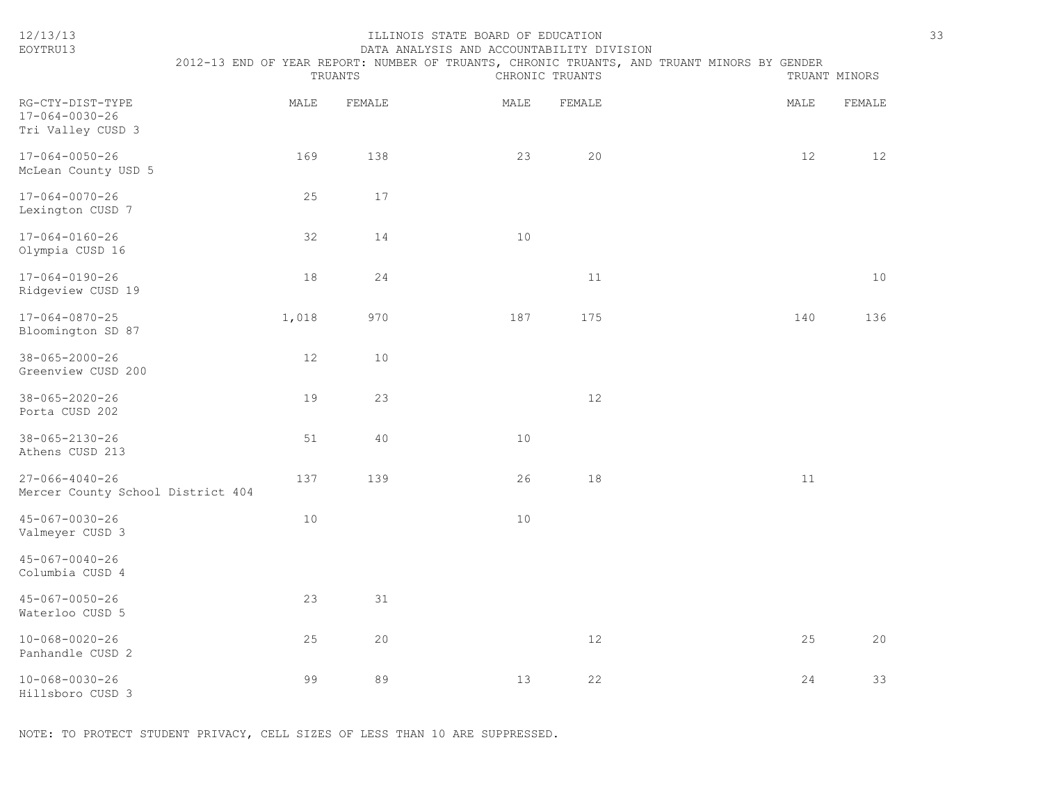| 12/13/13<br>EOYTRU13                                        | ILLINOIS STATE BOARD OF EDUCATION<br>DATA ANALYSIS AND ACCOUNTABILITY DIVISION<br>2012-13 END OF YEAR REPORT: NUMBER OF TRUANTS, CHRONIC TRUANTS, AND TRUANT MINORS BY GENDER<br>CHRONIC TRUANTS<br>TRUANT MINORS<br>TRUANTS |        |      |        |  |      |        | 33 |
|-------------------------------------------------------------|------------------------------------------------------------------------------------------------------------------------------------------------------------------------------------------------------------------------------|--------|------|--------|--|------|--------|----|
| RG-CTY-DIST-TYPE<br>17-064-0030-26<br>Tri Valley CUSD 3     | MALE                                                                                                                                                                                                                         | FEMALE | MALE | FEMALE |  | MALE | FEMALE |    |
| $17 - 064 - 0050 - 26$<br>McLean County USD 5               | 169                                                                                                                                                                                                                          | 138    | 23   | 20     |  | 12   | 12     |    |
| $17 - 064 - 0070 - 26$<br>Lexington CUSD 7                  | 25                                                                                                                                                                                                                           | 17     |      |        |  |      |        |    |
| $17 - 064 - 0160 - 26$<br>Olympia CUSD 16                   | 32                                                                                                                                                                                                                           | 14     | 10   |        |  |      |        |    |
| $17 - 064 - 0190 - 26$<br>Ridgeview CUSD 19                 | 18                                                                                                                                                                                                                           | 24     |      | 11     |  |      | 10     |    |
| $17 - 064 - 0870 - 25$<br>Bloomington SD 87                 | 1,018                                                                                                                                                                                                                        | 970    | 187  | 175    |  | 140  | 136    |    |
| $38 - 065 - 2000 - 26$<br>Greenview CUSD 200                | 12                                                                                                                                                                                                                           | 10     |      |        |  |      |        |    |
| $38 - 065 - 2020 - 26$<br>Porta CUSD 202                    | 19                                                                                                                                                                                                                           | 23     |      | 12     |  |      |        |    |
| $38 - 065 - 2130 - 26$<br>Athens CUSD 213                   | 51                                                                                                                                                                                                                           | 40     | 10   |        |  |      |        |    |
| $27 - 066 - 4040 - 26$<br>Mercer County School District 404 | 137                                                                                                                                                                                                                          | 139    | 26   | 18     |  | 11   |        |    |
| $45 - 067 - 0030 - 26$<br>Valmeyer CUSD 3                   | 10                                                                                                                                                                                                                           |        | 10   |        |  |      |        |    |
| $45 - 067 - 0040 - 26$<br>Columbia CUSD 4                   |                                                                                                                                                                                                                              |        |      |        |  |      |        |    |
| $45 - 067 - 0050 - 26$<br>Waterloo CUSD 5                   | 23                                                                                                                                                                                                                           | 31     |      |        |  |      |        |    |
| $10 - 068 - 0020 - 26$<br>Panhandle CUSD 2                  | 25                                                                                                                                                                                                                           | 20     |      | 12     |  | 25   | 20     |    |
| $10 - 068 - 0030 - 26$<br>Hillsboro CUSD 3                  | 99                                                                                                                                                                                                                           | 89     | 13   | 22     |  | 24   | 33     |    |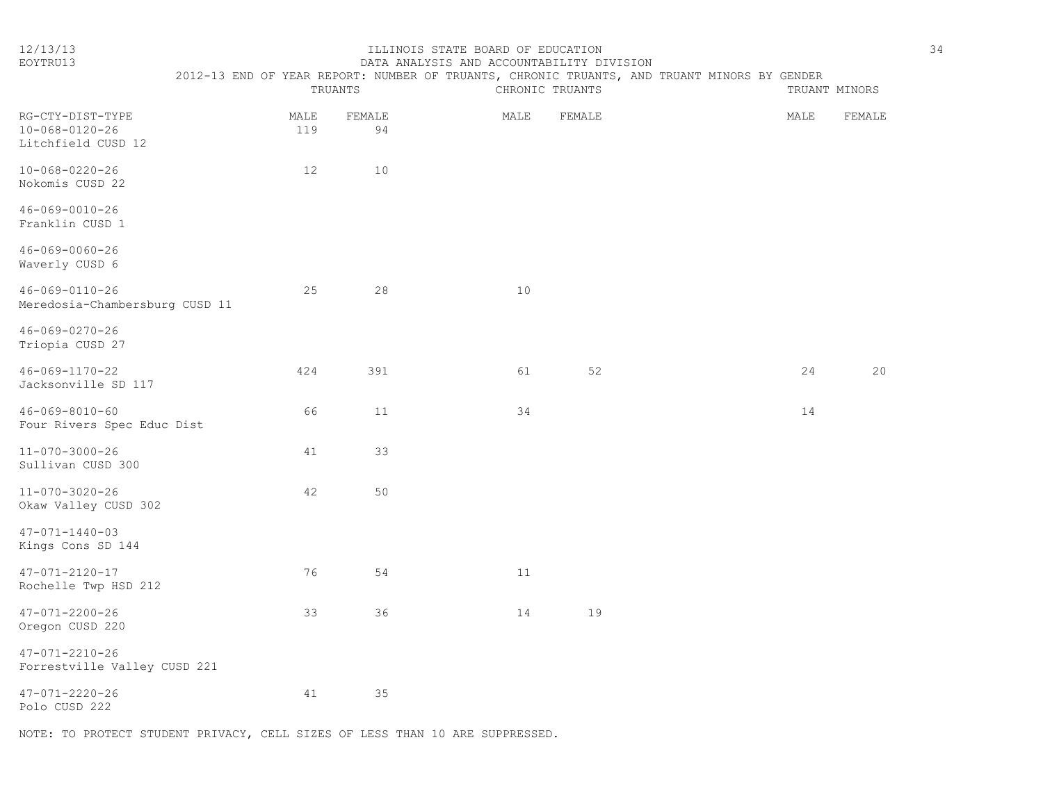#### 12/13/13 ILLINOIS STATE BOARD OF EDUCATION 34 EOYTRU13 DATA ANALYSIS AND ACCOUNTABILITY DIVISION

| FND. | 7.PORT<br>YEAR | TRUANTS.<br>NUMBER OF<br>CHRONT( | TRUANTS.       | AND<br>MINORS<br>TRUANT . | GENDER<br>H Y |
|------|----------------|----------------------------------|----------------|---------------------------|---------------|
|      | 'RIJA          | HR)                              | <b>TRIIANT</b> |                           | TRIJANT       |

| RG-CTY-DIST-TYPE<br>$10 - 068 - 0120 - 26$<br>Litchfield CUSD 12 | MALE<br>119 | FEMALE<br>94 | MALE | FEMALE | MALE | FEMALE   |
|------------------------------------------------------------------|-------------|--------------|------|--------|------|----------|
| $10 - 068 - 0220 - 26$<br>Nokomis CUSD 22                        | 12          | 10           |      |        |      |          |
| $46 - 069 - 0010 - 26$<br>Franklin CUSD 1                        |             |              |      |        |      |          |
| $46 - 069 - 0060 - 26$<br>Waverly CUSD 6                         |             |              |      |        |      |          |
| $46 - 069 - 0110 - 26$<br>Meredosia-Chambersburg CUSD 11         | 25          | 28           | 10   |        |      |          |
| 46-069-0270-26<br>Triopia CUSD 27                                |             |              |      |        |      |          |
| $46 - 069 - 1170 - 22$<br>Jacksonville SD 117                    | 424         | 391          | 61   | 52     |      | 20<br>24 |
| $46 - 069 - 8010 - 60$<br>Four Rivers Spec Educ Dist             | 66          | 11           | 34   |        |      | 14       |
| 11-070-3000-26<br>Sullivan CUSD 300                              | 41          | 33           |      |        |      |          |
| 11-070-3020-26<br>Okaw Valley CUSD 302                           | 42          | 50           |      |        |      |          |
| $47 - 071 - 1440 - 03$<br>Kings Cons SD 144                      |             |              |      |        |      |          |
| $47 - 071 - 2120 - 17$<br>Rochelle Twp HSD 212                   | 76          | 54           | 11   |        |      |          |
| $47 - 071 - 2200 - 26$<br>Oregon CUSD 220                        | 33          | 36           | 14   | 19     |      |          |
| $47 - 071 - 2210 - 26$<br>Forrestville Valley CUSD 221           |             |              |      |        |      |          |
| $47 - 071 - 2220 - 26$<br>Polo CUSD 222                          | 41          | 35           |      |        |      |          |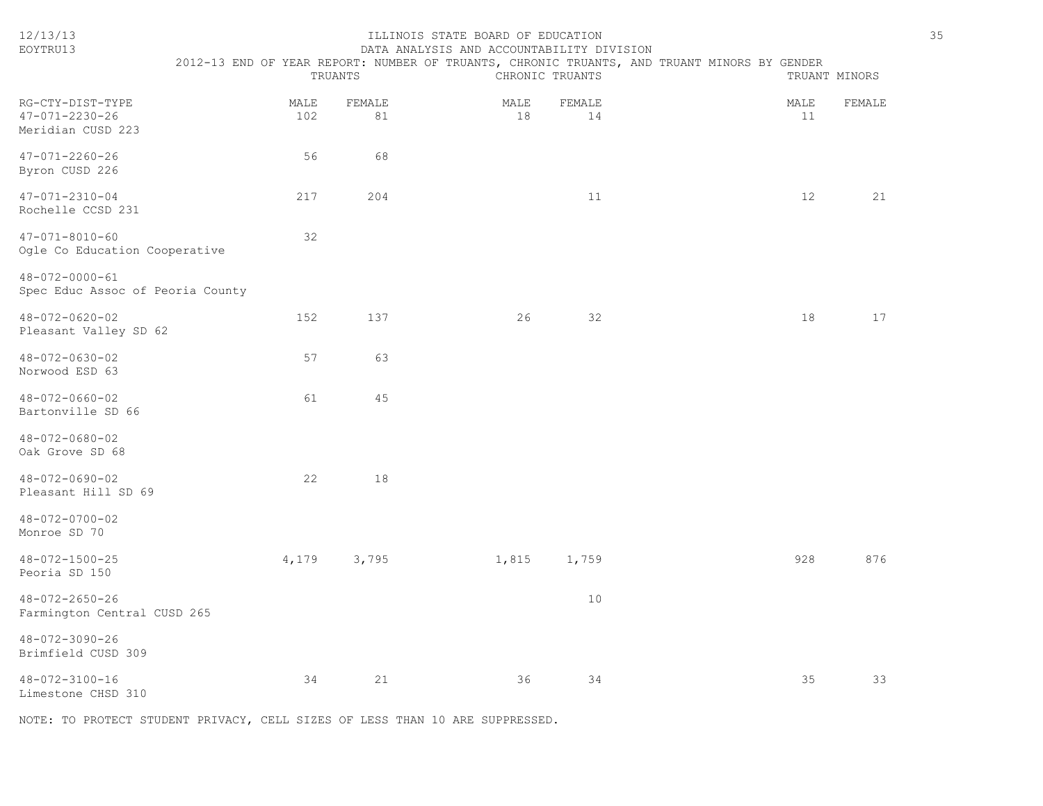| 12/13/13<br>EOYTRU13                                            | TRUANTS     |              | ILLINOIS STATE BOARD OF EDUCATION<br>DATA ANALYSIS AND ACCOUNTABILITY DIVISION | CHRONIC TRUANTS |              | 2012-13 END OF YEAR REPORT: NUMBER OF TRUANTS, CHRONIC TRUANTS, AND TRUANT MINORS BY GENDER |            | TRUANT MINORS | 35 |
|-----------------------------------------------------------------|-------------|--------------|--------------------------------------------------------------------------------|-----------------|--------------|---------------------------------------------------------------------------------------------|------------|---------------|----|
| RG-CTY-DIST-TYPE<br>$47 - 071 - 2230 - 26$<br>Meridian CUSD 223 | MALE<br>102 | FEMALE<br>81 |                                                                                | MALE<br>18      | FEMALE<br>14 |                                                                                             | MALE<br>11 | FEMALE        |    |
| $47 - 071 - 2260 - 26$<br>Byron CUSD 226                        | 56          | 68           |                                                                                |                 |              |                                                                                             |            |               |    |
| $47 - 071 - 2310 - 04$<br>Rochelle CCSD 231                     | 217         | 204          |                                                                                |                 | 11           |                                                                                             | 12         | 21            |    |
| $47 - 071 - 8010 - 60$<br>Ogle Co Education Cooperative         | 32          |              |                                                                                |                 |              |                                                                                             |            |               |    |
| 48-072-0000-61<br>Spec Educ Assoc of Peoria County              |             |              |                                                                                |                 |              |                                                                                             |            |               |    |
| 48-072-0620-02<br>Pleasant Valley SD 62                         | 152         | 137          |                                                                                | 26              | 32           |                                                                                             | 18         | 17            |    |
| $48 - 072 - 0630 - 02$<br>Norwood ESD 63                        | 57          | 63           |                                                                                |                 |              |                                                                                             |            |               |    |
| 48-072-0660-02<br>Bartonville SD 66                             | 61          | 45           |                                                                                |                 |              |                                                                                             |            |               |    |
| $48 - 072 - 0680 - 02$<br>Oak Grove SD 68                       |             |              |                                                                                |                 |              |                                                                                             |            |               |    |
| $48 - 072 - 0690 - 02$<br>Pleasant Hill SD 69                   | 22          | 18           |                                                                                |                 |              |                                                                                             |            |               |    |
| 48-072-0700-02<br>Monroe SD 70                                  |             |              |                                                                                |                 |              |                                                                                             |            |               |    |
| 48-072-1500-25<br>Peoria SD 150                                 | 4,179       | 3,795        |                                                                                | 1,815           | 1,759        |                                                                                             | 928        | 876           |    |
| $48 - 072 - 2650 - 26$<br>Farmington Central CUSD 265           |             |              |                                                                                |                 | 10           |                                                                                             |            |               |    |
| 48-072-3090-26<br>Brimfield CUSD 309                            |             |              |                                                                                |                 |              |                                                                                             |            |               |    |
| 48-072-3100-16<br>Limestone CHSD 310                            | 34          | 21           |                                                                                | 36              | 34           |                                                                                             | 35         | 33            |    |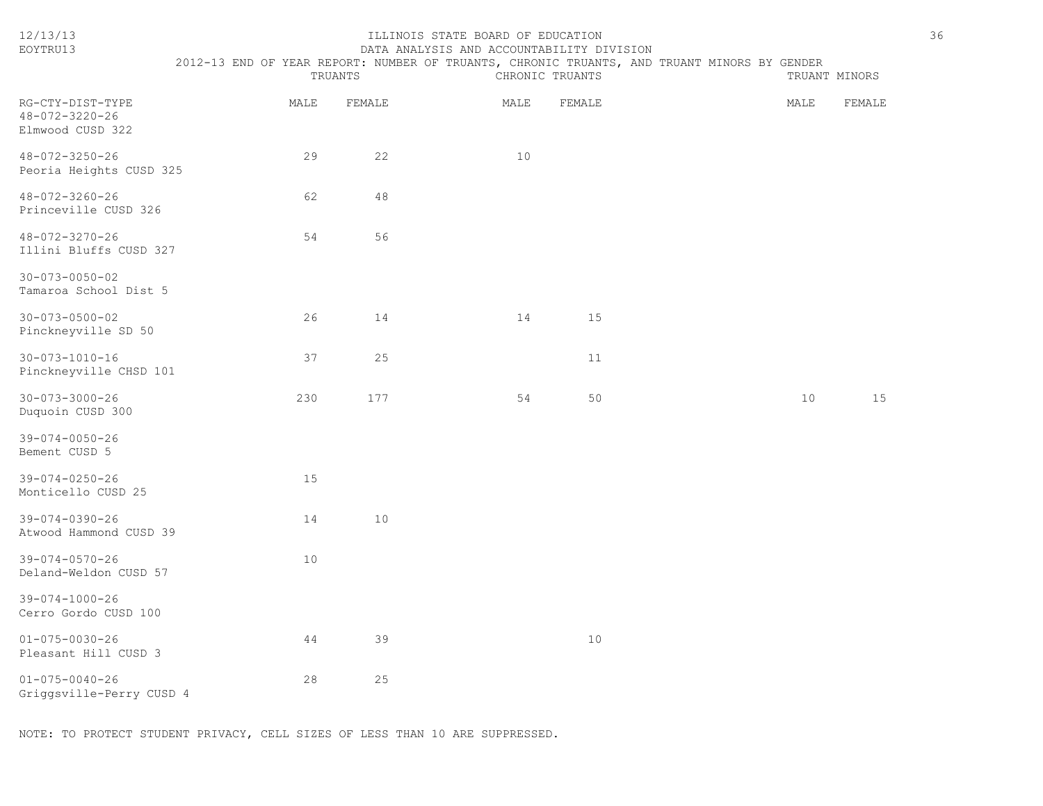| 12/13/13<br>EOYTRU13                                           | 2012-13 END OF YEAR REPORT: NUMBER OF TRUANTS, CHRONIC TRUANTS, AND TRUANT MINORS BY GENDER | TRUANTS | ILLINOIS STATE BOARD OF EDUCATION<br>DATA ANALYSIS AND ACCOUNTABILITY DIVISION | CHRONIC TRUANTS | TRUANT MINORS |        | 36 |
|----------------------------------------------------------------|---------------------------------------------------------------------------------------------|---------|--------------------------------------------------------------------------------|-----------------|---------------|--------|----|
| RG-CTY-DIST-TYPE<br>$48 - 072 - 3220 - 26$<br>Elmwood CUSD 322 | MALE                                                                                        | FEMALE  | MALE                                                                           | FEMALE          | MALE          | FEMALE |    |
| $48 - 072 - 3250 - 26$<br>Peoria Heights CUSD 325              | 29                                                                                          | 22      | 10                                                                             |                 |               |        |    |
| 48-072-3260-26<br>Princeville CUSD 326                         | 62                                                                                          | $4\,8$  |                                                                                |                 |               |        |    |
| 48-072-3270-26<br>Illini Bluffs CUSD 327                       | 54                                                                                          | 56      |                                                                                |                 |               |        |    |
| $30 - 073 - 0050 - 02$<br>Tamaroa School Dist 5                |                                                                                             |         |                                                                                |                 |               |        |    |
| $30 - 073 - 0500 - 02$<br>Pinckneyville SD 50                  | 26                                                                                          | 14      | 14                                                                             | 15              |               |        |    |
| $30 - 073 - 1010 - 16$<br>Pinckneyville CHSD 101               | 37                                                                                          | 25      |                                                                                | 11              |               |        |    |
| $30 - 073 - 3000 - 26$<br>Duquoin CUSD 300                     | 230                                                                                         | 177     | 54                                                                             | 50              | 10            | 15     |    |
| $39 - 074 - 0050 - 26$<br>Bement CUSD 5                        |                                                                                             |         |                                                                                |                 |               |        |    |
| $39 - 074 - 0250 - 26$<br>Monticello CUSD 25                   | 15                                                                                          |         |                                                                                |                 |               |        |    |
| $39 - 074 - 0390 - 26$<br>Atwood Hammond CUSD 39               | 14                                                                                          | $10$    |                                                                                |                 |               |        |    |
| $39 - 074 - 0570 - 26$<br>Deland-Weldon CUSD 57                | 10                                                                                          |         |                                                                                |                 |               |        |    |
| $39 - 074 - 1000 - 26$<br>Cerro Gordo CUSD 100                 |                                                                                             |         |                                                                                |                 |               |        |    |
| $01 - 075 - 0030 - 26$<br>Pleasant Hill CUSD 3                 | 44                                                                                          | 39      |                                                                                | 10              |               |        |    |
| $01 - 075 - 0040 - 26$<br>Griggsville-Perry CUSD 4             | 28                                                                                          | 25      |                                                                                |                 |               |        |    |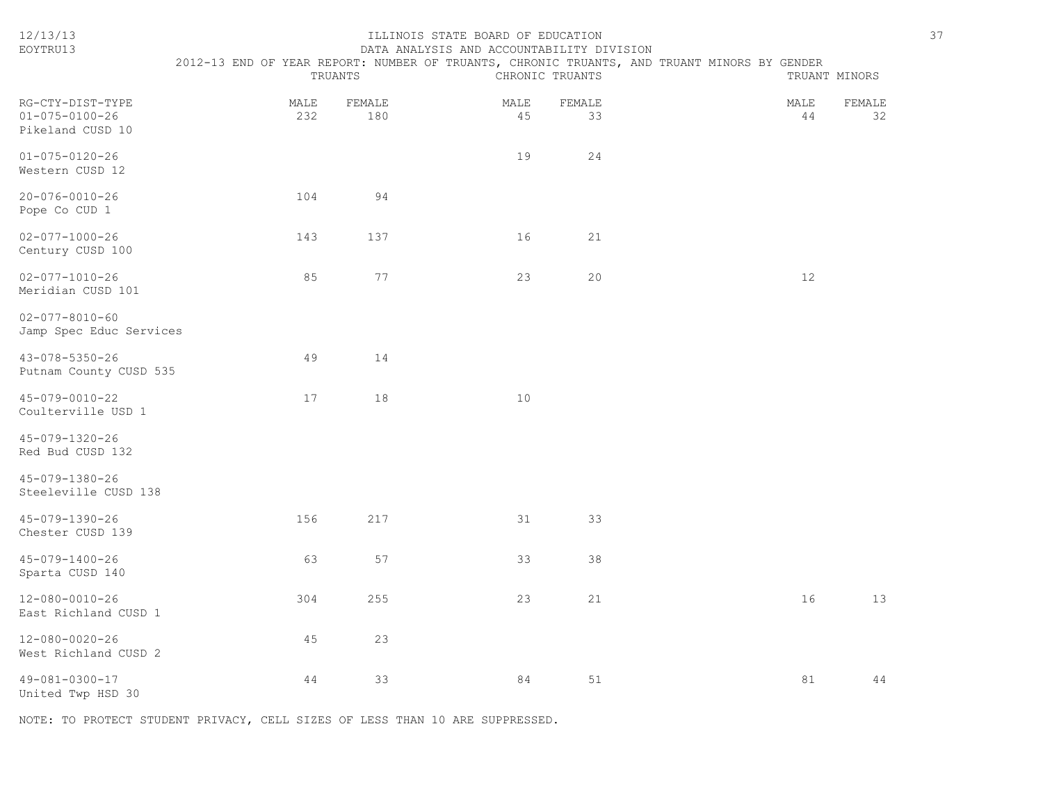| 12/13/13<br>EOYTRU13                                           | ILLINOIS STATE BOARD OF EDUCATION<br>DATA ANALYSIS AND ACCOUNTABILITY DIVISION<br>2012-13 END OF YEAR REPORT: NUMBER OF TRUANTS, CHRONIC TRUANTS, AND TRUANT MINORS BY GENDER<br>TRUANTS<br>CHRONIC TRUANTS<br>TRUANT MINORS |               |            |              |  |            |              |
|----------------------------------------------------------------|------------------------------------------------------------------------------------------------------------------------------------------------------------------------------------------------------------------------------|---------------|------------|--------------|--|------------|--------------|
| RG-CTY-DIST-TYPE<br>$01 - 075 - 0100 - 26$<br>Pikeland CUSD 10 | MALE<br>232                                                                                                                                                                                                                  | FEMALE<br>180 | MALE<br>45 | FEMALE<br>33 |  | MALE<br>44 | FEMALE<br>32 |
| $01 - 075 - 0120 - 26$<br>Western CUSD 12                      |                                                                                                                                                                                                                              |               | 19         | 24           |  |            |              |
| $20 - 076 - 0010 - 26$<br>Pope Co CUD 1                        | 104                                                                                                                                                                                                                          | 94            |            |              |  |            |              |
| $02 - 077 - 1000 - 26$<br>Century CUSD 100                     | 143                                                                                                                                                                                                                          | 137           | 16         | 21           |  |            |              |
| $02 - 077 - 1010 - 26$<br>Meridian CUSD 101                    | 85                                                                                                                                                                                                                           | 77            | 23         | 20           |  | 12         |              |
| $02 - 077 - 8010 - 60$<br>Jamp Spec Educ Services              |                                                                                                                                                                                                                              |               |            |              |  |            |              |
| 43-078-5350-26<br>Putnam County CUSD 535                       | 49                                                                                                                                                                                                                           | 14            |            |              |  |            |              |
| 45-079-0010-22<br>Coulterville USD 1                           | 17                                                                                                                                                                                                                           | 18            | 10         |              |  |            |              |
| 45-079-1320-26<br>Red Bud CUSD 132                             |                                                                                                                                                                                                                              |               |            |              |  |            |              |
| 45-079-1380-26<br>Steeleville CUSD 138                         |                                                                                                                                                                                                                              |               |            |              |  |            |              |
| 45-079-1390-26<br>Chester CUSD 139                             | 156                                                                                                                                                                                                                          | 217           | 31         | 33           |  |            |              |
| 45-079-1400-26<br>Sparta CUSD 140                              | 63                                                                                                                                                                                                                           | 57            | 33         | 38           |  |            |              |
| 12-080-0010-26<br>East Richland CUSD 1                         | 304                                                                                                                                                                                                                          | 255           | 23         | 21           |  | 16         | 13           |
| $12 - 080 - 0020 - 26$<br>West Richland CUSD 2                 | 45                                                                                                                                                                                                                           | 23            |            |              |  |            |              |
| 49-081-0300-17<br>United Twp HSD 30                            | 44                                                                                                                                                                                                                           | 33            | 84         | 51           |  | 81         | 44           |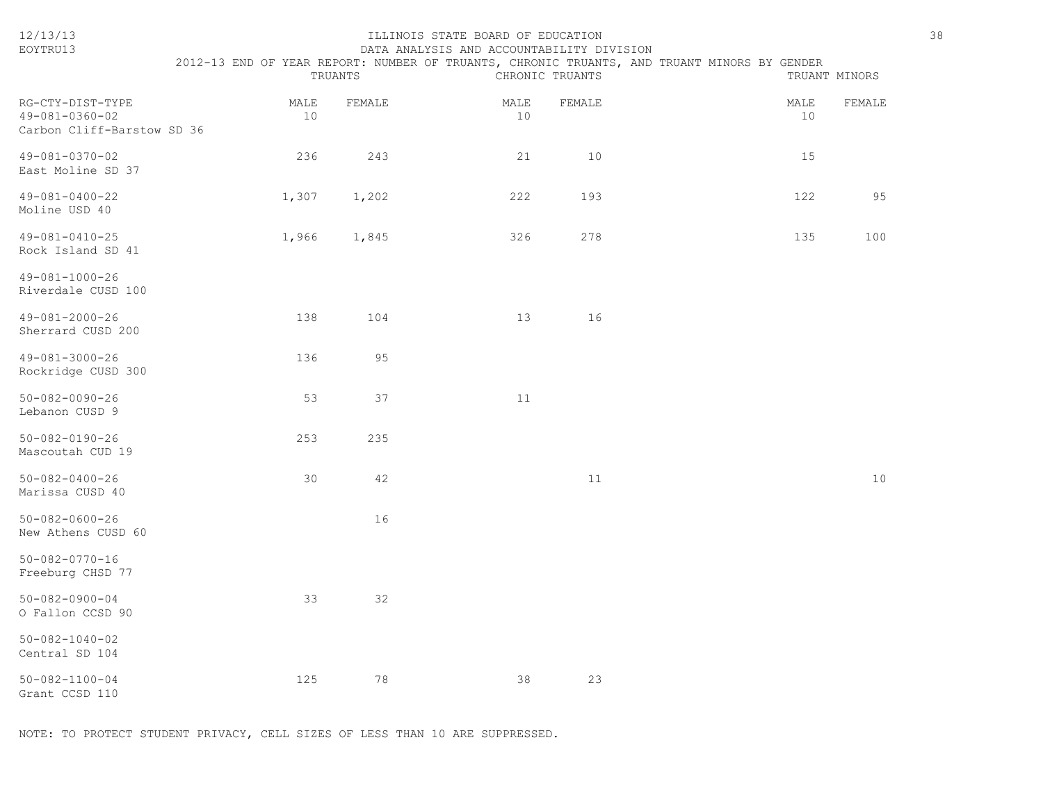| 12/13/13<br>EOYTRU13                                                     |            | TRUANTS | ILLINOIS STATE BOARD OF EDUCATION<br>DATA ANALYSIS AND ACCOUNTABILITY DIVISION | CHRONIC TRUANTS | 2012-13 END OF YEAR REPORT: NUMBER OF TRUANTS, CHRONIC TRUANTS, AND TRUANT MINORS BY GENDER<br>TRUANT MINORS | 38     |
|--------------------------------------------------------------------------|------------|---------|--------------------------------------------------------------------------------|-----------------|--------------------------------------------------------------------------------------------------------------|--------|
| RG-CTY-DIST-TYPE<br>$49 - 081 - 0360 - 02$<br>Carbon Cliff-Barstow SD 36 | MALE<br>10 | FEMALE  | MALE<br>10                                                                     | FEMALE          | MALE<br>10                                                                                                   | FEMALE |
| 49-081-0370-02<br>East Moline SD 37                                      | 236        | 243     | 21                                                                             | 10              | 15                                                                                                           |        |
| $49 - 081 - 0400 - 22$<br>Moline USD 40                                  | 1,307      | 1,202   | 222                                                                            | 193             | 122                                                                                                          | 95     |
| $49 - 081 - 0410 - 25$<br>Rock Island SD 41                              | 1,966      | 1,845   | 326                                                                            | 278             | 135                                                                                                          | 100    |
| $49 - 081 - 1000 - 26$<br>Riverdale CUSD 100                             |            |         |                                                                                |                 |                                                                                                              |        |
| 49-081-2000-26<br>Sherrard CUSD 200                                      | 138        | 104     | 13                                                                             | 16              |                                                                                                              |        |
| 49-081-3000-26<br>Rockridge CUSD 300                                     | 136        | 95      |                                                                                |                 |                                                                                                              |        |
| $50 - 082 - 0090 - 26$<br>Lebanon CUSD 9                                 | 53         | 37      | 11                                                                             |                 |                                                                                                              |        |
| $50 - 082 - 0190 - 26$<br>Mascoutah CUD 19                               | 253        | 235     |                                                                                |                 |                                                                                                              |        |
| $50 - 082 - 0400 - 26$<br>Marissa CUSD 40                                | 30         | 42      |                                                                                | 11              |                                                                                                              | 10     |
| $50 - 082 - 0600 - 26$<br>New Athens CUSD 60                             |            | 16      |                                                                                |                 |                                                                                                              |        |
| $50 - 082 - 0770 - 16$<br>Freeburg CHSD 77                               |            |         |                                                                                |                 |                                                                                                              |        |
| $50 - 082 - 0900 - 04$<br>O Fallon CCSD 90                               | 33         | 32      |                                                                                |                 |                                                                                                              |        |
| $50 - 082 - 1040 - 02$<br>Central SD 104                                 |            |         |                                                                                |                 |                                                                                                              |        |
| $50 - 082 - 1100 - 04$<br>Grant CCSD 110                                 | 125        | 78      | 38                                                                             | 23              |                                                                                                              |        |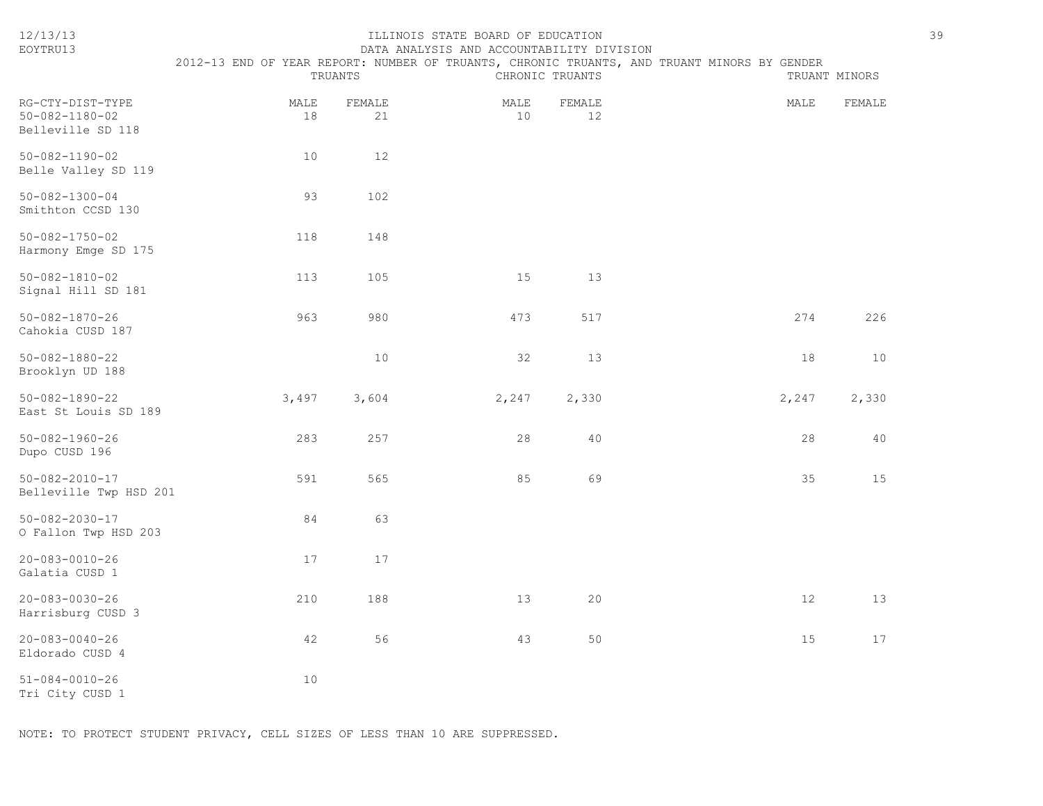| 12/13/13<br>EOYTRU13                                            |            | TRUANTS      | ILLINOIS STATE BOARD OF EDUCATION<br>DATA ANALYSIS AND ACCOUNTABILITY DIVISION | CHRONIC TRUANTS | 2012-13 END OF YEAR REPORT: NUMBER OF TRUANTS, CHRONIC TRUANTS, AND TRUANT MINORS BY GENDER | 39<br>TRUANT MINORS |
|-----------------------------------------------------------------|------------|--------------|--------------------------------------------------------------------------------|-----------------|---------------------------------------------------------------------------------------------|---------------------|
| RG-CTY-DIST-TYPE<br>$50 - 082 - 1180 - 02$<br>Belleville SD 118 | MALE<br>18 | FEMALE<br>21 | MALE<br>10                                                                     | FEMALE<br>12    | MALE                                                                                        | FEMALE              |
| $50 - 082 - 1190 - 02$<br>Belle Valley SD 119                   | 10         | 12           |                                                                                |                 |                                                                                             |                     |
| $50 - 082 - 1300 - 04$<br>Smithton CCSD 130                     | 93         | 102          |                                                                                |                 |                                                                                             |                     |
| $50 - 082 - 1750 - 02$<br>Harmony Emge SD 175                   | 118        | 148          |                                                                                |                 |                                                                                             |                     |
| $50 - 082 - 1810 - 02$<br>Signal Hill SD 181                    | 113        | 105          | 15                                                                             | 13              |                                                                                             |                     |
| $50 - 082 - 1870 - 26$<br>Cahokia CUSD 187                      | 963        | 980          | 473                                                                            | 517             | 274                                                                                         | 226                 |
| $50 - 082 - 1880 - 22$<br>Brooklyn UD 188                       |            | 10           | 32                                                                             | 13              | 18                                                                                          | 10                  |
| $50 - 082 - 1890 - 22$<br>East St Louis SD 189                  | 3,497      | 3,604        | 2,247                                                                          | 2,330           | 2,247                                                                                       | 2,330               |
| $50 - 082 - 1960 - 26$<br>Dupo CUSD 196                         | 283        | 257          | 28                                                                             | 40              | 28                                                                                          | 40                  |
| $50 - 082 - 2010 - 17$<br>Belleville Twp HSD 201                | 591        | 565          | 85                                                                             | 69              | 35                                                                                          | 15                  |
| $50 - 082 - 2030 - 17$<br>O Fallon Twp HSD 203                  | 84         | 63           |                                                                                |                 |                                                                                             |                     |
| $20 - 083 - 0010 - 26$<br>Galatia CUSD 1                        | 17         | 17           |                                                                                |                 |                                                                                             |                     |
| $20 - 083 - 0030 - 26$<br>Harrisburg CUSD 3                     | 210        | 188          | 13                                                                             | 20              | 12                                                                                          | 13                  |
| $20 - 083 - 0040 - 26$<br>Eldorado CUSD 4                       | 42         | 56           | 43                                                                             | 50              | 15                                                                                          | 17                  |
| $51 - 084 - 0010 - 26$<br>Tri City CUSD 1                       | 10         |              |                                                                                |                 |                                                                                             |                     |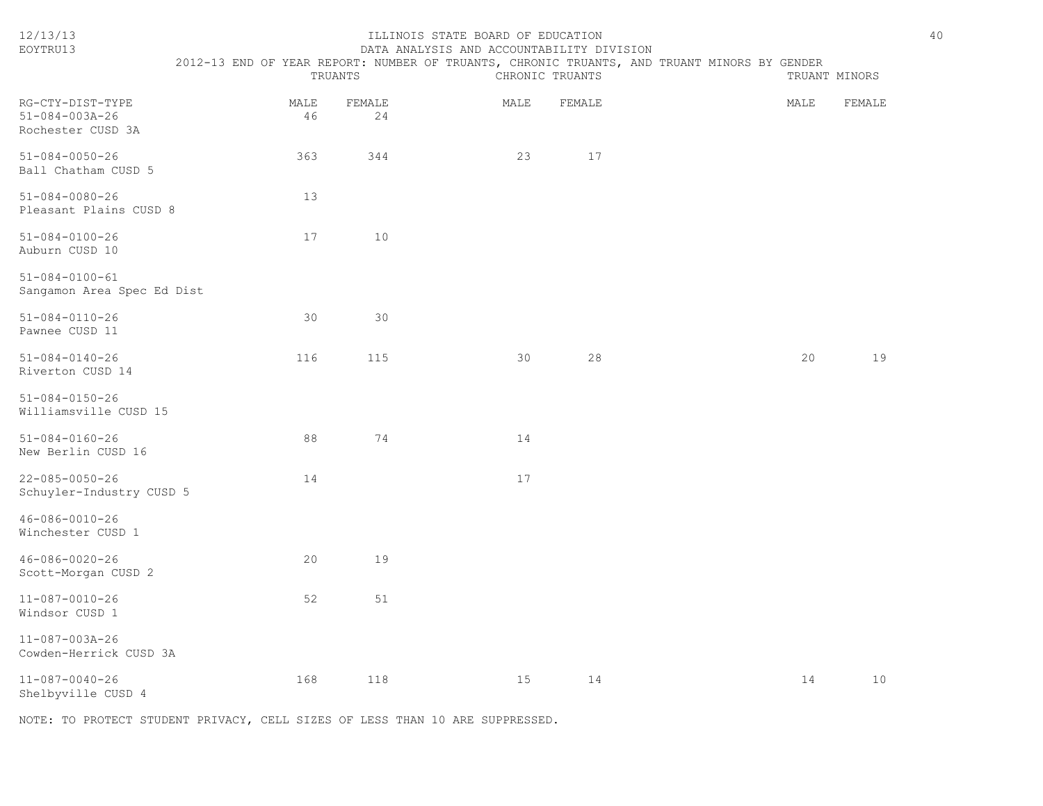| 12/13/13<br>EOYTRU13                                            | TRUANTS    |              | ILLINOIS STATE BOARD OF EDUCATION<br>DATA ANALYSIS AND ACCOUNTABILITY DIVISION | CHRONIC TRUANTS |        | 2012-13 END OF YEAR REPORT: NUMBER OF TRUANTS, CHRONIC TRUANTS, AND TRUANT MINORS BY GENDER | TRUANT MINORS |        | 40 |
|-----------------------------------------------------------------|------------|--------------|--------------------------------------------------------------------------------|-----------------|--------|---------------------------------------------------------------------------------------------|---------------|--------|----|
| RG-CTY-DIST-TYPE<br>$51 - 084 - 003A - 26$<br>Rochester CUSD 3A | MALE<br>46 | FEMALE<br>24 |                                                                                | MALE            | FEMALE |                                                                                             | MALE          | FEMALE |    |
| $51 - 084 - 0050 - 26$<br>Ball Chatham CUSD 5                   | 363        | 344          |                                                                                | 23              | 17     |                                                                                             |               |        |    |
| $51 - 084 - 0080 - 26$<br>Pleasant Plains CUSD 8                | 13         |              |                                                                                |                 |        |                                                                                             |               |        |    |
| $51 - 084 - 0100 - 26$<br>Auburn CUSD 10                        | 17         | 10           |                                                                                |                 |        |                                                                                             |               |        |    |
| $51 - 084 - 0100 - 61$<br>Sangamon Area Spec Ed Dist            |            |              |                                                                                |                 |        |                                                                                             |               |        |    |
| $51 - 084 - 0110 - 26$<br>Pawnee CUSD 11                        | 30         | 30           |                                                                                |                 |        |                                                                                             |               |        |    |
| $51 - 084 - 0140 - 26$<br>Riverton CUSD 14                      | 116        | 115          |                                                                                | 30              | 28     |                                                                                             | 20            | 19     |    |
| $51 - 084 - 0150 - 26$<br>Williamsville CUSD 15                 |            |              |                                                                                |                 |        |                                                                                             |               |        |    |
| $51 - 084 - 0160 - 26$<br>New Berlin CUSD 16                    | 88         | 74           |                                                                                | 14              |        |                                                                                             |               |        |    |
| $22 - 085 - 0050 - 26$<br>Schuyler-Industry CUSD 5              | 14         |              |                                                                                | 17              |        |                                                                                             |               |        |    |
| $46 - 086 - 0010 - 26$<br>Winchester CUSD 1                     |            |              |                                                                                |                 |        |                                                                                             |               |        |    |
| $46 - 086 - 0020 - 26$<br>Scott-Morgan CUSD 2                   | 20         | 19           |                                                                                |                 |        |                                                                                             |               |        |    |
| $11 - 087 - 0010 - 26$<br>Windsor CUSD 1                        | 52         | 51           |                                                                                |                 |        |                                                                                             |               |        |    |
| $11 - 087 - 003A - 26$<br>Cowden-Herrick CUSD 3A                |            |              |                                                                                |                 |        |                                                                                             |               |        |    |
| $11 - 087 - 0040 - 26$<br>Shelbyville CUSD 4                    | 168        | 118          |                                                                                | 15              | 14     |                                                                                             | 14            | 10     |    |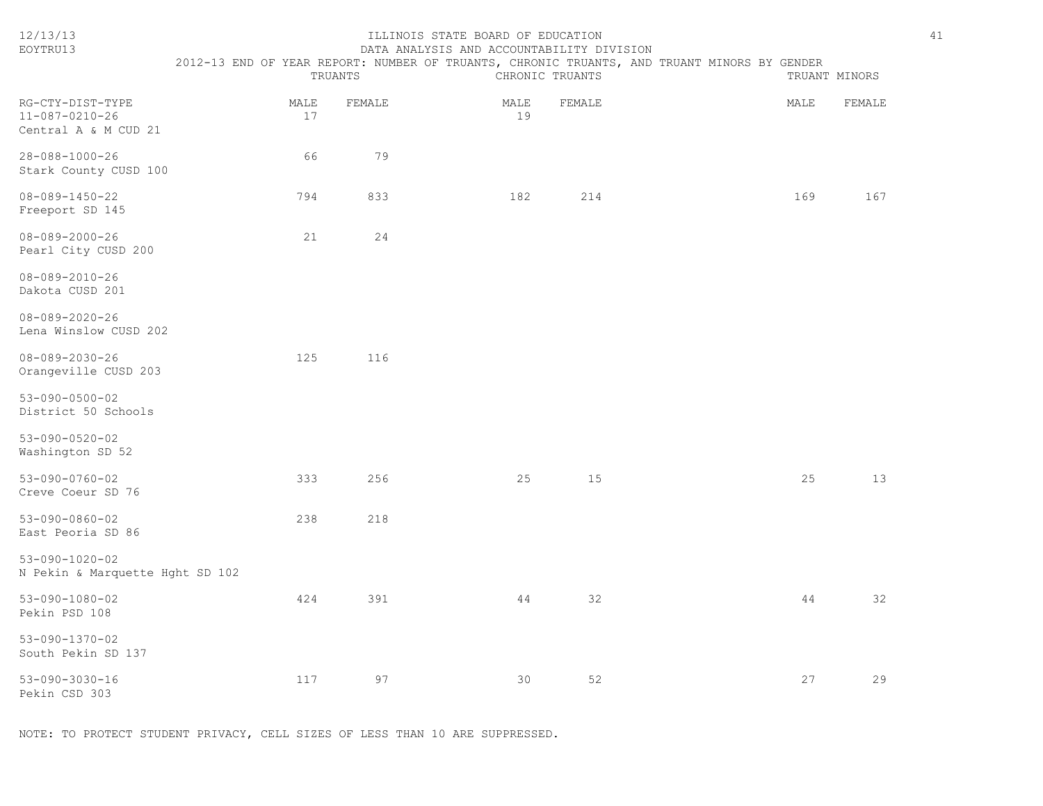| 12/13/13<br>EOYTRU13                                               | TRUANTS    |        | ILLINOIS STATE BOARD OF EDUCATION<br>DATA ANALYSIS AND ACCOUNTABILITY DIVISION | CHRONIC TRUANTS |        | 2012-13 END OF YEAR REPORT: NUMBER OF TRUANTS, CHRONIC TRUANTS, AND TRUANT MINORS BY GENDER |      | TRUANT MINORS | 41 |
|--------------------------------------------------------------------|------------|--------|--------------------------------------------------------------------------------|-----------------|--------|---------------------------------------------------------------------------------------------|------|---------------|----|
| RG-CTY-DIST-TYPE<br>$11 - 087 - 0210 - 26$<br>Central A & M CUD 21 | MALE<br>17 | FEMALE |                                                                                | MALE<br>19      | FEMALE |                                                                                             | MALE | FEMALE        |    |
| 28-088-1000-26<br>Stark County CUSD 100                            | 66         | 79     |                                                                                |                 |        |                                                                                             |      |               |    |
| $08 - 089 - 1450 - 22$<br>Freeport SD 145                          | 794        | 833    |                                                                                | 182             | 214    |                                                                                             | 169  | 167           |    |
| $08 - 089 - 2000 - 26$<br>Pearl City CUSD 200                      | 21         | 24     |                                                                                |                 |        |                                                                                             |      |               |    |
| $08 - 089 - 2010 - 26$<br>Dakota CUSD 201                          |            |        |                                                                                |                 |        |                                                                                             |      |               |    |
| $08 - 089 - 2020 - 26$<br>Lena Winslow CUSD 202                    |            |        |                                                                                |                 |        |                                                                                             |      |               |    |
| $08 - 089 - 2030 - 26$<br>Orangeville CUSD 203                     | 125        | 116    |                                                                                |                 |        |                                                                                             |      |               |    |
| $53 - 090 - 0500 - 02$<br>District 50 Schools                      |            |        |                                                                                |                 |        |                                                                                             |      |               |    |
| $53 - 090 - 0520 - 02$<br>Washington SD 52                         |            |        |                                                                                |                 |        |                                                                                             |      |               |    |
| $53 - 090 - 0760 - 02$<br>Creve Coeur SD 76                        | 333        | 256    |                                                                                | 25              | 15     |                                                                                             | 25   | 13            |    |
| $53 - 090 - 0860 - 02$<br>East Peoria SD 86                        | 238        | 218    |                                                                                |                 |        |                                                                                             |      |               |    |
| $53 - 090 - 1020 - 02$<br>N Pekin & Marquette Hght SD 102          |            |        |                                                                                |                 |        |                                                                                             |      |               |    |
| $53 - 090 - 1080 - 02$<br>Pekin PSD 108                            | 424        | 391    |                                                                                | 44              | 32     |                                                                                             | 44   | 32            |    |
| 53-090-1370-02<br>South Pekin SD 137                               |            |        |                                                                                |                 |        |                                                                                             |      |               |    |
| $53 - 090 - 3030 - 16$<br>Pekin CSD 303                            | 117        | 97     |                                                                                | 30              | 52     |                                                                                             | 27   | 29            |    |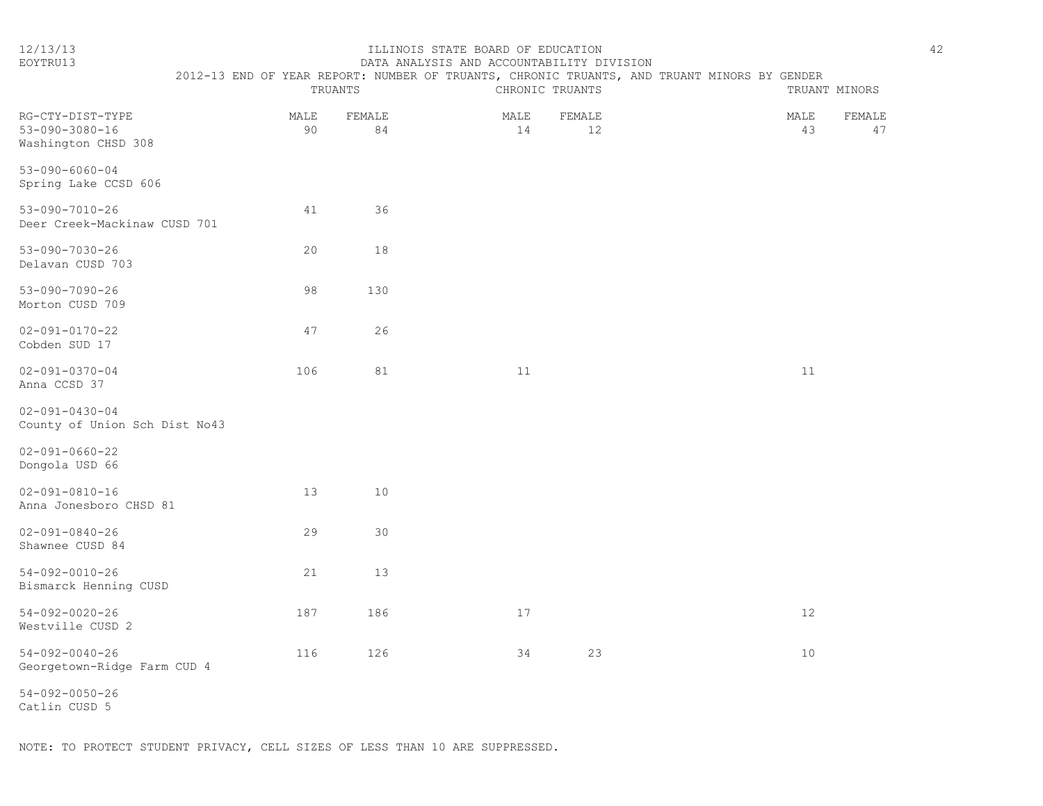## 12/13/13 ILLINOIS STATE BOARD OF EDUCATION 42

| EOYTRU13                                                          |            |              | DATA ANALYSIS AND ACCOUNTABILITY DIVISION |                 |                                                                                             |                            |
|-------------------------------------------------------------------|------------|--------------|-------------------------------------------|-----------------|---------------------------------------------------------------------------------------------|----------------------------|
|                                                                   |            | TRUANTS      |                                           | CHRONIC TRUANTS | 2012-13 END OF YEAR REPORT: NUMBER OF TRUANTS, CHRONIC TRUANTS, AND TRUANT MINORS BY GENDER | TRUANT MINORS              |
| RG-CTY-DIST-TYPE<br>$53 - 090 - 3080 - 16$<br>Washington CHSD 308 | MALE<br>90 | FEMALE<br>84 | MALE<br>14                                | FEMALE<br>12    |                                                                                             | FEMALE<br>MALE<br>43<br>47 |
| $53 - 090 - 6060 - 04$<br>Spring Lake CCSD 606                    |            |              |                                           |                 |                                                                                             |                            |
| $53 - 090 - 7010 - 26$<br>Deer Creek-Mackinaw CUSD 701            | 41         | 36           |                                           |                 |                                                                                             |                            |
| $53 - 090 - 7030 - 26$<br>Delavan CUSD 703                        | 20         | 18           |                                           |                 |                                                                                             |                            |
| $53 - 090 - 7090 - 26$<br>Morton CUSD 709                         | 98         | 130          |                                           |                 |                                                                                             |                            |
| $02 - 091 - 0170 - 22$<br>Cobden SUD 17                           | 47         | 26           |                                           |                 |                                                                                             |                            |
| $02 - 091 - 0370 - 04$<br>Anna CCSD 37                            | 106        | 81           | 11                                        |                 |                                                                                             | 11                         |
| $02 - 091 - 0430 - 04$<br>County of Union Sch Dist No43           |            |              |                                           |                 |                                                                                             |                            |
| $02 - 091 - 0660 - 22$<br>Dongola USD 66                          |            |              |                                           |                 |                                                                                             |                            |
| $02 - 091 - 0810 - 16$<br>Anna Jonesboro CHSD 81                  | 13         | 10           |                                           |                 |                                                                                             |                            |
| $02 - 091 - 0840 - 26$<br>Shawnee CUSD 84                         | 29         | 30           |                                           |                 |                                                                                             |                            |
| $54 - 092 - 0010 - 26$<br>Bismarck Henning CUSD                   | 21         | 13           |                                           |                 |                                                                                             |                            |
| $54 - 092 - 0020 - 26$<br>Westville CUSD 2                        | 187        | 186          | 17                                        |                 |                                                                                             | 12                         |
| $54 - 092 - 0040 - 26$<br>Georgetown-Ridge Farm CUD 4             | 116        | 126          | 34                                        | 23              |                                                                                             | 10 <sup>°</sup>            |

54-092-0050-26 Catlin CUSD 5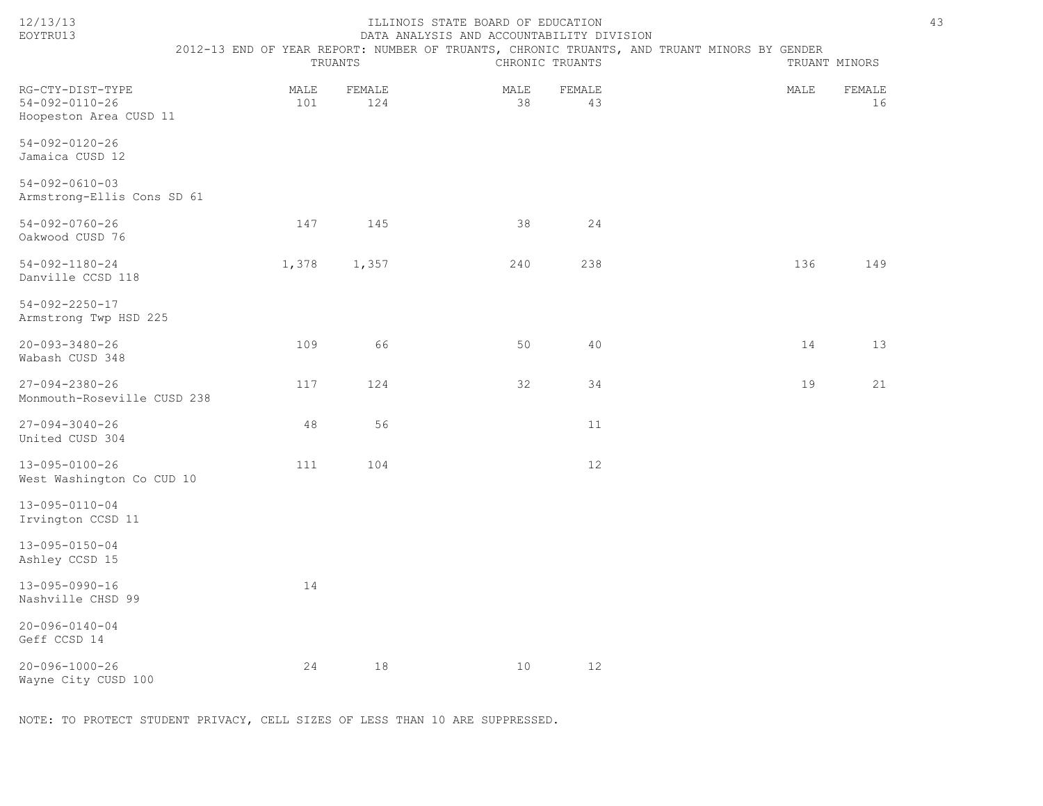| EOYTRU13                                                             | DATA ANALYSIS AND ACCOUNTABILITY DIVISION |               |            |                 |                                                                                             |      |               |  |  |  |  |
|----------------------------------------------------------------------|-------------------------------------------|---------------|------------|-----------------|---------------------------------------------------------------------------------------------|------|---------------|--|--|--|--|
|                                                                      |                                           | TRUANTS       |            | CHRONIC TRUANTS | 2012-13 END OF YEAR REPORT: NUMBER OF TRUANTS, CHRONIC TRUANTS, AND TRUANT MINORS BY GENDER |      | TRUANT MINORS |  |  |  |  |
| RG-CTY-DIST-TYPE<br>$54 - 092 - 0110 - 26$<br>Hoopeston Area CUSD 11 | MALE<br>101                               | FEMALE<br>124 | MALE<br>38 | FEMALE<br>43    |                                                                                             | MALE | FEMALE<br>16  |  |  |  |  |
| 54-092-0120-26<br>Jamaica CUSD 12                                    |                                           |               |            |                 |                                                                                             |      |               |  |  |  |  |
| $54 - 092 - 0610 - 03$<br>Armstrong-Ellis Cons SD 61                 |                                           |               |            |                 |                                                                                             |      |               |  |  |  |  |
| $54 - 092 - 0760 - 26$<br>Oakwood CUSD 76                            | 147                                       | 145           | 38         | 24              |                                                                                             |      |               |  |  |  |  |
| 54-092-1180-24<br>Danville CCSD 118                                  | 1,378                                     | 1,357         | 240        | 238             |                                                                                             | 136  | 149           |  |  |  |  |
| 54-092-2250-17<br>Armstrong Twp HSD 225                              |                                           |               |            |                 |                                                                                             |      |               |  |  |  |  |
| 20-093-3480-26<br>Wabash CUSD 348                                    | 109                                       | 66            | 50         | 40              |                                                                                             | 14   | 13            |  |  |  |  |
| 27-094-2380-26<br>Monmouth-Roseville CUSD 238                        | 117                                       | 124           | 32         | 34              |                                                                                             | 19   | 21            |  |  |  |  |
| 27-094-3040-26<br>United CUSD 304                                    | 48                                        | 56            |            | 11              |                                                                                             |      |               |  |  |  |  |
| 13-095-0100-26<br>West Washington Co CUD 10                          | 111                                       | 104           |            | 12              |                                                                                             |      |               |  |  |  |  |
| 13-095-0110-04<br>Irvington CCSD 11                                  |                                           |               |            |                 |                                                                                             |      |               |  |  |  |  |
| 13-095-0150-04<br>Ashley CCSD 15                                     |                                           |               |            |                 |                                                                                             |      |               |  |  |  |  |
| 13-095-0990-16<br>Nashville CHSD 99                                  | 14                                        |               |            |                 |                                                                                             |      |               |  |  |  |  |
| 20-096-0140-04<br>Geff CCSD 14                                       |                                           |               |            |                 |                                                                                             |      |               |  |  |  |  |
| 20-096-1000-26                                                       | 24                                        | 18            | 10         | 12              |                                                                                             |      |               |  |  |  |  |

Wayne City CUSD 100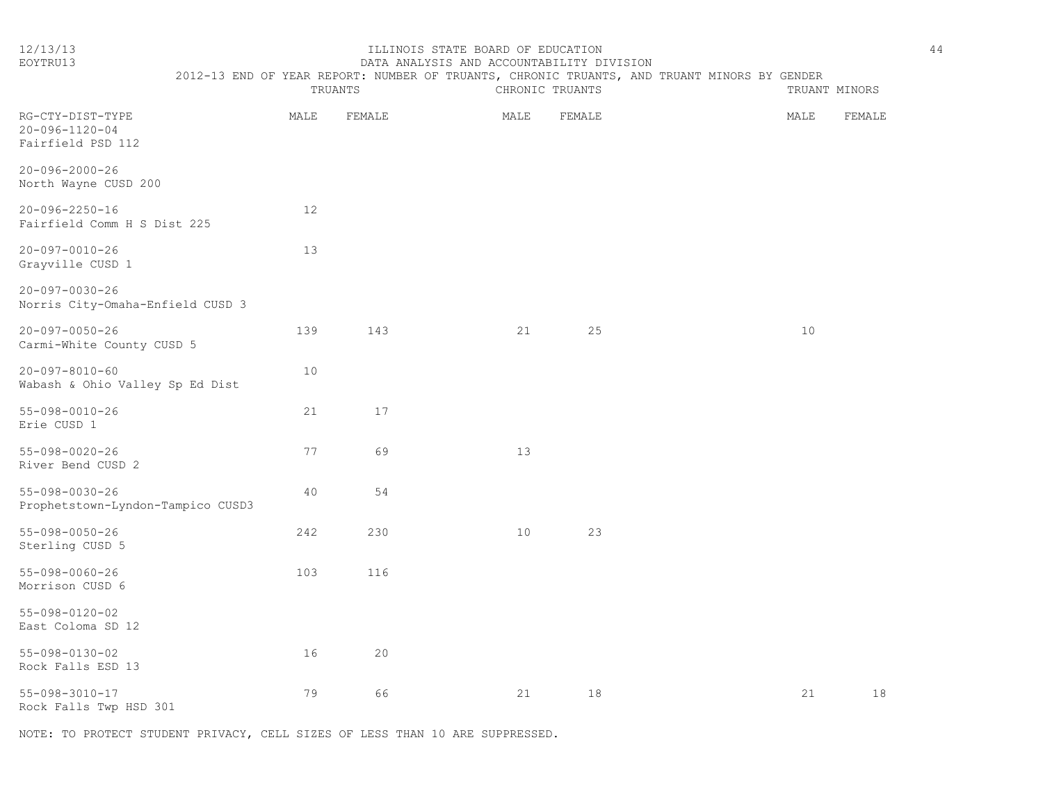#### 12/13/13 ILLINOIS STATE BOARD OF EDUCATION 44 EOYTRU13 DATA ANALYSIS AND ACCOUNTABILITY DIVISION

| LUI INUIU                                               | PAIA ANALISIS AND ACCOUNTADILLI DIVISION |         |        |                                                                                             |                 |  |  |      |               |  |
|---------------------------------------------------------|------------------------------------------|---------|--------|---------------------------------------------------------------------------------------------|-----------------|--|--|------|---------------|--|
|                                                         |                                          | TRUANTS |        | 2012-13 END OF YEAR REPORT: NUMBER OF TRUANTS, CHRONIC TRUANTS, AND TRUANT MINORS BY GENDER | CHRONIC TRUANTS |  |  |      | TRUANT MINORS |  |
| RG-CTY-DIST-TYPE<br>20-096-1120-04<br>Fairfield PSD 112 |                                          | MALE    | FEMALE | MALE                                                                                        | FEMALE          |  |  | MALE | FEMALE        |  |
| 20-096-2000-26<br>North Wayne CUSD 200                  |                                          |         |        |                                                                                             |                 |  |  |      |               |  |
| 20-096-2250-16                                          |                                          | 12      |        |                                                                                             |                 |  |  |      |               |  |

| Fairfield Comm H S Dist 225 |      |
|-----------------------------|------|
| 20-097-0010-26              | -1 3 |
| Grayville CUSD 1            |      |

| $20 - 097 - 0030 - 26$           |  |
|----------------------------------|--|
| Norris City-Omaha-Enfield CUSD 3 |  |

| 20-097-0050-26<br>Carmi-White County CUSD 5               | 139 | 143 | 21 | 25 | 10 |    |
|-----------------------------------------------------------|-----|-----|----|----|----|----|
| $20 - 097 - 8010 - 60$<br>Wabash & Ohio Valley Sp Ed Dist | 10  |     |    |    |    |    |
| 55-098-0010-26<br>Erie CUSD 1                             | 21  | 17  |    |    |    |    |
| 55-098-0020-26<br>River Bend CUSD 2                       | 77  | 69  | 13 |    |    |    |
| 55-098-0030-26<br>Prophetstown-Lyndon-Tampico CUSD3       | 40  | 54  |    |    |    |    |
| 55-098-0050-26<br>Sterling CUSD 5                         | 242 | 230 | 10 | 23 |    |    |
| 55-098-0060-26<br>Morrison CUSD 6                         | 103 | 116 |    |    |    |    |
| 55-098-0120-02<br>East Coloma SD 12                       |     |     |    |    |    |    |
| 55-098-0130-02<br>Rock Falls ESD 13                       | 16  | 20  |    |    |    |    |
| 55-098-3010-17                                            | 79  | 66  | 21 | 18 | 21 | 18 |

Rock Falls Twp HSD 301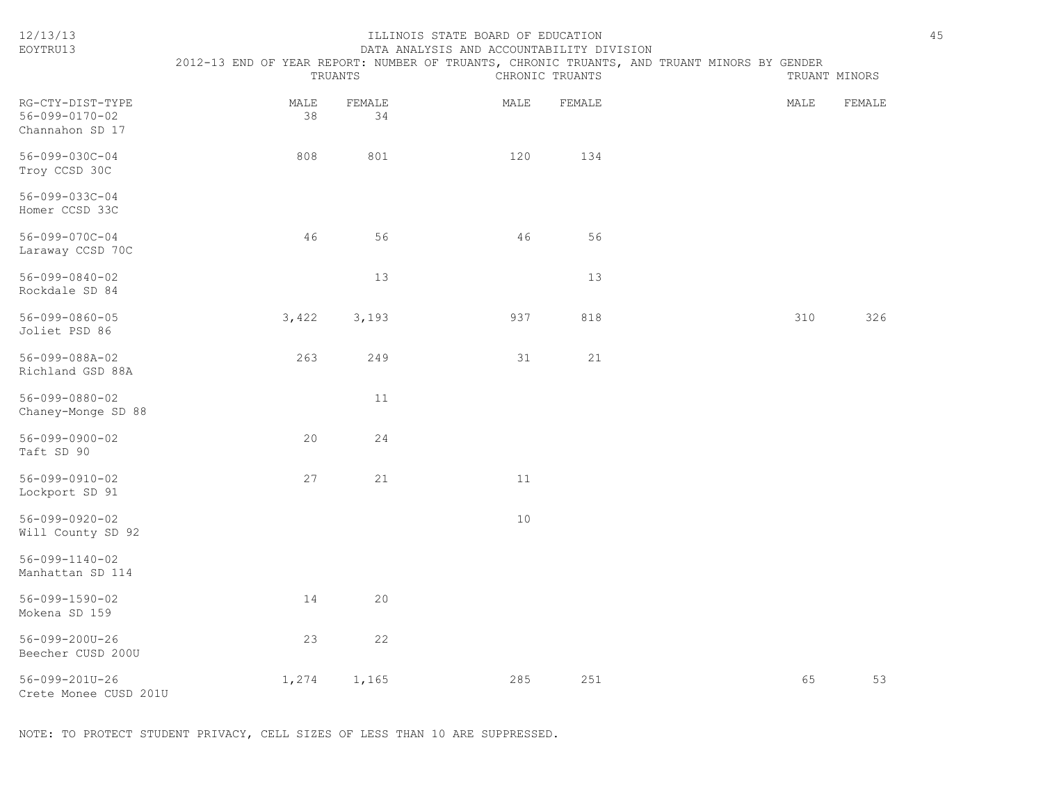| 12/13/13<br>EOYTRU13                                          | 2012-13 END OF YEAR REPORT: NUMBER OF TRUANTS, CHRONIC TRUANTS, AND TRUANT MINORS BY GENDER | TRUANTS      | ILLINOIS STATE BOARD OF EDUCATION<br>DATA ANALYSIS AND ACCOUNTABILITY DIVISION | CHRONIC TRUANTS | TRUANT MINORS |        | 45 |
|---------------------------------------------------------------|---------------------------------------------------------------------------------------------|--------------|--------------------------------------------------------------------------------|-----------------|---------------|--------|----|
| RG-CTY-DIST-TYPE<br>$56 - 099 - 0170 - 02$<br>Channahon SD 17 | MALE<br>38                                                                                  | FEMALE<br>34 | MALE                                                                           | FEMALE          | MALE          | FEMALE |    |
| $56 - 099 - 030C - 04$<br>Troy CCSD 30C                       | 808                                                                                         | 801          | 120                                                                            | 134             |               |        |    |
| 56-099-033C-04<br>Homer CCSD 33C                              |                                                                                             |              |                                                                                |                 |               |        |    |
| 56-099-070C-04<br>Laraway CCSD 70C                            | 46                                                                                          | 56           | 46                                                                             | 56              |               |        |    |
| $56 - 099 - 0840 - 02$<br>Rockdale SD 84                      |                                                                                             | 13           |                                                                                | 13              |               |        |    |
| $56 - 099 - 0860 - 05$<br>Joliet PSD 86                       | 3,422                                                                                       | 3,193        | 937                                                                            | 818             | 310           | 326    |    |
| 56-099-088A-02<br>Richland GSD 88A                            | 263                                                                                         | 249          | 31                                                                             | 21              |               |        |    |
| 56-099-0880-02<br>Chaney-Monge SD 88                          |                                                                                             | 11           |                                                                                |                 |               |        |    |
| $56 - 099 - 0900 - 02$<br>Taft SD 90                          | 20                                                                                          | 24           |                                                                                |                 |               |        |    |
| 56-099-0910-02<br>Lockport SD 91                              | 27                                                                                          | 21           | 11                                                                             |                 |               |        |    |
| 56-099-0920-02<br>Will County SD 92                           |                                                                                             |              | 10                                                                             |                 |               |        |    |
| $56 - 099 - 1140 - 02$<br>Manhattan SD 114                    |                                                                                             |              |                                                                                |                 |               |        |    |
| 56-099-1590-02<br>Mokena SD 159                               | 14                                                                                          | 20           |                                                                                |                 |               |        |    |
| 56-099-200U-26<br>Beecher CUSD 200U                           | 23                                                                                          | 22           |                                                                                |                 |               |        |    |
| 56-099-201U-26<br>Crete Monee CUSD 201U                       | 1,274                                                                                       | 1,165        | 285                                                                            | 251             | 65            | 53     |    |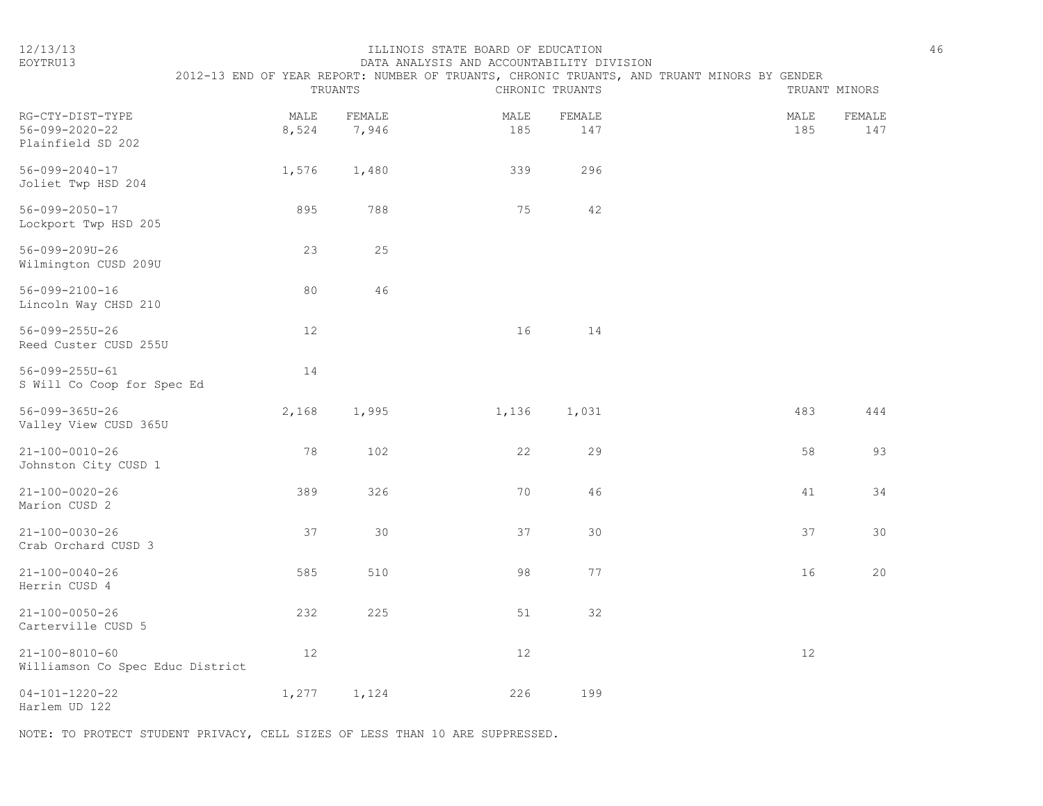|  | $\sim$ | ., |  |
|--|--------|----|--|
|  |        |    |  |

#### 12/13/13 ILLINOIS STATE BOARD OF EDUCATION 46 EOYTRU13 DATA ANALYSIS AND ACCOUNTABILITY DIVISION

|                                                            |                   | TRUANTS         |             | CHRONIC TRUANTS | 2012-13 END OF YEAR REPORT: NUMBER OF TRUANTS, CHRONIC TRUANTS, AND TRUANT MINORS BY GENDER |             | TRUANT MINORS        |
|------------------------------------------------------------|-------------------|-----------------|-------------|-----------------|---------------------------------------------------------------------------------------------|-------------|----------------------|
| RG-CTY-DIST-TYPE<br>56-099-2020-22<br>Plainfield SD 202    | MALE<br>8,524     | FEMALE<br>7,946 | MALE<br>185 | FEMALE<br>147   |                                                                                             | MALE<br>185 | <b>FEMALE</b><br>147 |
| $56 - 099 - 2040 - 17$<br>Joliet Twp HSD 204               | 1,576             | 1,480           | 339         | 296             |                                                                                             |             |                      |
| $56 - 099 - 2050 - 17$<br>Lockport Twp HSD 205             | 895               | 788             | 75          | 42              |                                                                                             |             |                      |
| 56-099-209U-26<br>Wilmington CUSD 209U                     | 23                | 25              |             |                 |                                                                                             |             |                      |
| $56 - 099 - 2100 - 16$<br>Lincoln Way CHSD 210             | 80                | 46              |             |                 |                                                                                             |             |                      |
| $56 - 099 - 255U - 26$<br>Reed Custer CUSD 255U            | $12 \overline{ }$ |                 | 16          | 14              |                                                                                             |             |                      |
| 56-099-255U-61<br>S Will Co Coop for Spec Ed               | 14                |                 |             |                 |                                                                                             |             |                      |
| $56 - 099 - 365U - 26$<br>Valley View CUSD 365U            | 2,168             | 1,995           | 1,136       | 1,031           |                                                                                             | 483         | 444                  |
| $21 - 100 - 0010 - 26$<br>Johnston City CUSD 1             | 78                | 102             | 22          | 29              |                                                                                             | 58          | 93                   |
| $21 - 100 - 0020 - 26$<br>Marion CUSD 2                    | 389               | 326             | 70          | 46              |                                                                                             | 41          | 34                   |
| $21 - 100 - 0030 - 26$<br>Crab Orchard CUSD 3              | 37                | 30              | 37          | 30              |                                                                                             | 37          | 30                   |
| $21 - 100 - 0040 - 26$<br>Herrin CUSD 4                    | 585               | 510             | 98          | 77              |                                                                                             | 16          | 20                   |
| $21 - 100 - 0050 - 26$<br>Carterville CUSD 5               | 232               | 225             | 51          | 32              |                                                                                             |             |                      |
| $21 - 100 - 8010 - 60$<br>Williamson Co Spec Educ District | 12                |                 | 12          |                 |                                                                                             | 12          |                      |
| $04 - 101 - 1220 - 22$<br>Harlem UD 122                    | 1,277             | 1,124           | 226         | 199             |                                                                                             |             |                      |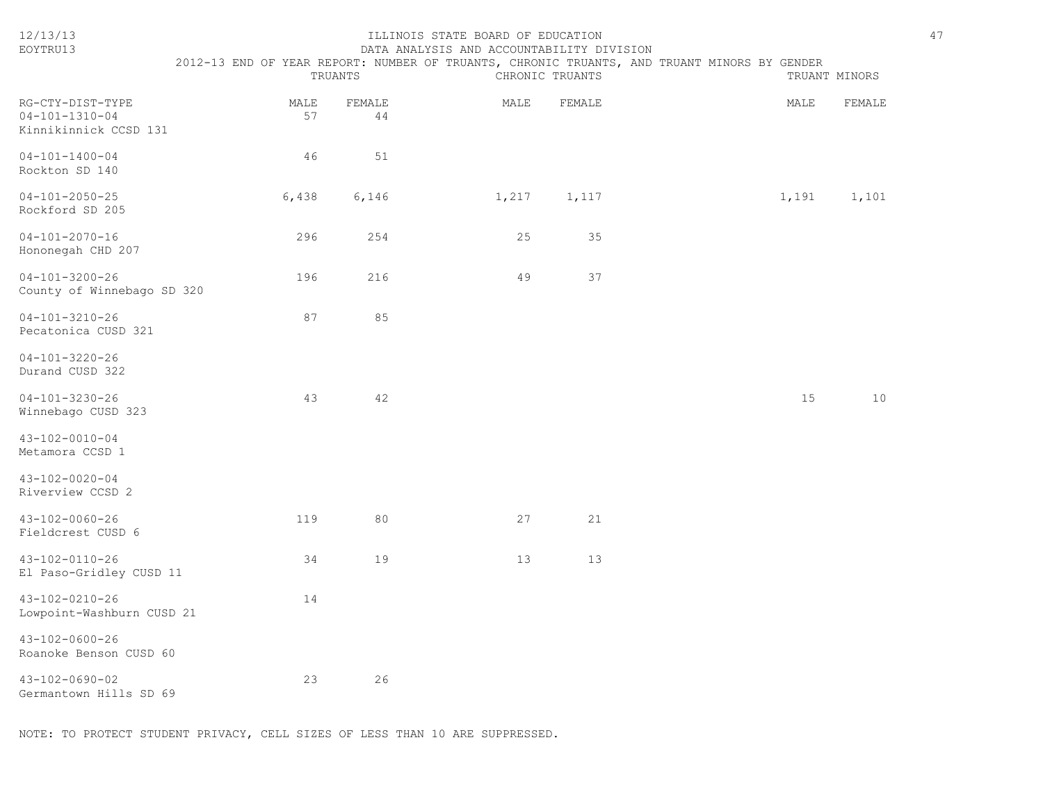| 12/13/13<br>EOYTRU13                                                | ILLINOIS STATE BOARD OF EDUCATION<br>DATA ANALYSIS AND ACCOUNTABILITY DIVISION<br>2012-13 END OF YEAR REPORT: NUMBER OF TRUANTS, CHRONIC TRUANTS, AND TRUANT MINORS BY GENDER<br>TRUANTS<br>CHRONIC TRUANTS<br>TRUANT MINORS |              |       |        |  |       |        |  |
|---------------------------------------------------------------------|------------------------------------------------------------------------------------------------------------------------------------------------------------------------------------------------------------------------------|--------------|-------|--------|--|-------|--------|--|
| RG-CTY-DIST-TYPE<br>$04 - 101 - 1310 - 04$<br>Kinnikinnick CCSD 131 | MALE<br>57                                                                                                                                                                                                                   | FEMALE<br>44 | MALE  | FEMALE |  | MALE  | FEMALE |  |
| $04 - 101 - 1400 - 04$<br>Rockton SD 140                            | 46                                                                                                                                                                                                                           | 51           |       |        |  |       |        |  |
| $04 - 101 - 2050 - 25$<br>Rockford SD 205                           | 6,438                                                                                                                                                                                                                        | 6,146        | 1,217 | 1,117  |  | 1,191 | 1,101  |  |
| $04 - 101 - 2070 - 16$<br>Hononegah CHD 207                         | 296                                                                                                                                                                                                                          | 254          | 25    | 35     |  |       |        |  |
| $04 - 101 - 3200 - 26$<br>County of Winnebago SD 320                | 196                                                                                                                                                                                                                          | 216          | 49    | 37     |  |       |        |  |
| $04 - 101 - 3210 - 26$<br>Pecatonica CUSD 321                       | 87                                                                                                                                                                                                                           | 85           |       |        |  |       |        |  |
| $04 - 101 - 3220 - 26$<br>Durand CUSD 322                           |                                                                                                                                                                                                                              |              |       |        |  |       |        |  |
| $04 - 101 - 3230 - 26$<br>Winnebago CUSD 323                        | 43                                                                                                                                                                                                                           | 42           |       |        |  | 15    | 10     |  |
| $43 - 102 - 0010 - 04$<br>Metamora CCSD 1                           |                                                                                                                                                                                                                              |              |       |        |  |       |        |  |
| $43 - 102 - 0020 - 04$<br>Riverview CCSD 2                          |                                                                                                                                                                                                                              |              |       |        |  |       |        |  |
| 43-102-0060-26<br>Fieldcrest CUSD 6                                 | 119                                                                                                                                                                                                                          | 80           | 27    | 21     |  |       |        |  |
| 43-102-0110-26<br>El Paso-Gridley CUSD 11                           | 34                                                                                                                                                                                                                           | 19           | 13    | 13     |  |       |        |  |
| 43-102-0210-26<br>Lowpoint-Washburn CUSD 21                         | 14                                                                                                                                                                                                                           |              |       |        |  |       |        |  |
| 43-102-0600-26<br>Roanoke Benson CUSD 60                            |                                                                                                                                                                                                                              |              |       |        |  |       |        |  |
| $43 - 102 - 0690 - 02$<br>Germantown Hills SD 69                    | 23                                                                                                                                                                                                                           | 26           |       |        |  |       |        |  |